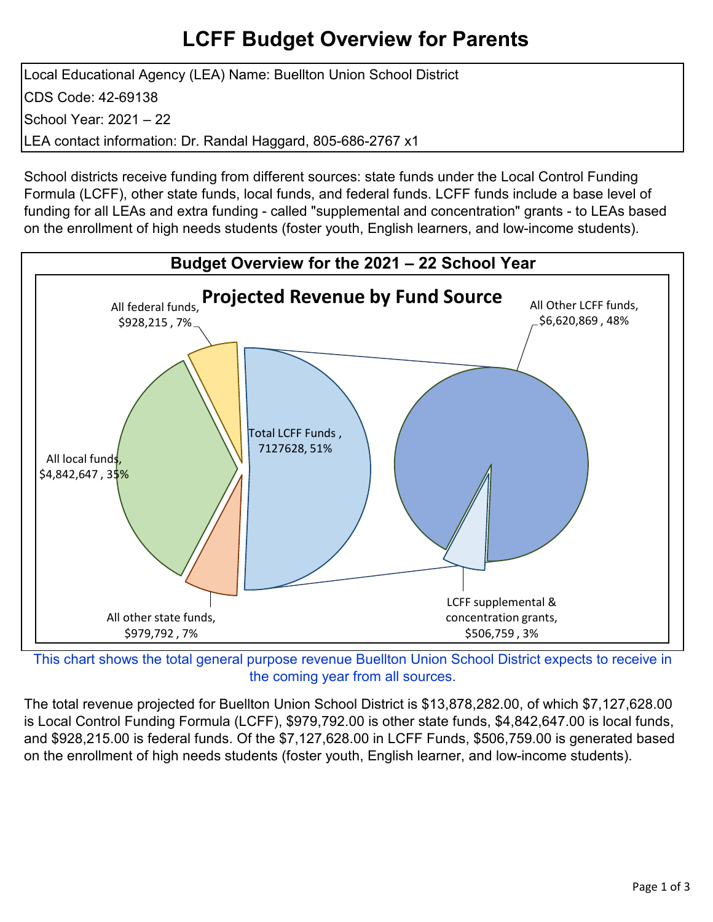## **LCFF Budget Overview for Parents**

Local Educational Agency (LEA) Name: Buellton Union School District CDS Code: 42-69138 School Year: 2021 – 22 LEA contact information: Dr. Randal Haggard, 805-686-2767 x1

School districts receive funding from different sources: state funds under the Local Control Funding Formula (LCFF), other state funds, local funds, and federal funds. LCFF funds include a base level of funding for all LEAs and extra funding - called "supplemental and concentration" grants - to LEAs based on the enrollment of high needs students (foster youth, English learners, and low-income students).



This chart shows the total general purpose revenue Buellton Union School District expects to receive in the coming year from all sources.

The total revenue projected for Buellton Union School District is \$13,878,282.00, of which \$7,127,628.00 is Local Control Funding Formula (LCFF), \$979,792.00 is other state funds, \$4,842,647.00 is local funds, and \$928,215.00 is federal funds. Of the \$7,127,628.00 in LCFF Funds, \$506,759.00 is generated based on the enrollment of high needs students (foster youth, English learner, and low-income students).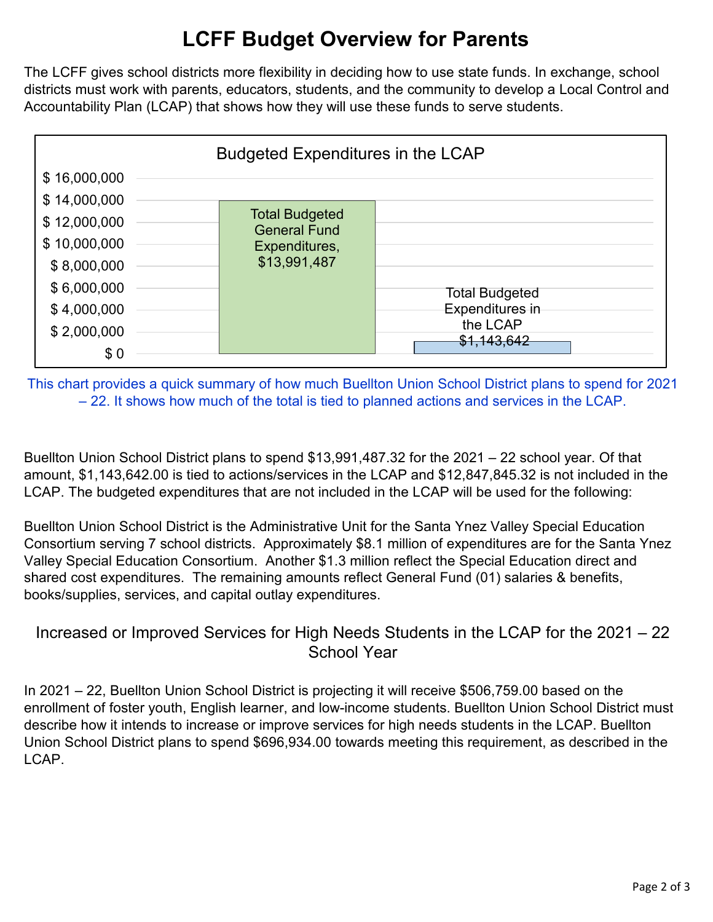# **LCFF Budget Overview for Parents**

The LCFF gives school districts more flexibility in deciding how to use state funds. In exchange, school districts must work with parents, educators, students, and the community to develop a Local Control and Accountability Plan (LCAP) that shows how they will use these funds to serve students.



This chart provides a quick summary of how much Buellton Union School District plans to spend for 2021 – 22. It shows how much of the total is tied to planned actions and services in the LCAP.

Buellton Union School District plans to spend \$13,991,487.32 for the 2021 – 22 school year. Of that amount, \$1,143,642.00 is tied to actions/services in the LCAP and \$12,847,845.32 is not included in the LCAP. The budgeted expenditures that are not included in the LCAP will be used for the following:

Buellton Union School District is the Administrative Unit for the Santa Ynez Valley Special Education Consortium serving 7 school districts. Approximately \$8.1 million of expenditures are for the Santa Ynez Valley Special Education Consortium. Another \$1.3 million reflect the Special Education direct and shared cost expenditures. The remaining amounts reflect General Fund (01) salaries & benefits, books/supplies, services, and capital outlay expenditures.

## Increased or Improved Services for High Needs Students in the LCAP for the 2021 – 22 School Year

In 2021 – 22, Buellton Union School District is projecting it will receive \$506,759.00 based on the enrollment of foster youth, English learner, and low-income students. Buellton Union School District must describe how it intends to increase or improve services for high needs students in the LCAP. Buellton Union School District plans to spend \$696,934.00 towards meeting this requirement, as described in the LCAP.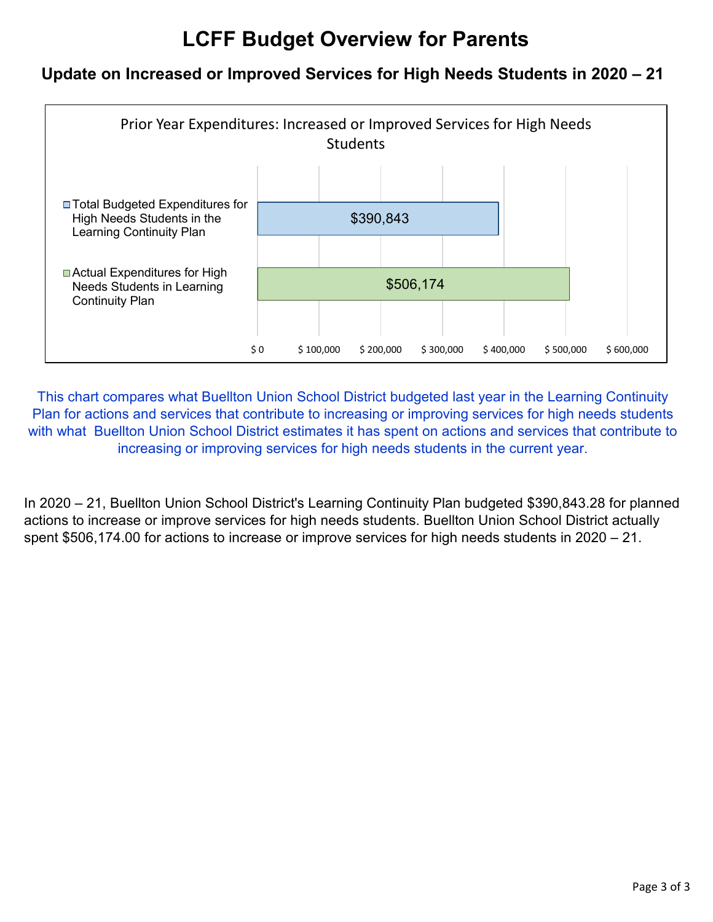## **LCFF Budget Overview for Parents**

### **Update on Increased or Improved Services for High Needs Students in 2020 – 21**



This chart compares what Buellton Union School District budgeted last year in the Learning Continuity Plan for actions and services that contribute to increasing or improving services for high needs students with what Buellton Union School District estimates it has spent on actions and services that contribute to increasing or improving services for high needs students in the current year.

In 2020 – 21, Buellton Union School District's Learning Continuity Plan budgeted \$390,843.28 for planned actions to increase or improve services for high needs students. Buellton Union School District actually spent \$506,174.00 for actions to increase or improve services for high needs students in 2020 – 21.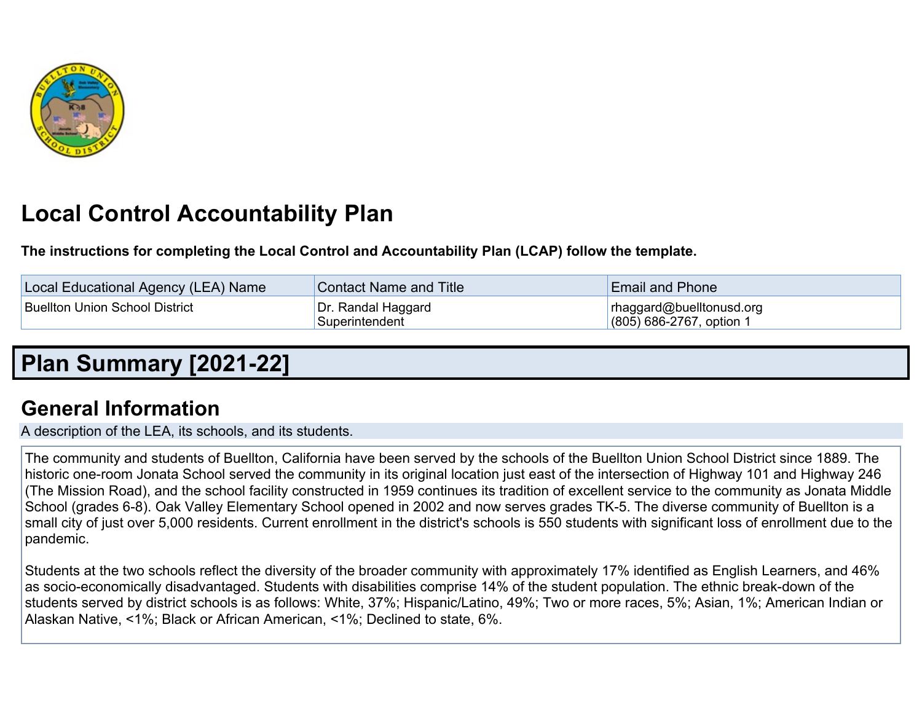

# **Local Control Accountability Plan**

**The instructions for completing the Local Control and Accountability Plan (LCAP) follow the template.**

| Local Educational Agency (LEA) Name | <b>Contact Name and Title</b>        | <b>Email and Phone</b>                                 |
|-------------------------------------|--------------------------------------|--------------------------------------------------------|
| Buellton Union School District      | Dr. Randal Haggard<br>Superintendent | rhaggard@buelltonusd.org<br>$(805)$ 686-2767, option 1 |

# **Plan [Summary](http://www.doc-tracking.com/screenshots/21LCAP/Instructions/21LCAPInstructions.htm#PlanSummary) [2021-22]**

## **General [Information](http://www.doc-tracking.com/screenshots/21LCAP/Instructions/21LCAPInstructions.htm#generalinformation)**

A description of the LEA, its schools, and its students.

The community and students of Buellton, California have been served by the schools of the Buellton Union School District since 1889. The historic one-room Jonata School served the community in its original location just east of the intersection of Highway 101 and Highway 246 (The Mission Road), and the school facility constructed in 1959 continues its tradition of excellent service to the community as Jonata Middle School (grades 6-8). Oak Valley Elementary School opened in 2002 and now serves grades TK-5. The diverse community of Buellton is a small city of just over 5,000 residents. Current enrollment in the district's schools is 550 students with significant loss of enrollment due to the pandemic.

Students at the two schools reflect the diversity of the broader community with approximately 17% identified as English Learners, and 46% as socio-economically disadvantaged. Students with disabilities comprise 14% of the student population. The ethnic break-down of the students served by district schools is as follows: White, 37%; Hispanic/Latino, 49%; Two or more races, 5%; Asian, 1%; American Indian or Alaskan Native, <1%; Black or African American, <1%; Declined to state, 6%.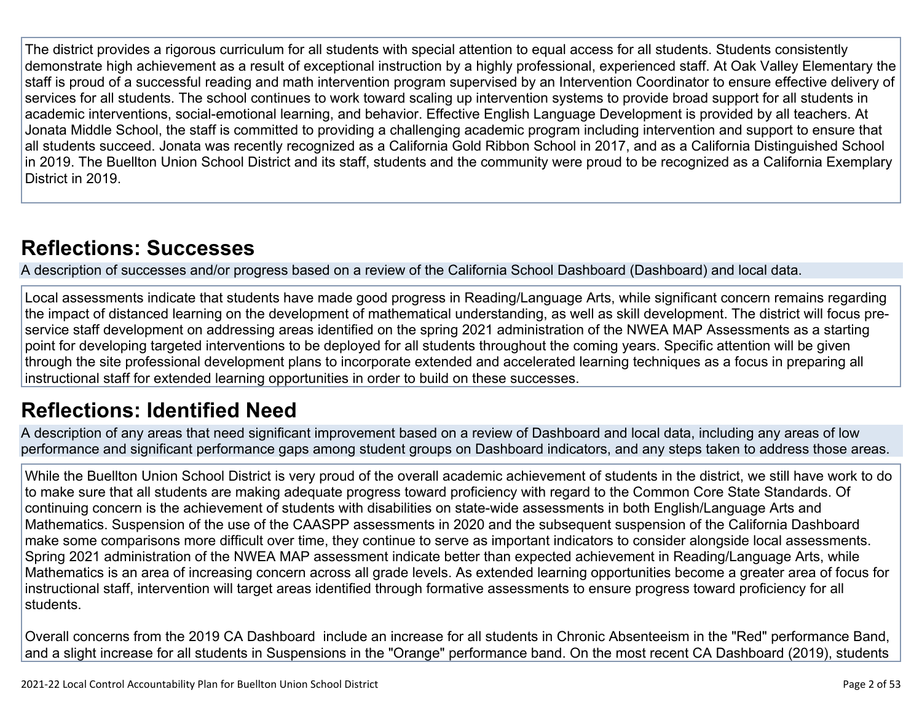The district provides a rigorous curriculum for all students with special attention to equal access for all students. Students consistently demonstrate high achievement as a result of exceptional instruction by a highly professional, experienced staff. At Oak Valley Elementary the staff is proud of a successful reading and math intervention program supervised by an Intervention Coordinator to ensure effective delivery of services for all students. The school continues to work toward scaling up intervention systems to provide broad support for all students in academic interventions, social-emotional learning, and behavior. Effective English Language Development is provided by all teachers. At Jonata Middle School, the staff is committed to providing a challenging academic program including intervention and support to ensure that all students succeed. Jonata was recently recognized as a California Gold Ribbon School in 2017, and as a California Distinguished School in 2019. The Buellton Union School District and its staff, students and the community were proud to be recognized as a California Exemplary District in 2019.

# **[Reflections:](http://www.doc-tracking.com/screenshots/21LCAP/Instructions/21LCAPInstructions.htm#ReflectionsSuccesses) Successes**

A description of successes and/or progress based on a review of the California School Dashboard (Dashboard) and local data.

Local assessments indicate that students have made good progress in Reading/Language Arts, while significant concern remains regarding the impact of distanced learning on the development of mathematical understanding, as well as skill development. The district will focus preservice staff development on addressing areas identified on the spring 2021 administration of the NWEA MAP Assessments as a starting point for developing targeted interventions to be deployed for all students throughout the coming years. Specific attention will be given through the site professional development plans to incorporate extended and accelerated learning techniques as a focus in preparing all instructional staff for extended learning opportunities in order to build on these successes.

## **[Reflections:](http://www.doc-tracking.com/screenshots/21LCAP/Instructions/21LCAPInstructions.htm#ReflectionsIdentifiedNeed) Identified Need**

A description of any areas that need significant improvement based on a review of Dashboard and local data, including any areas of low performance and significant performance gaps among student groups on Dashboard indicators, and any steps taken to address those areas.

While the Buellton Union School District is very proud of the overall academic achievement of students in the district, we still have work to do to make sure that all students are making adequate progress toward proficiency with regard to the Common Core State Standards. Of continuing concern is the achievement of students with disabilities on state-wide assessments in both English/Language Arts and Mathematics. Suspension of the use of the CAASPP assessments in 2020 and the subsequent suspension of the California Dashboard make some comparisons more difficult over time, they continue to serve as important indicators to consider alongside local assessments. Spring 2021 administration of the NWEA MAP assessment indicate better than expected achievement in Reading/Language Arts, while Mathematics is an area of increasing concern across all grade levels. As extended learning opportunities become a greater area of focus for instructional staff, intervention will target areas identified through formative assessments to ensure progress toward proficiency for all students.

Overall concerns from the 2019 CA Dashboard include an increase for all students in Chronic Absenteeism in the "Red" performance Band, and a slight increase for all students in Suspensions in the "Orange" performance band. On the most recent CA Dashboard (2019), students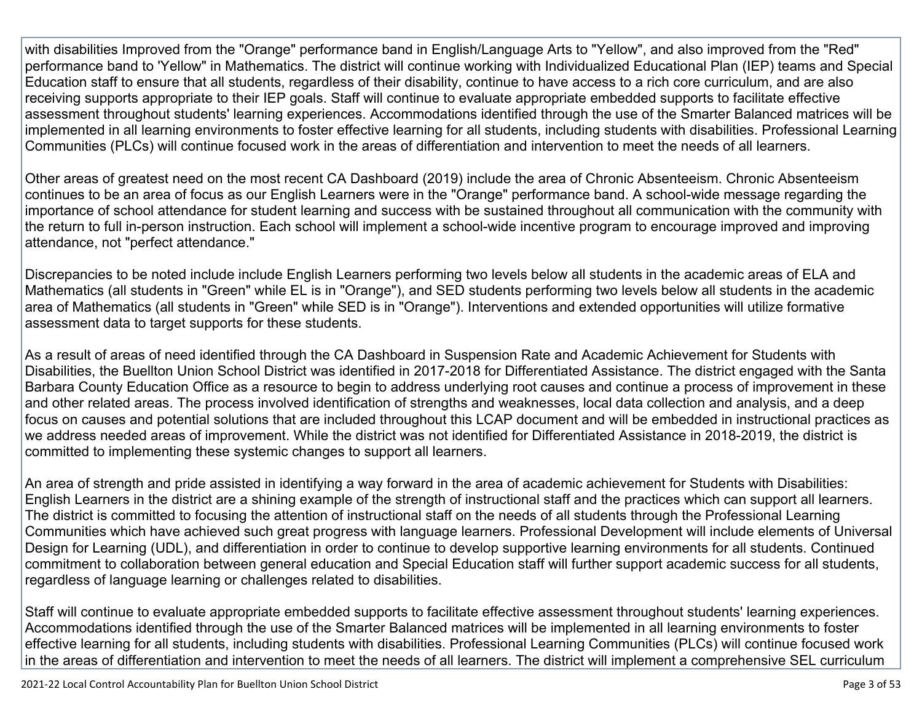with disabilities Improved from the "Orange" performance band in English/Language Arts to "Yellow", and also improved from the "Red" performance band to 'Yellow" in Mathematics. The district will continue working with Individualized Educational Plan (IEP) teams and Special Education staff to ensure that all students, regardless of their disability, continue to have access to a rich core curriculum, and are also receiving supports appropriate to their IEP goals. Staff will continue to evaluate appropriate embedded supports to facilitate effective assessment throughout students' learning experiences. Accommodations identified through the use of the Smarter Balanced matrices will be implemented in all learning environments to foster effective learning for all students, including students with disabilities. Professional Learning Communities (PLCs) will continue focused work in the areas of differentiation and intervention to meet the needs of all learners.

Other areas of greatest need on the most recent CA Dashboard (2019) include the area of Chronic Absenteeism. Chronic Absenteeism continues to be an area of focus as our English Learners were in the "Orange" performance band. A school-wide message regarding the importance of school attendance for student learning and success with be sustained throughout all communication with the community with the return to full in-person instruction. Each school will implement a school-wide incentive program to encourage improved and improving attendance, not "perfect attendance."

Discrepancies to be noted include include English Learners performing two levels below all students in the academic areas of ELA and Mathematics (all students in "Green" while EL is in "Orange"), and SED students performing two levels below all students in the academic area of Mathematics (all students in "Green" while SED is in "Orange"). Interventions and extended opportunities will utilize formative assessment data to target supports for these students.

As a result of areas of need identified through the CA Dashboard in Suspension Rate and Academic Achievement for Students with Disabilities, the Buellton Union School District was identified in 2017-2018 for Differentiated Assistance. The district engaged with the Santa Barbara County Education Office as a resource to begin to address underlying root causes and continue a process of improvement in these and other related areas. The process involved identification of strengths and weaknesses, local data collection and analysis, and a deep focus on causes and potential solutions that are included throughout this LCAP document and will be embedded in instructional practices as we address needed areas of improvement. While the district was not identified for Differentiated Assistance in 2018-2019, the district is committed to implementing these systemic changes to support all learners.

An area of strength and pride assisted in identifying a way forward in the area of academic achievement for Students with Disabilities: English Learners in the district are a shining example of the strength of instructional staff and the practices which can support all learners. The district is committed to focusing the attention of instructional staff on the needs of all students through the Professional Learning Communities which have achieved such great progress with language learners. Professional Development will include elements of Universal Design for Learning (UDL), and differentiation in order to continue to develop supportive learning environments for all students. Continued commitment to collaboration between general education and Special Education staff will further support academic success for all students, regardless of language learning or challenges related to disabilities.

Staff will continue to evaluate appropriate embedded supports to facilitate effective assessment throughout students' learning experiences. Accommodations identified through the use of the Smarter Balanced matrices will be implemented in all learning environments to foster effective learning for all students, including students with disabilities. Professional Learning Communities (PLCs) will continue focused work in the areas of differentiation and intervention to meet the needs of all learners. The district will implement a comprehensive SEL curriculum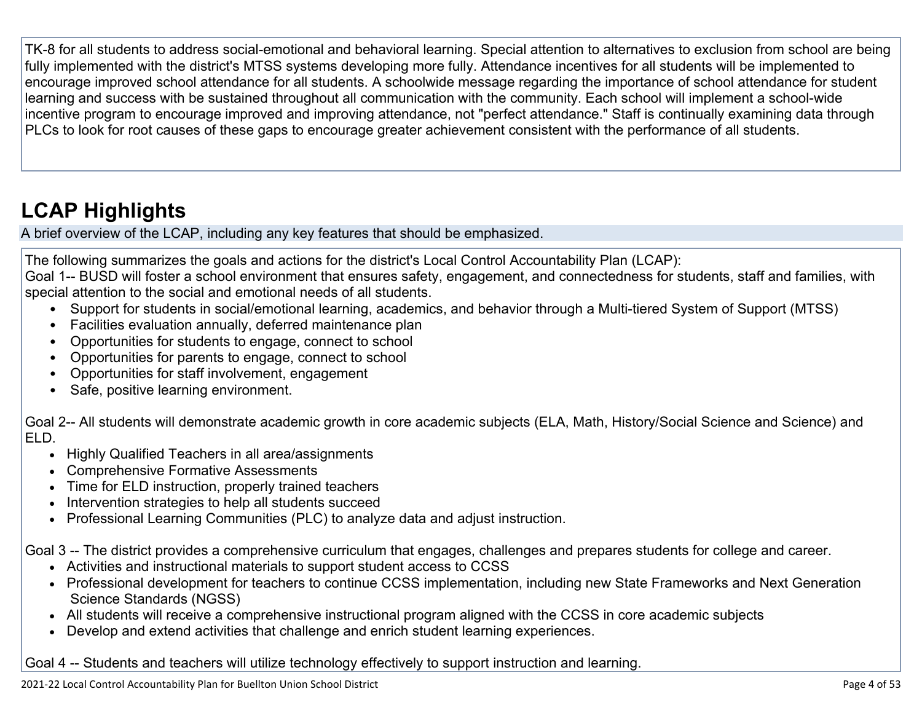TK-8 for all students to address social-emotional and behavioral learning. Special attention to alternatives to exclusion from school are being fully implemented with the district's MTSS systems developing more fully. Attendance incentives for all students will be implemented to encourage improved school attendance for all students. A schoolwide message regarding the importance of school attendance for student learning and success with be sustained throughout all communication with the community. Each school will implement a school-wide incentive program to encourage improved and improving attendance, not "perfect attendance." Staff is continually examining data through PLCs to look for root causes of these gaps to encourage greater achievement consistent with the performance of all students.

# **LCAP [Highlights](http://www.doc-tracking.com/screenshots/21LCAP/Instructions/21LCAPInstructions.htm#LCAPHighlights)**

A brief overview of the LCAP, including any key features that should be emphasized.

The following summarizes the goals and actions for the district's Local Control Accountability Plan (LCAP):

Goal 1-- BUSD will foster a school environment that ensures safety, engagement, and connectedness for students, staff and families, with special attention to the social and emotional needs of all students.

- Support for students in social/emotional learning, academics, and behavior through a Multi-tiered System of Support (MTSS)
- Facilities evaluation annually, deferred maintenance plan
- Opportunities for students to engage, connect to school
- Opportunities for parents to engage, connect to school
- Opportunities for staff involvement, engagement
- Safe, positive learning environment.

Goal 2-- All students will demonstrate academic growth in core academic subjects (ELA, Math, History/Social Science and Science) and ELD.

- Highly Qualified Teachers in all area/assignments
- Comprehensive Formative Assessments
- Time for ELD instruction, properly trained teachers
- Intervention strategies to help all students succeed
- Professional Learning Communities (PLC) to analyze data and adjust instruction.

Goal 3 -- The district provides a comprehensive curriculum that engages, challenges and prepares students for college and career.

- Activities and instructional materials to support student access to CCSS
- Professional development for teachers to continue CCSS implementation, including new State Frameworks and Next Generation Science Standards (NGSS)
- All students will receive a comprehensive instructional program aligned with the CCSS in core academic subjects
- Develop and extend activities that challenge and enrich student learning experiences.

Goal 4 -- Students and teachers will utilize technology effectively to support instruction and learning.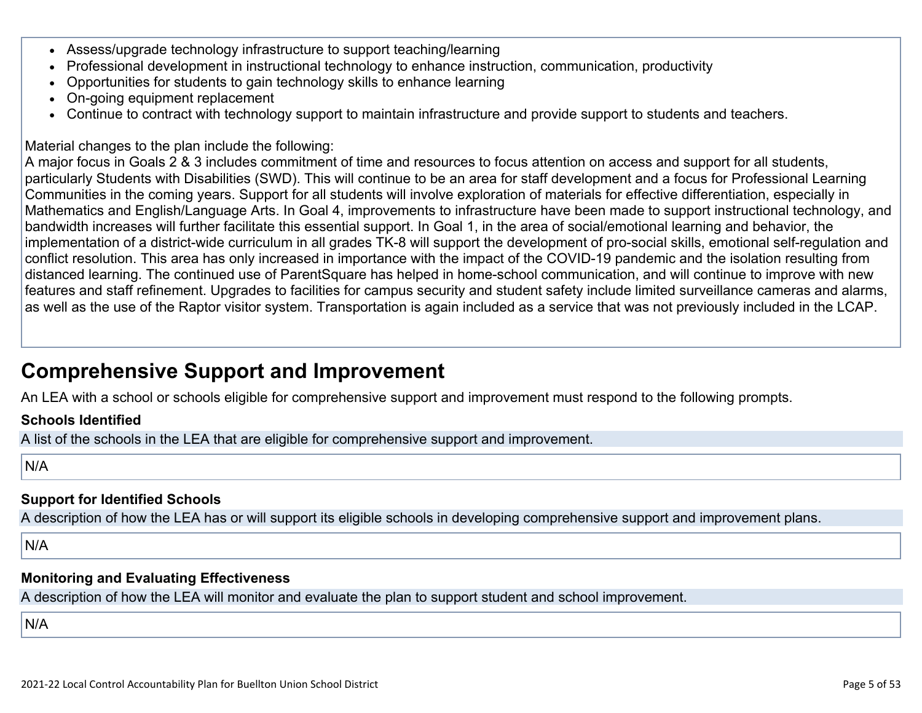- Assess/upgrade technology infrastructure to support teaching/learning
- Professional development in instructional technology to enhance instruction, communication, productivity
- Opportunities for students to gain technology skills to enhance learning
- On-going equipment replacement
- Continue to contract with technology support to maintain infrastructure and provide support to students and teachers.

Material changes to the plan include the following:

A major focus in Goals 2 & 3 includes commitment of time and resources to focus attention on access and support for all students, particularly Students with Disabilities (SWD). This will continue to be an area for staff development and a focus for Professional Learning Communities in the coming years. Support for all students will involve exploration of materials for effective differentiation, especially in Mathematics and English/Language Arts. In Goal 4, improvements to infrastructure have been made to support instructional technology, and bandwidth increases will further facilitate this essential support. In Goal 1, in the area of social/emotional learning and behavior, the implementation of a district-wide curriculum in all grades TK-8 will support the development of pro-social skills, emotional self-regulation and conflict resolution. This area has only increased in importance with the impact of the COVID-19 pandemic and the isolation resulting from distanced learning. The continued use of ParentSquare has helped in home-school communication, and will continue to improve with new features and staff refinement. Upgrades to facilities for campus security and student safety include limited surveillance cameras and alarms, as well as the use of the Raptor visitor system. Transportation is again included as a service that was not previously included in the LCAP.

## **[Comprehensive](http://www.doc-tracking.com/screenshots/21LCAP/Instructions/21LCAPInstructions.htm#ComprehensiveSupportandImprovement) Support and Improvement**

An LEA with a school or schools eligible for comprehensive support and improvement must respond to the following prompts.

#### **Schools [Identified](http://www.doc-tracking.com/screenshots/21LCAP/Instructions/21LCAPInstructions.htm#SchoolsIdentified)**

A list of the schools in the LEA that are eligible for comprehensive support and improvement.

N/A

### **Support for [Identified](http://www.doc-tracking.com/screenshots/21LCAP/Instructions/21LCAPInstructions.htm#SupportforIdentifiedSchools) Schools**

A description of how the LEA has or will support its eligible schools in developing comprehensive support and improvement plans.

N/A

### **Monitoring and Evaluating [Effectiveness](http://www.doc-tracking.com/screenshots/21LCAP/Instructions/21LCAPInstructions.htm#MonitoringandEvaluatingEffectiveness)**

A description of how the LEA will monitor and evaluate the plan to support student and school improvement.

N/A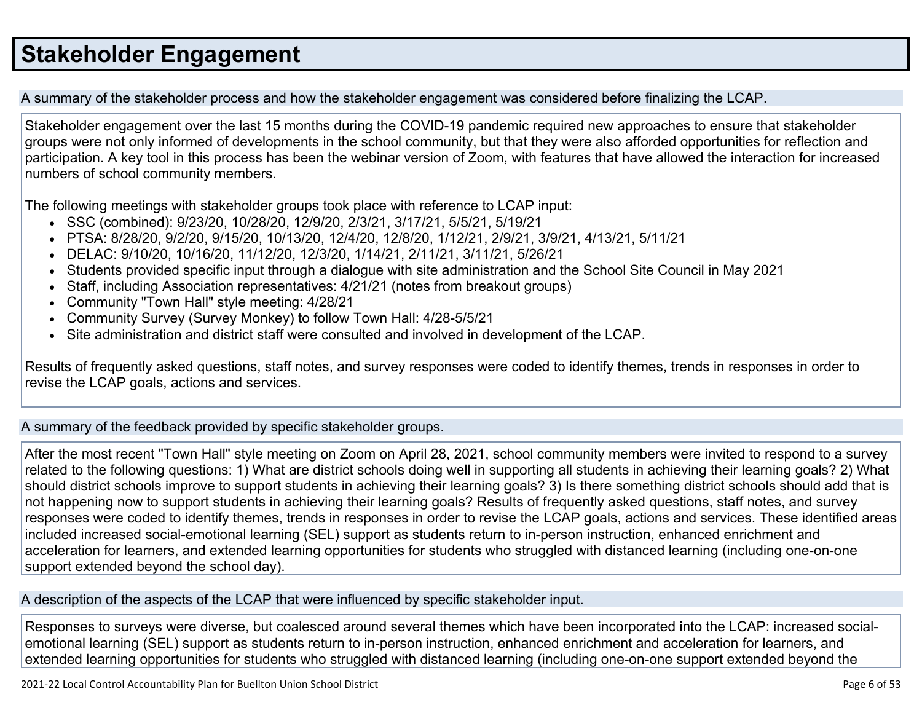# **Stakeholder [Engagement](http://www.doc-tracking.com/screenshots/21LCAP/Instructions/21LCAPInstructions.htm#StakeholderEngagement)**

A summary of the stakeholder process and how the stakeholder engagement was considered before finalizing the LCAP.

Stakeholder engagement over the last 15 months during the COVID-19 pandemic required new approaches to ensure that stakeholder groups were not only informed of developments in the school community, but that they were also afforded opportunities for reflection and participation. A key tool in this process has been the webinar version of Zoom, with features that have allowed the interaction for increased numbers of school community members.

The following meetings with stakeholder groups took place with reference to LCAP input:

- SSC (combined): 9/23/20, 10/28/20, 12/9/20, 2/3/21, 3/17/21, 5/5/21, 5/19/21
- PTSA: 8/28/20, 9/2/20, 9/15/20, 10/13/20, 12/4/20, 12/8/20, 1/12/21, 2/9/21, 3/9/21, 4/13/21, 5/11/21
- DELAC: 9/10/20, 10/16/20, 11/12/20, 12/3/20, 1/14/21, 2/11/21, 3/11/21, 5/26/21
- Students provided specific input through a dialogue with site administration and the School Site Council in May 2021
- Staff, including Association representatives: 4/21/21 (notes from breakout groups)
- Community "Town Hall" style meeting: 4/28/21
- Community Survey (Survey Monkey) to follow Town Hall: 4/28-5/5/21
- Site administration and district staff were consulted and involved in development of the LCAP.

Results of frequently asked questions, staff notes, and survey responses were coded to identify themes, trends in responses in order to revise the LCAP goals, actions and services.

A summary of the feedback provided by specific stakeholder groups.

After the most recent "Town Hall" style meeting on Zoom on April 28, 2021, school community members were invited to respond to a survey related to the following questions: 1) What are district schools doing well in supporting all students in achieving their learning goals? 2) What should district schools improve to support students in achieving their learning goals? 3) Is there something district schools should add that is not happening now to support students in achieving their learning goals? Results of frequently asked questions, staff notes, and survey responses were coded to identify themes, trends in responses in order to revise the LCAP goals, actions and services. These identified areas included increased social-emotional learning (SEL) support as students return to in-person instruction, enhanced enrichment and acceleration for learners, and extended learning opportunities for students who struggled with distanced learning (including one-on-one support extended beyond the school day).

A description of the aspects of the LCAP that were influenced by specific stakeholder input.

Responses to surveys were diverse, but coalesced around several themes which have been incorporated into the LCAP: increased socialemotional learning (SEL) support as students return to in-person instruction, enhanced enrichment and acceleration for learners, and extended learning opportunities for students who struggled with distanced learning (including one-on-one support extended beyond the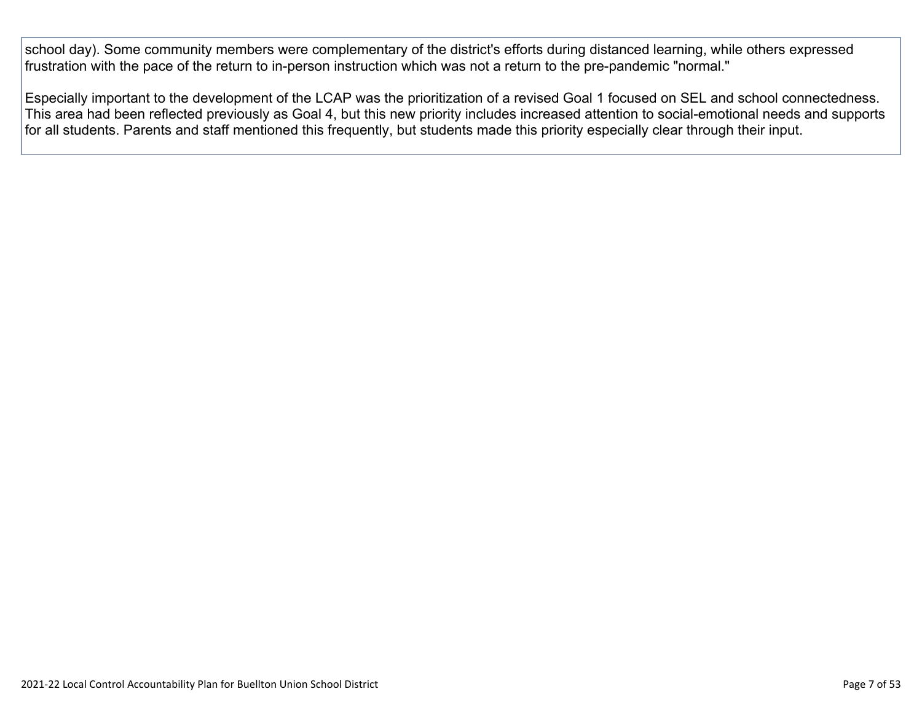school day). Some community members were complementary of the district's efforts during distanced learning, while others expressed frustration with the pace of the return to in-person instruction which was not a return to the pre-pandemic "normal."

Especially important to the development of the LCAP was the prioritization of a revised Goal 1 focused on SEL and school connectedness. This area had been reflected previously as Goal 4, but this new priority includes increased attention to social-emotional needs and supports for all students. Parents and staff mentioned this frequently, but students made this priority especially clear through their input.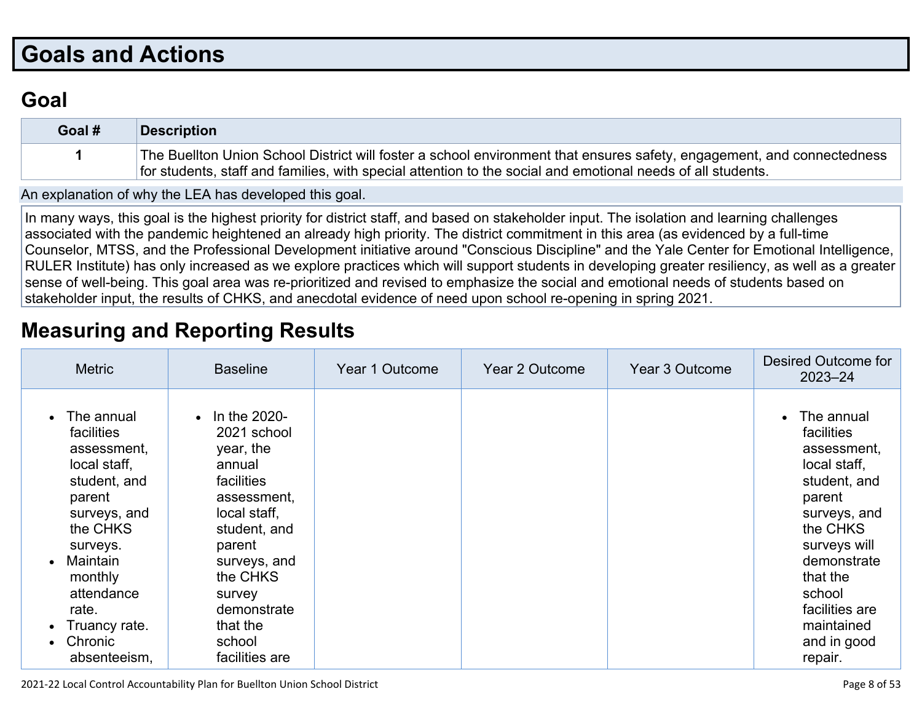# **Goals and [Actions](http://www.doc-tracking.com/screenshots/21LCAP/Instructions/21LCAPInstructions.htm#GoalsandActions)**

## **[Goal](http://www.doc-tracking.com/screenshots/21LCAP/Instructions/21LCAPInstructions.htm#goalDescription)**

| Goal # | Description                                                                                                                                                                                                                           |
|--------|---------------------------------------------------------------------------------------------------------------------------------------------------------------------------------------------------------------------------------------|
|        | The Buellton Union School District will foster a school environment that ensures safety, engagement, and connectedness<br>for students, staff and families, with special attention to the social and emotional needs of all students. |

An [explanation](http://www.doc-tracking.com/screenshots/21LCAP/Instructions/21LCAPInstructions.htm#ExplanationofWhytheLEADevelopedGoals) of why the LEA has developed this goal.

In many ways, this goal is the highest priority for district staff, and based on stakeholder input. The isolation and learning challenges associated with the pandemic heightened an already high priority. The district commitment in this area (as evidenced by a full-time Counselor, MTSS, and the Professional Development initiative around "Conscious Discipline" and the Yale Center for Emotional Intelligence, RULER Institute) has only increased as we explore practices which will support students in developing greater resiliency, as well as a greater sense of well-being. This goal area was re-prioritized and revised to emphasize the social and emotional needs of students based on stakeholder input, the results of CHKS, and anecdotal evidence of need upon school re-opening in spring 2021.

## **[Measuring](http://www.doc-tracking.com/screenshots/21LCAP/Instructions/21LCAPInstructions.htm#MeasuringandReportingResults) and Reporting Results**

| <b>Metric</b>                                                                                                                                                                                                       | <b>Baseline</b>                                                                                                                                                                                                        | Year 1 Outcome | Year 2 Outcome | Year 3 Outcome | <b>Desired Outcome for</b><br>$2023 - 24$                                                                                                                                                                                    |
|---------------------------------------------------------------------------------------------------------------------------------------------------------------------------------------------------------------------|------------------------------------------------------------------------------------------------------------------------------------------------------------------------------------------------------------------------|----------------|----------------|----------------|------------------------------------------------------------------------------------------------------------------------------------------------------------------------------------------------------------------------------|
| The annual<br>facilities<br>assessment,<br>local staff,<br>student, and<br>parent<br>surveys, and<br>the CHKS<br>surveys.<br>Maintain<br>monthly<br>attendance<br>rate.<br>Truancy rate.<br>Chronic<br>absenteeism, | In the 2020-<br>2021 school<br>year, the<br>annual<br>facilities<br>assessment,<br>local staff,<br>student, and<br>parent<br>surveys, and<br>the CHKS<br>survey<br>demonstrate<br>that the<br>school<br>facilities are |                |                |                | The annual<br>facilities<br>assessment,<br>local staff,<br>student, and<br>parent<br>surveys, and<br>the CHKS<br>surveys will<br>demonstrate<br>that the<br>school<br>facilities are<br>maintained<br>and in good<br>repair. |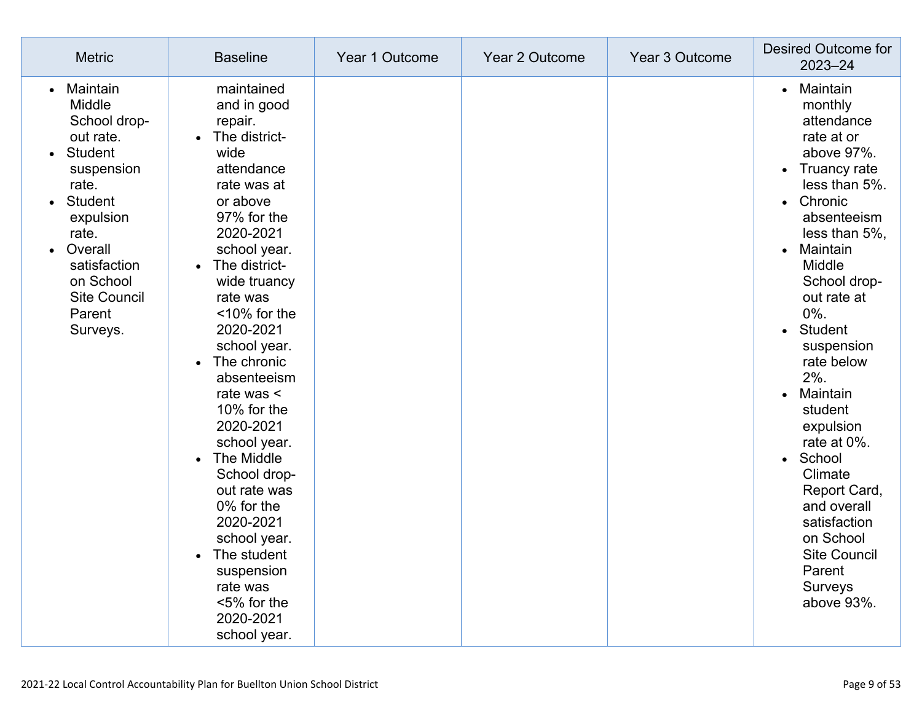| <b>Metric</b>                                                                                                                                                                                                  | <b>Baseline</b>                                                                                                                                                                                                                                                                                                                                                                                                                                                                                                                        | Year 1 Outcome | Year 2 Outcome | Year 3 Outcome | <b>Desired Outcome for</b><br>2023-24                                                                                                                                                                                                                                                                                                                                                                                                                                                                                                    |
|----------------------------------------------------------------------------------------------------------------------------------------------------------------------------------------------------------------|----------------------------------------------------------------------------------------------------------------------------------------------------------------------------------------------------------------------------------------------------------------------------------------------------------------------------------------------------------------------------------------------------------------------------------------------------------------------------------------------------------------------------------------|----------------|----------------|----------------|------------------------------------------------------------------------------------------------------------------------------------------------------------------------------------------------------------------------------------------------------------------------------------------------------------------------------------------------------------------------------------------------------------------------------------------------------------------------------------------------------------------------------------------|
| Maintain<br>Middle<br>School drop-<br>out rate.<br>Student<br>suspension<br>rate.<br><b>Student</b><br>expulsion<br>rate.<br>Overall<br>satisfaction<br>on School<br><b>Site Council</b><br>Parent<br>Surveys. | maintained<br>and in good<br>repair.<br>The district-<br>$\bullet$<br>wide<br>attendance<br>rate was at<br>or above<br>97% for the<br>2020-2021<br>school year.<br>• The district-<br>wide truancy<br>rate was<br><10% for the<br>2020-2021<br>school year.<br>The chronic<br>absenteeism<br>rate was $\leq$<br>10% for the<br>2020-2021<br>school year.<br>The Middle<br>School drop-<br>out rate was<br>0% for the<br>2020-2021<br>school year.<br>The student<br>suspension<br>rate was<br><5% for the<br>2020-2021<br>school year. |                |                |                | Maintain<br>$\bullet$<br>monthly<br>attendance<br>rate at or<br>above 97%.<br>• Truancy rate<br>less than 5%.<br>Chronic<br>$\bullet$<br>absenteeism<br>less than 5%,<br>Maintain<br>$\bullet$<br>Middle<br>School drop-<br>out rate at<br>$0\%$ .<br>Student<br>$\bullet$<br>suspension<br>rate below<br>$2%$ .<br>Maintain<br>$\bullet$<br>student<br>expulsion<br>rate at 0%.<br>School<br>$\bullet$<br>Climate<br>Report Card,<br>and overall<br>satisfaction<br>on School<br><b>Site Council</b><br>Parent<br>Surveys<br>above 93%. |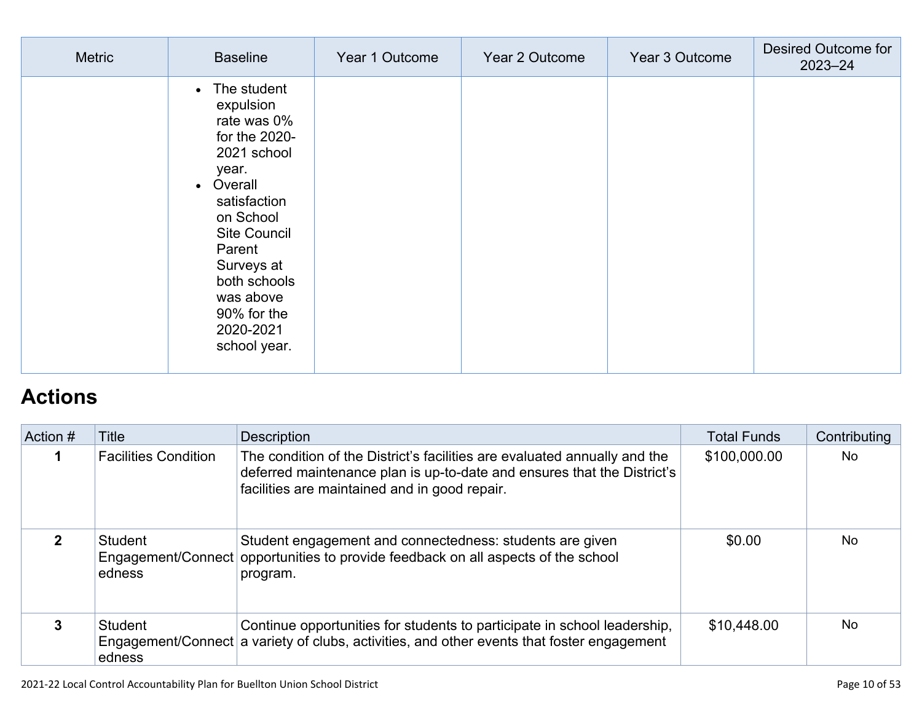| Metric | <b>Baseline</b>                                                                                                                                                                                                                                                            | Year 1 Outcome | Year 2 Outcome | Year 3 Outcome | <b>Desired Outcome for</b><br>2023-24 |
|--------|----------------------------------------------------------------------------------------------------------------------------------------------------------------------------------------------------------------------------------------------------------------------------|----------------|----------------|----------------|---------------------------------------|
|        | The student<br>$\bullet$<br>expulsion<br>rate was 0%<br>for the 2020-<br>2021 school<br>year.<br>Overall<br>$\bullet$<br>satisfaction<br>on School<br><b>Site Council</b><br>Parent<br>Surveys at<br>both schools<br>was above<br>90% for the<br>2020-2021<br>school year. |                |                |                |                                       |

# **[Actions](http://www.doc-tracking.com/screenshots/21LCAP/Instructions/21LCAPInstructions.htm#actions)**

| Action # | Title                       | <b>Description</b>                                                                                                                                                                                    | <b>Total Funds</b> | Contributing   |
|----------|-----------------------------|-------------------------------------------------------------------------------------------------------------------------------------------------------------------------------------------------------|--------------------|----------------|
|          | <b>Facilities Condition</b> | The condition of the District's facilities are evaluated annually and the<br>deferred maintenance plan is up-to-date and ensures that the District's<br>facilities are maintained and in good repair. | \$100,000.00       | No.            |
|          | Student<br>edness           | Student engagement and connectedness: students are given<br>Engagement/Connect opportunities to provide feedback on all aspects of the school<br>program.                                             | \$0.00             | N <sub>0</sub> |
| 3        | Student<br>edness           | Continue opportunities for students to participate in school leadership,<br>Engagement/Connect a variety of clubs, activities, and other events that foster engagement                                | \$10,448.00        | <b>No</b>      |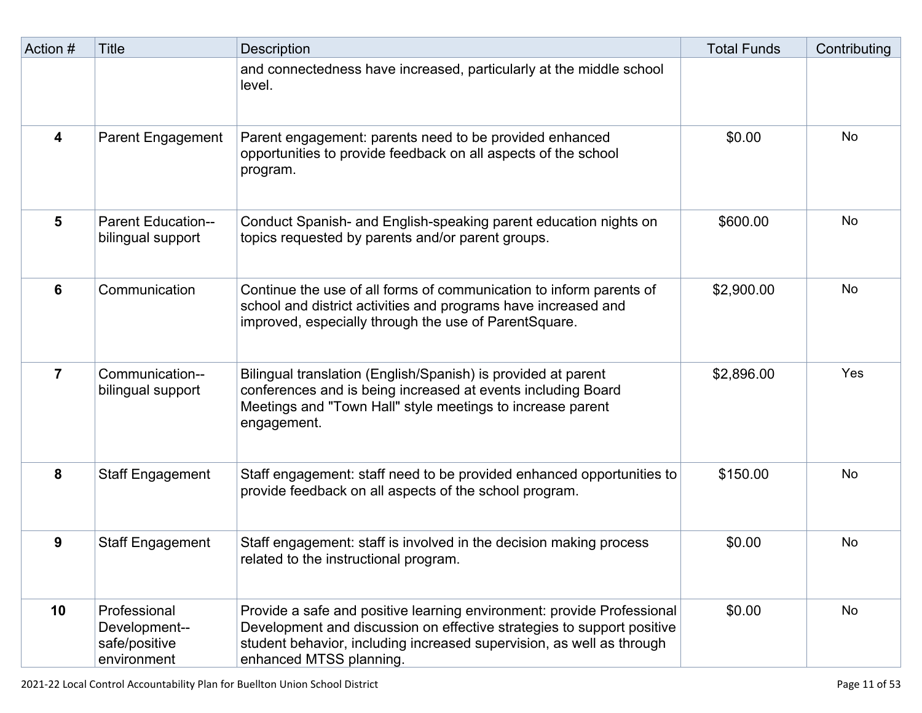| Action # | Title                                                         | <b>Description</b>                                                                                                                                                                                                                                   | <b>Total Funds</b> | Contributing |
|----------|---------------------------------------------------------------|------------------------------------------------------------------------------------------------------------------------------------------------------------------------------------------------------------------------------------------------------|--------------------|--------------|
|          |                                                               | and connectedness have increased, particularly at the middle school<br>level.                                                                                                                                                                        |                    |              |
| 4        | <b>Parent Engagement</b>                                      | Parent engagement: parents need to be provided enhanced<br>opportunities to provide feedback on all aspects of the school<br>program.                                                                                                                | \$0.00             | <b>No</b>    |
| 5        | <b>Parent Education--</b><br>bilingual support                | Conduct Spanish- and English-speaking parent education nights on<br>topics requested by parents and/or parent groups.                                                                                                                                | \$600.00           | <b>No</b>    |
| 6        | Communication                                                 | Continue the use of all forms of communication to inform parents of<br>school and district activities and programs have increased and<br>improved, especially through the use of ParentSquare.                                                       | \$2,900.00         | No           |
| 7        | Communication--<br>bilingual support                          | Bilingual translation (English/Spanish) is provided at parent<br>conferences and is being increased at events including Board<br>Meetings and "Town Hall" style meetings to increase parent<br>engagement.                                           | \$2,896.00         | Yes          |
| 8        | <b>Staff Engagement</b>                                       | Staff engagement: staff need to be provided enhanced opportunities to<br>provide feedback on all aspects of the school program.                                                                                                                      | \$150.00           | <b>No</b>    |
| 9        | <b>Staff Engagement</b>                                       | Staff engagement: staff is involved in the decision making process<br>related to the instructional program.                                                                                                                                          | \$0.00             | <b>No</b>    |
| 10       | Professional<br>Development--<br>safe/positive<br>environment | Provide a safe and positive learning environment: provide Professional<br>Development and discussion on effective strategies to support positive<br>student behavior, including increased supervision, as well as through<br>enhanced MTSS planning. | \$0.00             | <b>No</b>    |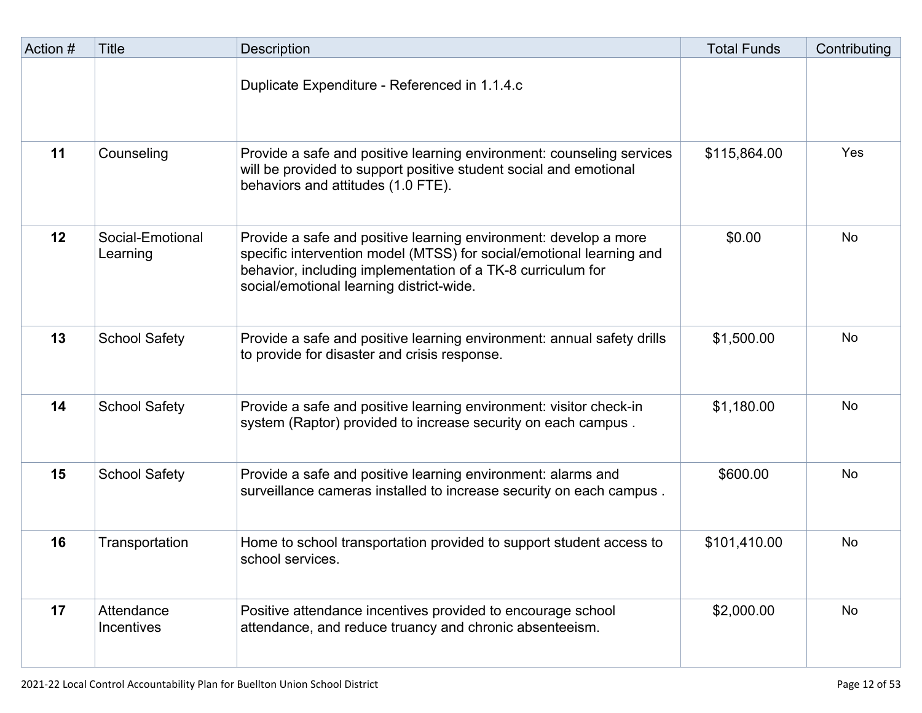| Action # | Title                        | Description                                                                                                                                                                                                                                         | <b>Total Funds</b> | Contributing |
|----------|------------------------------|-----------------------------------------------------------------------------------------------------------------------------------------------------------------------------------------------------------------------------------------------------|--------------------|--------------|
|          |                              | Duplicate Expenditure - Referenced in 1.1.4.c                                                                                                                                                                                                       |                    |              |
| 11       | Counseling                   | Provide a safe and positive learning environment: counseling services<br>will be provided to support positive student social and emotional<br>behaviors and attitudes (1.0 FTE).                                                                    | \$115,864.00       | Yes          |
| 12       | Social-Emotional<br>Learning | Provide a safe and positive learning environment: develop a more<br>specific intervention model (MTSS) for social/emotional learning and<br>behavior, including implementation of a TK-8 curriculum for<br>social/emotional learning district-wide. | \$0.00             | No           |
| 13       | <b>School Safety</b>         | Provide a safe and positive learning environment: annual safety drills<br>to provide for disaster and crisis response.                                                                                                                              | \$1,500.00         | No           |
| 14       | <b>School Safety</b>         | Provide a safe and positive learning environment: visitor check-in<br>system (Raptor) provided to increase security on each campus.                                                                                                                 | \$1,180.00         | <b>No</b>    |
| 15       | <b>School Safety</b>         | Provide a safe and positive learning environment: alarms and<br>surveillance cameras installed to increase security on each campus.                                                                                                                 | \$600.00           | No           |
| 16       | Transportation               | Home to school transportation provided to support student access to<br>school services.                                                                                                                                                             | \$101,410.00       | No           |
| 17       | Attendance<br>Incentives     | Positive attendance incentives provided to encourage school<br>attendance, and reduce truancy and chronic absenteeism.                                                                                                                              | \$2,000.00         | No           |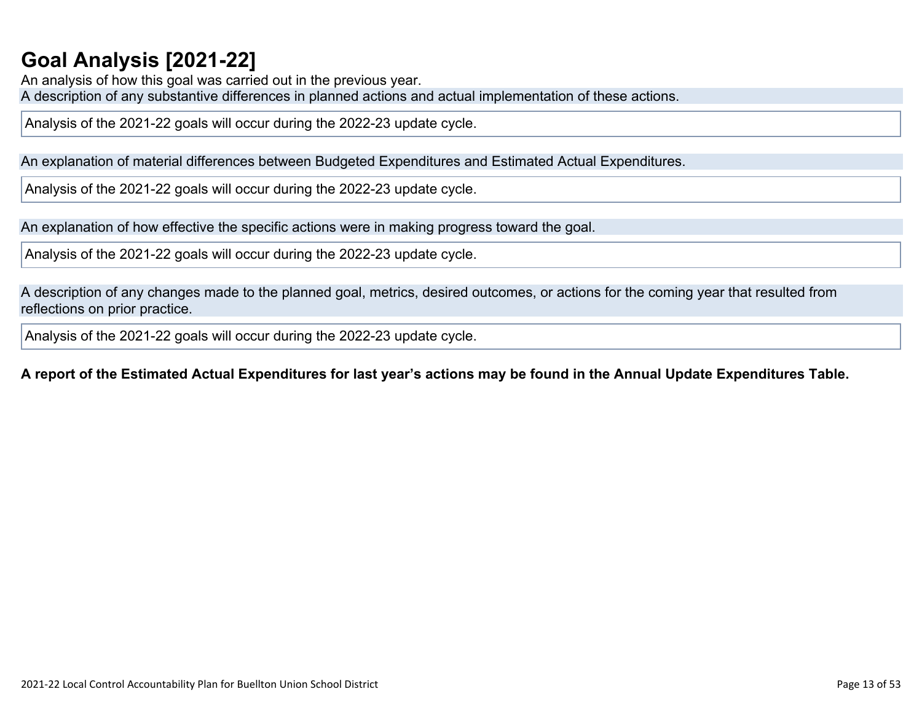# **Goal Analysis [\[2021-22\]](http://www.doc-tracking.com/screenshots/21LCAP/Instructions/21LCAPInstructions.htm#GoalAnalysis)**

An analysis of how this goal was carried out in the previous year. A description of any substantive differences in planned actions and actual implementation of these actions.

Analysis of the 2021-22 goals will occur during the 2022-23 update cycle.

An explanation of material differences between Budgeted Expenditures and Estimated Actual Expenditures.

Analysis of the 2021-22 goals will occur during the 2022-23 update cycle.

An explanation of how effective the specific actions were in making progress toward the goal.

Analysis of the 2021-22 goals will occur during the 2022-23 update cycle.

A description of any changes made to the planned goal, metrics, desired outcomes, or actions for the coming year that resulted from reflections on prior practice.

Analysis of the 2021-22 goals will occur during the 2022-23 update cycle.

### A report of the Estimated Actual Expenditures for last year's actions may be found in the Annual Update Expenditures Table.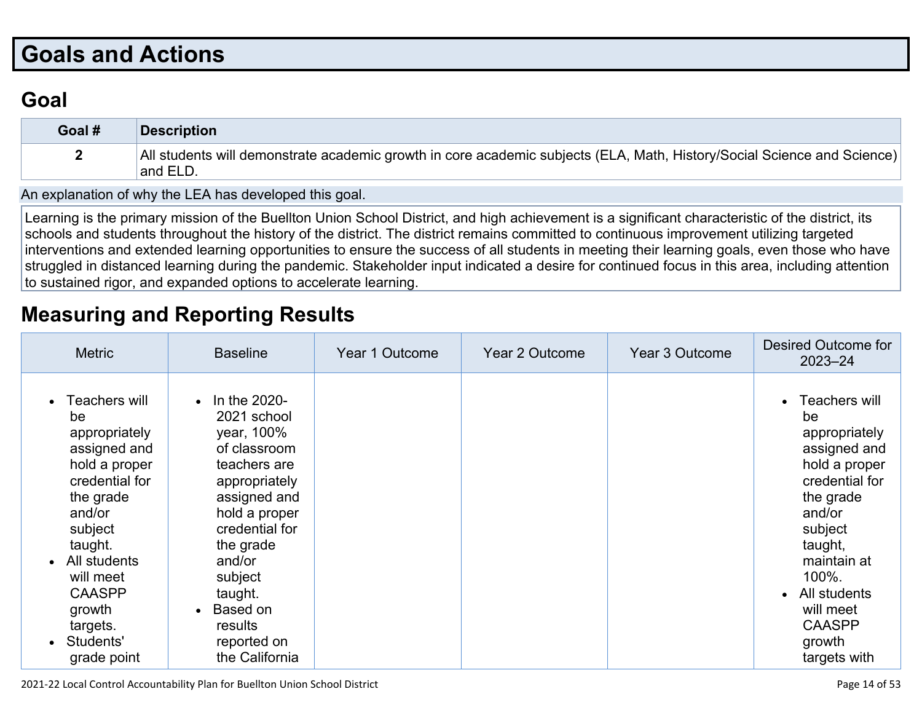# **Goals and [Actions](http://www.doc-tracking.com/screenshots/21LCAP/Instructions/21LCAPInstructions.htm#GoalsandActions)**

## **[Goal](http://www.doc-tracking.com/screenshots/21LCAP/Instructions/21LCAPInstructions.htm#goalDescription)**

| Goal # | <b>Description</b>                                                                                                                  |
|--------|-------------------------------------------------------------------------------------------------------------------------------------|
|        | All students will demonstrate academic growth in core academic subjects (ELA, Math, History/Social Science and Science)<br>and ELD. |

An [explanation](http://www.doc-tracking.com/screenshots/21LCAP/Instructions/21LCAPInstructions.htm#ExplanationofWhytheLEADevelopedGoals) of why the LEA has developed this goal.

Learning is the primary mission of the Buellton Union School District, and high achievement is a significant characteristic of the district, its schools and students throughout the history of the district. The district remains committed to continuous improvement utilizing targeted interventions and extended learning opportunities to ensure the success of all students in meeting their learning goals, even those who have struggled in distanced learning during the pandemic. Stakeholder input indicated a desire for continued focus in this area, including attention to sustained rigor, and expanded options to accelerate learning.

## **[Measuring](http://www.doc-tracking.com/screenshots/21LCAP/Instructions/21LCAPInstructions.htm#MeasuringandReportingResults) and Reporting Results**

| <b>Metric</b>                                                                                                                                                                                                                        | <b>Baseline</b>                                                                                                                                                                                                                                            | Year 1 Outcome | Year 2 Outcome | Year 3 Outcome | Desired Outcome for<br>$2023 - 24$                                                                                                                                                                                                         |
|--------------------------------------------------------------------------------------------------------------------------------------------------------------------------------------------------------------------------------------|------------------------------------------------------------------------------------------------------------------------------------------------------------------------------------------------------------------------------------------------------------|----------------|----------------|----------------|--------------------------------------------------------------------------------------------------------------------------------------------------------------------------------------------------------------------------------------------|
| Teachers will<br>be<br>appropriately<br>assigned and<br>hold a proper<br>credential for<br>the grade<br>and/or<br>subject<br>taught.<br>All students<br>will meet<br><b>CAASPP</b><br>growth<br>targets.<br>Students'<br>grade point | $\cdot$ In the 2020-<br>2021 school<br>year, 100%<br>of classroom<br>teachers are<br>appropriately<br>assigned and<br>hold a proper<br>credential for<br>the grade<br>and/or<br>subject<br>taught.<br>Based on<br>results<br>reported on<br>the California |                |                |                | • Teachers will<br>be<br>appropriately<br>assigned and<br>hold a proper<br>credential for<br>the grade<br>and/or<br>subject<br>taught,<br>maintain at<br>$100\%$ .<br>All students<br>will meet<br><b>CAASPP</b><br>growth<br>targets with |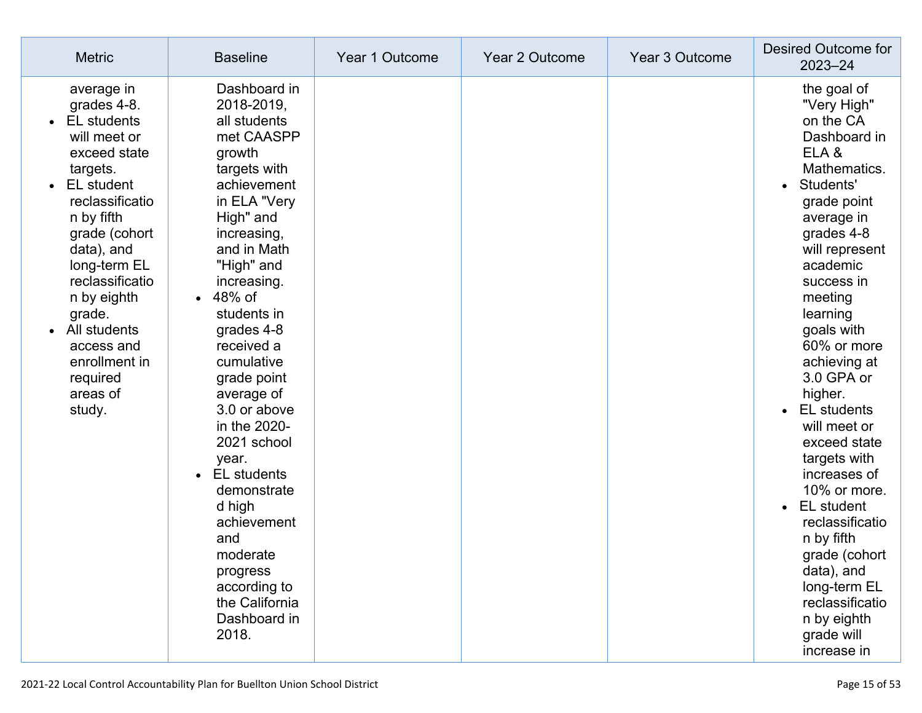| <b>Metric</b>                                                                                                                                                                                                                                                                                                          | <b>Baseline</b>                                                                                                                                                                                                                                                                                                                                                                                                                                                                                                                     | Year 1 Outcome | Year 2 Outcome | Year 3 Outcome | Desired Outcome for<br>$2023 - 24$                                                                                                                                                                                                                                                                                                                                                                                                                                                                                                                                                         |
|------------------------------------------------------------------------------------------------------------------------------------------------------------------------------------------------------------------------------------------------------------------------------------------------------------------------|-------------------------------------------------------------------------------------------------------------------------------------------------------------------------------------------------------------------------------------------------------------------------------------------------------------------------------------------------------------------------------------------------------------------------------------------------------------------------------------------------------------------------------------|----------------|----------------|----------------|--------------------------------------------------------------------------------------------------------------------------------------------------------------------------------------------------------------------------------------------------------------------------------------------------------------------------------------------------------------------------------------------------------------------------------------------------------------------------------------------------------------------------------------------------------------------------------------------|
| average in<br>grades 4-8.<br><b>EL</b> students<br>will meet or<br>exceed state<br>targets.<br>EL student<br>reclassificatio<br>n by fifth<br>grade (cohort<br>data), and<br>long-term EL<br>reclassificatio<br>n by eighth<br>grade.<br>All students<br>access and<br>enrollment in<br>required<br>areas of<br>study. | Dashboard in<br>2018-2019,<br>all students<br>met CAASPP<br>growth<br>targets with<br>achievement<br>in ELA "Very<br>High" and<br>increasing,<br>and in Math<br>"High" and<br>increasing.<br>48% of<br>$\bullet$<br>students in<br>grades 4-8<br>received a<br>cumulative<br>grade point<br>average of<br>3.0 or above<br>in the 2020-<br>2021 school<br>year.<br><b>EL</b> students<br>$\bullet$<br>demonstrate<br>d high<br>achievement<br>and<br>moderate<br>progress<br>according to<br>the California<br>Dashboard in<br>2018. |                |                |                | the goal of<br>"Very High"<br>on the CA<br>Dashboard in<br>ELA&<br>Mathematics.<br>Students'<br>$\bullet$<br>grade point<br>average in<br>grades 4-8<br>will represent<br>academic<br>success in<br>meeting<br>learning<br>goals with<br>60% or more<br>achieving at<br>3.0 GPA or<br>higher.<br><b>EL</b> students<br>$\bullet$<br>will meet or<br>exceed state<br>targets with<br>increases of<br>10% or more.<br>EL student<br>$\bullet$<br>reclassificatio<br>n by fifth<br>grade (cohort<br>data), and<br>long-term EL<br>reclassificatio<br>n by eighth<br>grade will<br>increase in |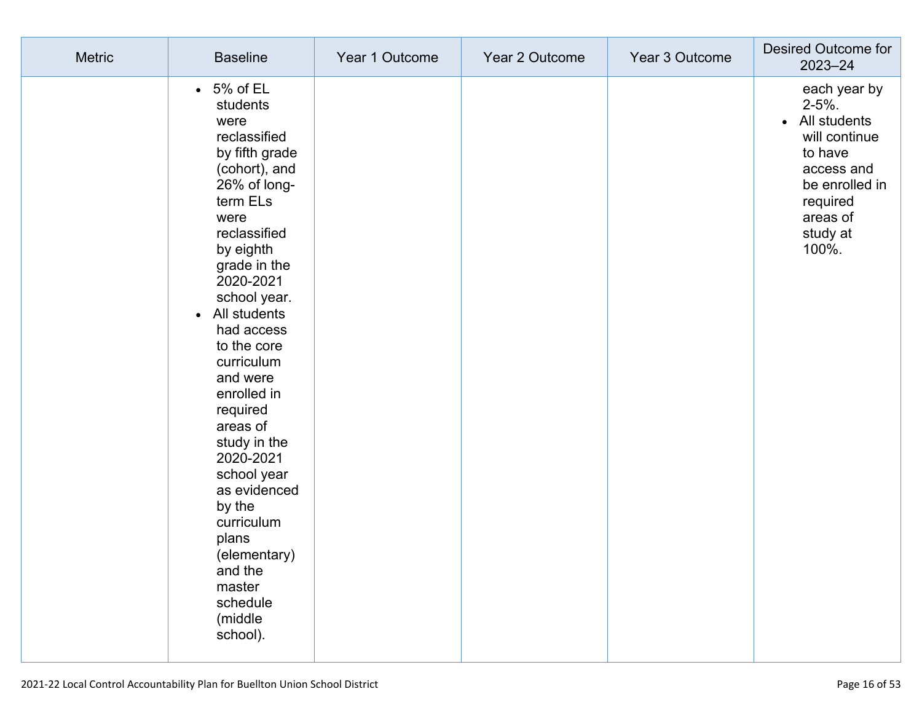| <b>Metric</b> | <b>Baseline</b>                                                                                                                                                                                                                                                                                                                                                                                                                                                                                       | Year 1 Outcome | Year 2 Outcome | Year 3 Outcome | Desired Outcome for<br>$2023 - 24$                                                                                                                               |
|---------------|-------------------------------------------------------------------------------------------------------------------------------------------------------------------------------------------------------------------------------------------------------------------------------------------------------------------------------------------------------------------------------------------------------------------------------------------------------------------------------------------------------|----------------|----------------|----------------|------------------------------------------------------------------------------------------------------------------------------------------------------------------|
|               | $\cdot$ 5% of EL<br>students<br>were<br>reclassified<br>by fifth grade<br>(cohort), and<br>26% of long-<br>term ELs<br>were<br>reclassified<br>by eighth<br>grade in the<br>2020-2021<br>school year.<br>All students<br>$\bullet$<br>had access<br>to the core<br>curriculum<br>and were<br>enrolled in<br>required<br>areas of<br>study in the<br>2020-2021<br>school year<br>as evidenced<br>by the<br>curriculum<br>plans<br>(elementary)<br>and the<br>master<br>schedule<br>(middle<br>school). |                |                |                | each year by<br>$2 - 5%$ .<br>All students<br>$\bullet$<br>will continue<br>to have<br>access and<br>be enrolled in<br>required<br>areas of<br>study at<br>100%. |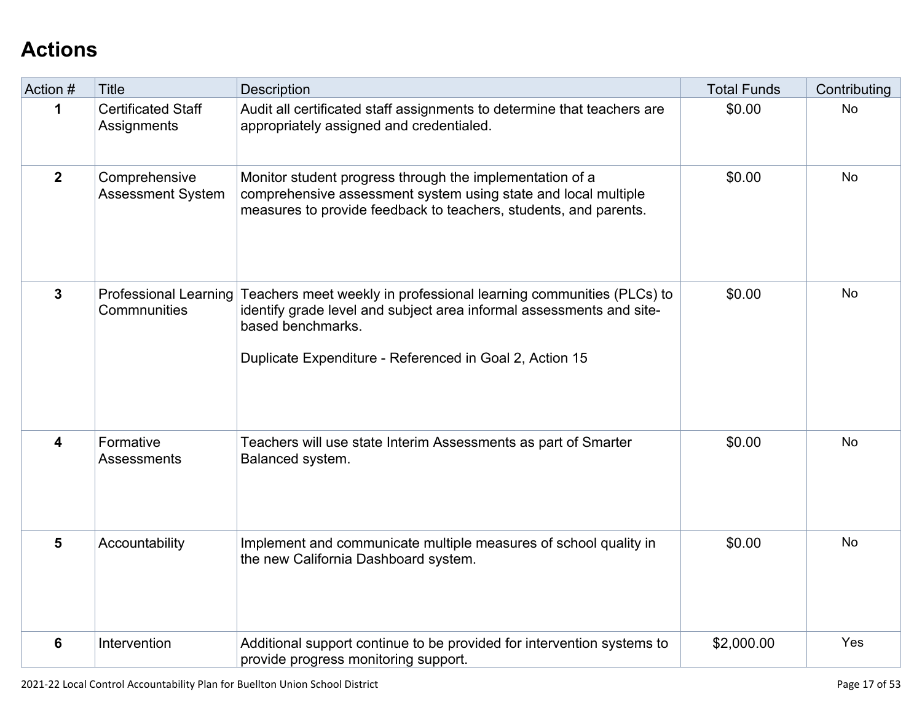# **[Actions](http://www.doc-tracking.com/screenshots/21LCAP/Instructions/21LCAPInstructions.htm#actions)**

| Action #       | <b>Title</b>                                 | Description                                                                                                                                                                                                                 | <b>Total Funds</b> | Contributing |
|----------------|----------------------------------------------|-----------------------------------------------------------------------------------------------------------------------------------------------------------------------------------------------------------------------------|--------------------|--------------|
| 1              | <b>Certificated Staff</b><br>Assignments     | Audit all certificated staff assignments to determine that teachers are<br>appropriately assigned and credentialed.                                                                                                         | \$0.00             | <b>No</b>    |
| $\overline{2}$ | Comprehensive<br><b>Assessment System</b>    | Monitor student progress through the implementation of a<br>comprehensive assessment system using state and local multiple<br>measures to provide feedback to teachers, students, and parents.                              | \$0.00             | <b>No</b>    |
| $\mathbf{3}$   | <b>Professional Learning</b><br>Commnunities | Teachers meet weekly in professional learning communities (PLCs) to<br>identify grade level and subject area informal assessments and site-<br>based benchmarks.<br>Duplicate Expenditure - Referenced in Goal 2, Action 15 | \$0.00             | No           |
| 4              | Formative<br>Assessments                     | Teachers will use state Interim Assessments as part of Smarter<br>Balanced system.                                                                                                                                          | \$0.00             | <b>No</b>    |
| 5              | Accountability                               | Implement and communicate multiple measures of school quality in<br>the new California Dashboard system.                                                                                                                    | \$0.00             | <b>No</b>    |
| 6              | Intervention                                 | Additional support continue to be provided for intervention systems to<br>provide progress monitoring support.                                                                                                              | \$2,000.00         | Yes          |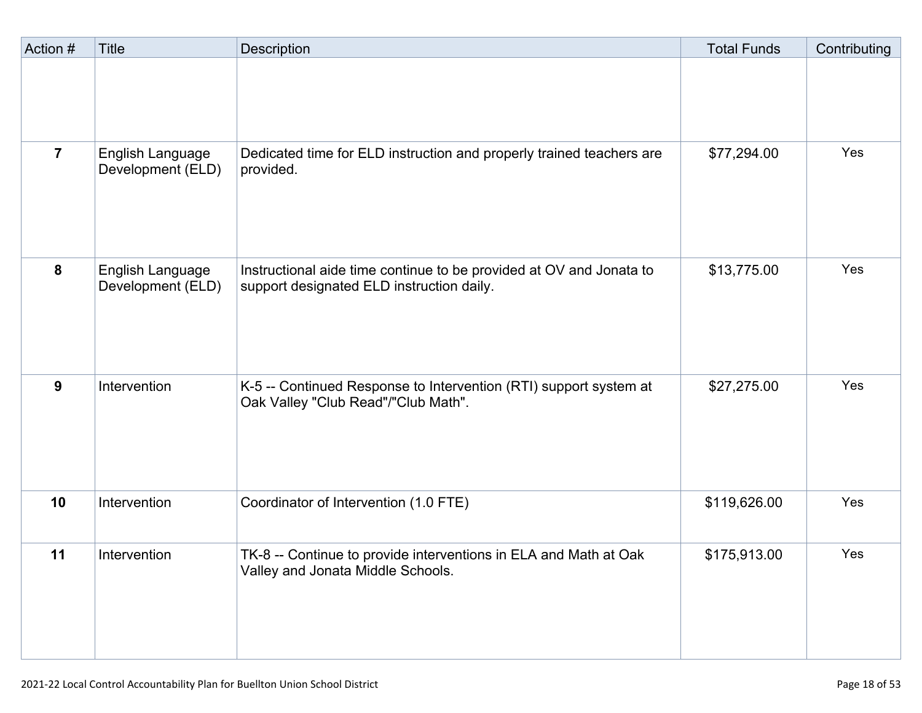| Action #       | <b>Title</b>                          | Description                                                                                                      | <b>Total Funds</b> | Contributing |
|----------------|---------------------------------------|------------------------------------------------------------------------------------------------------------------|--------------------|--------------|
|                |                                       |                                                                                                                  |                    |              |
| $\overline{7}$ | English Language<br>Development (ELD) | Dedicated time for ELD instruction and properly trained teachers are<br>provided.                                | \$77,294.00        | Yes          |
| 8              | English Language<br>Development (ELD) | Instructional aide time continue to be provided at OV and Jonata to<br>support designated ELD instruction daily. | \$13,775.00        | Yes          |
| 9              | Intervention                          | K-5 -- Continued Response to Intervention (RTI) support system at<br>Oak Valley "Club Read"/"Club Math".         | \$27,275.00        | Yes          |
| 10             | Intervention                          | Coordinator of Intervention (1.0 FTE)                                                                            | \$119,626.00       | Yes          |
| 11             | Intervention                          | TK-8 -- Continue to provide interventions in ELA and Math at Oak<br>Valley and Jonata Middle Schools.            | \$175,913.00       | Yes          |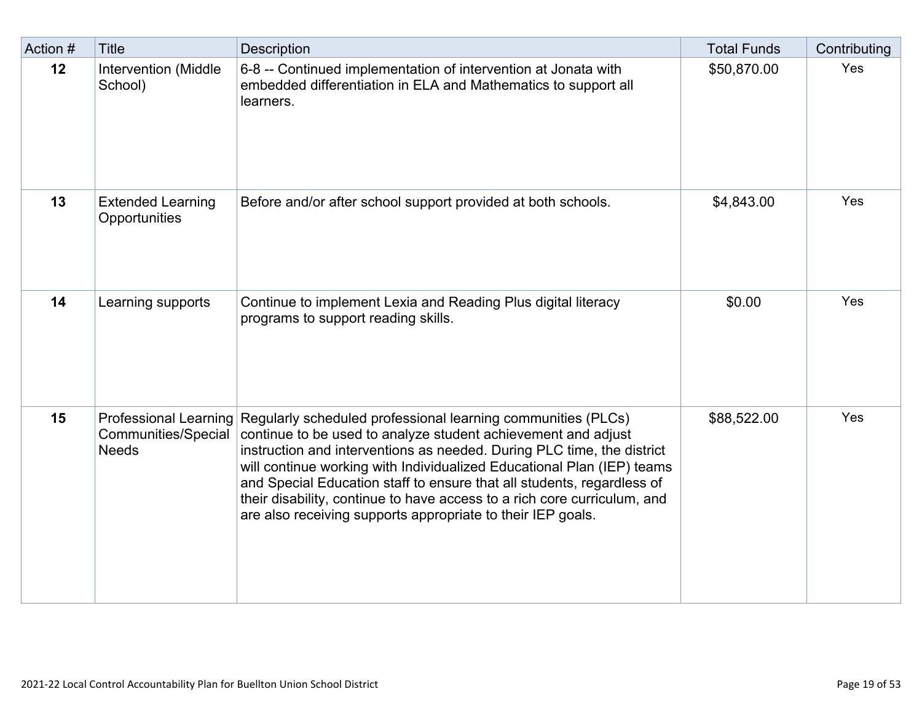| Action # | <b>Title</b>                              | <b>Description</b>                                                                                                                                                                                                                                                                                                                                                                                                                                                                                                           | <b>Total Funds</b> | Contributing |
|----------|-------------------------------------------|------------------------------------------------------------------------------------------------------------------------------------------------------------------------------------------------------------------------------------------------------------------------------------------------------------------------------------------------------------------------------------------------------------------------------------------------------------------------------------------------------------------------------|--------------------|--------------|
| 12       | Intervention (Middle<br>School)           | 6-8 -- Continued implementation of intervention at Jonata with<br>embedded differentiation in ELA and Mathematics to support all<br>learners.                                                                                                                                                                                                                                                                                                                                                                                | \$50,870.00        | Yes          |
| 13       | <b>Extended Learning</b><br>Opportunities | Before and/or after school support provided at both schools.                                                                                                                                                                                                                                                                                                                                                                                                                                                                 | \$4,843.00         | Yes          |
| 14       | Learning supports                         | Continue to implement Lexia and Reading Plus digital literacy<br>programs to support reading skills.                                                                                                                                                                                                                                                                                                                                                                                                                         | \$0.00             | Yes          |
| 15       | Communities/Special<br><b>Needs</b>       | Professional Learning Regularly scheduled professional learning communities (PLCs)<br>continue to be used to analyze student achievement and adjust<br>instruction and interventions as needed. During PLC time, the district<br>will continue working with Individualized Educational Plan (IEP) teams<br>and Special Education staff to ensure that all students, regardless of<br>their disability, continue to have access to a rich core curriculum, and<br>are also receiving supports appropriate to their IEP goals. | \$88,522.00        | Yes          |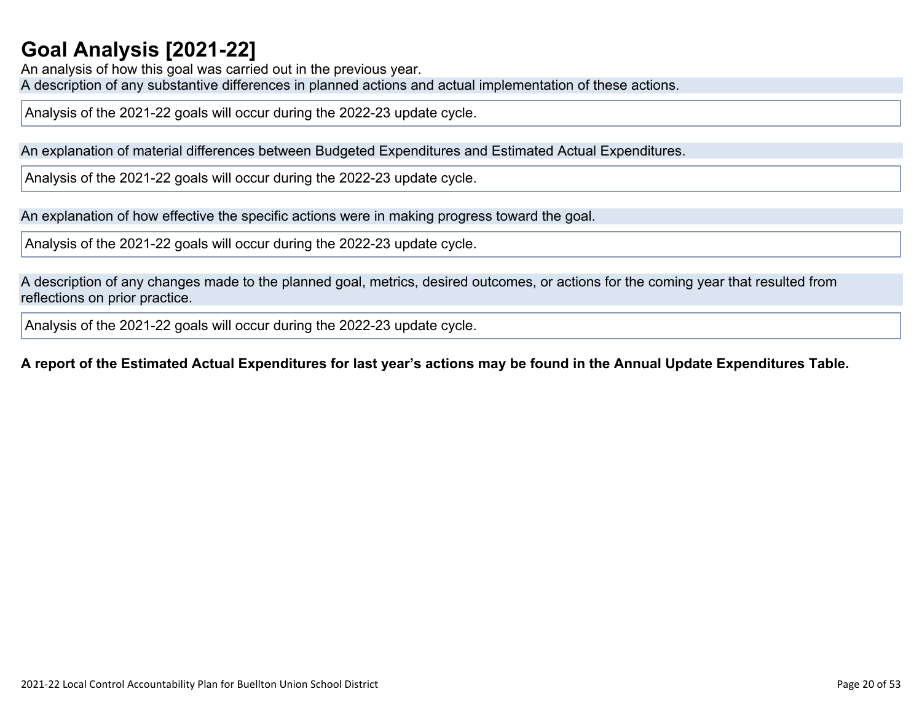## **Goal Analysis [\[2021-22\]](http://www.doc-tracking.com/screenshots/21LCAP/Instructions/21LCAPInstructions.htm#GoalAnalysis)**

An analysis of how this goal was carried out in the previous year. A description of any substantive differences in planned actions and actual implementation of these actions.

Analysis of the 2021-22 goals will occur during the 2022-23 update cycle.

An explanation of material differences between Budgeted Expenditures and Estimated Actual Expenditures.

Analysis of the 2021-22 goals will occur during the 2022-23 update cycle.

An explanation of how effective the specific actions were in making progress toward the goal.

Analysis of the 2021-22 goals will occur during the 2022-23 update cycle.

A description of any changes made to the planned goal, metrics, desired outcomes, or actions for the coming year that resulted from reflections on prior practice.

Analysis of the 2021-22 goals will occur during the 2022-23 update cycle.

### A report of the Estimated Actual Expenditures for last year's actions may be found in the Annual Update Expenditures Table.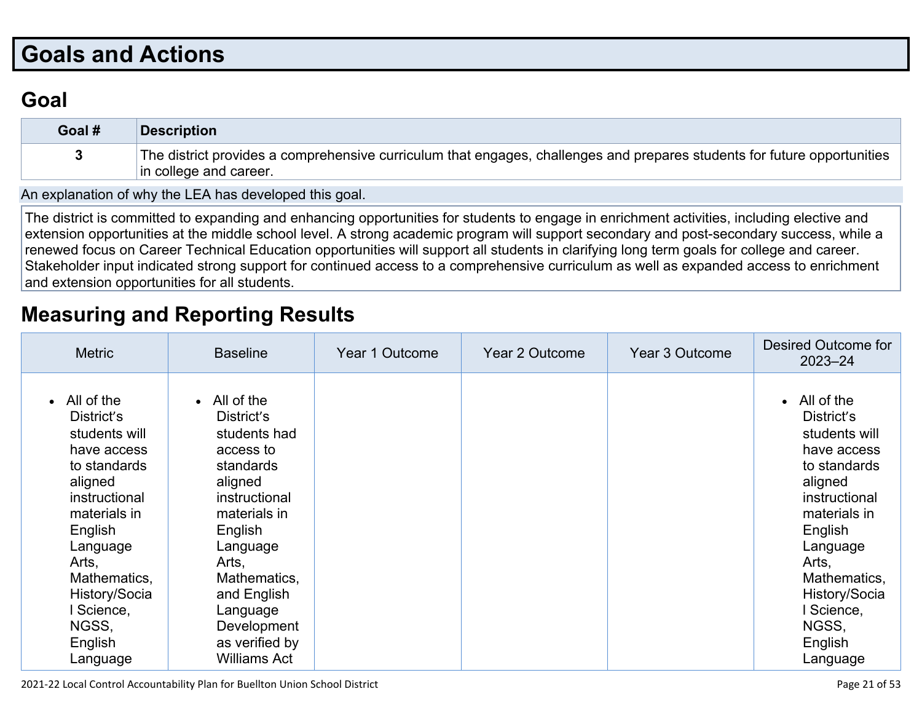# **Goals and [Actions](http://www.doc-tracking.com/screenshots/21LCAP/Instructions/21LCAPInstructions.htm#GoalsandActions)**

## **[Goal](http://www.doc-tracking.com/screenshots/21LCAP/Instructions/21LCAPInstructions.htm#goalDescription)**

| Goal # | Description                                                                                                                                        |
|--------|----------------------------------------------------------------------------------------------------------------------------------------------------|
|        | The district provides a comprehensive curriculum that engages, challenges and prepares students for future opportunities<br>in college and career. |

An [explanation](http://www.doc-tracking.com/screenshots/21LCAP/Instructions/21LCAPInstructions.htm#ExplanationofWhytheLEADevelopedGoals) of why the LEA has developed this goal.

The district is committed to expanding and enhancing opportunities for students to engage in enrichment activities, including elective and extension opportunities at the middle school level. A strong academic program will support secondary and post-secondary success, while a renewed focus on Career Technical Education opportunities will support all students in clarifying long term goals for college and career. Stakeholder input indicated strong support for continued access to a comprehensive curriculum as well as expanded access to enrichment and extension opportunities for all students.

## **[Measuring](http://www.doc-tracking.com/screenshots/21LCAP/Instructions/21LCAPInstructions.htm#MeasuringandReportingResults) and Reporting Results**

| <b>Metric</b>                                                                                                                                                                                                                                 | <b>Baseline</b>                                                                                                                                                                                                                                             | Year 1 Outcome | Year 2 Outcome | Year 3 Outcome | Desired Outcome for<br>$2023 - 24$                                                                                                                                                                                                  |
|-----------------------------------------------------------------------------------------------------------------------------------------------------------------------------------------------------------------------------------------------|-------------------------------------------------------------------------------------------------------------------------------------------------------------------------------------------------------------------------------------------------------------|----------------|----------------|----------------|-------------------------------------------------------------------------------------------------------------------------------------------------------------------------------------------------------------------------------------|
| $\bullet$ All of the<br>District's<br>students will<br>have access<br>to standards<br>aligned<br>instructional<br>materials in<br>English<br>Language<br>Arts,<br>Mathematics,<br>History/Socia<br>l Science,<br>NGSS,<br>English<br>Language | $\bullet$ All of the<br>District's<br>students had<br>access to<br>standards<br>aligned<br>instructional<br>materials in<br>English<br>Language<br>Arts,<br>Mathematics,<br>and English<br>Language<br>Development<br>as verified by<br><b>Williams Act</b> |                |                |                | • All of the<br>District's<br>students will<br>have access<br>to standards<br>aligned<br>instructional<br>materials in<br>English<br>Language<br>Arts,<br>Mathematics,<br>History/Socia<br>Science,<br>NGSS,<br>English<br>Language |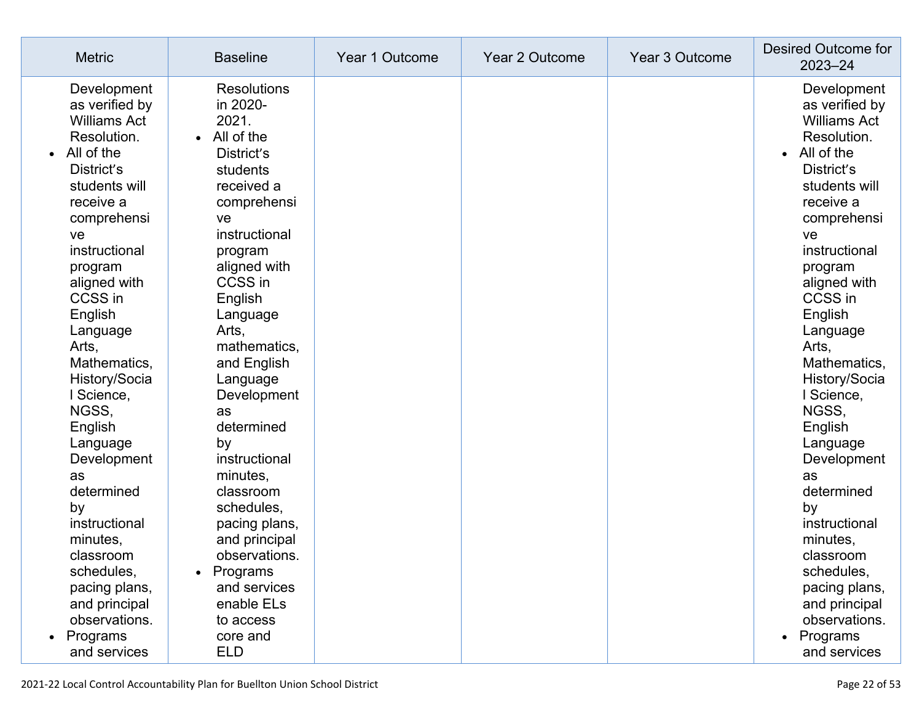| <b>Metric</b>                                                                                                                                                                                                                                                                                                                                                                                                                                                                             | <b>Baseline</b>                                                                                                                                                                                                                                                                                                                                                                                                                                                | Year 1 Outcome | Year 2 Outcome | Year 3 Outcome | Desired Outcome for<br>$2023 - 24$                                                                                                                                                                                                                                                                                                                                                                                                                                                        |
|-------------------------------------------------------------------------------------------------------------------------------------------------------------------------------------------------------------------------------------------------------------------------------------------------------------------------------------------------------------------------------------------------------------------------------------------------------------------------------------------|----------------------------------------------------------------------------------------------------------------------------------------------------------------------------------------------------------------------------------------------------------------------------------------------------------------------------------------------------------------------------------------------------------------------------------------------------------------|----------------|----------------|----------------|-------------------------------------------------------------------------------------------------------------------------------------------------------------------------------------------------------------------------------------------------------------------------------------------------------------------------------------------------------------------------------------------------------------------------------------------------------------------------------------------|
| Development<br>as verified by<br><b>Williams Act</b><br>Resolution.<br>All of the<br>$\bullet$<br>District's<br>students will<br>receive a<br>comprehensi<br>ve<br>instructional<br>program<br>aligned with<br>CCSS in<br>English<br>Language<br>Arts,<br>Mathematics,<br>History/Socia<br>I Science,<br>NGSS,<br>English<br>Language<br>Development<br>as<br>determined<br>by<br>instructional<br>minutes,<br>classroom<br>schedules,<br>pacing plans,<br>and principal<br>observations. | <b>Resolutions</b><br>in 2020-<br>2021.<br>All of the<br>District's<br>students<br>received a<br>comprehensi<br>ve<br>instructional<br>program<br>aligned with<br>CCSS in<br>English<br>Language<br>Arts,<br>mathematics,<br>and English<br>Language<br>Development<br>as<br>determined<br>by<br>instructional<br>minutes,<br>classroom<br>schedules,<br>pacing plans,<br>and principal<br>observations<br>Programs<br>and services<br>enable ELs<br>to access |                |                |                | Development<br>as verified by<br><b>Williams Act</b><br>Resolution.<br>All of the<br>$\bullet$<br>District's<br>students will<br>receive a<br>comprehensi<br>ve<br>instructional<br>program<br>aligned with<br>CCSS in<br>English<br>Language<br>Arts,<br>Mathematics,<br>History/Socia<br>I Science,<br>NGSS,<br>English<br>Language<br>Development<br>as<br>determined<br>by<br>instructional<br>minutes,<br>classroom<br>schedules,<br>pacing plans,<br>and principal<br>observations. |
| Programs<br>and services                                                                                                                                                                                                                                                                                                                                                                                                                                                                  | core and<br><b>ELD</b>                                                                                                                                                                                                                                                                                                                                                                                                                                         |                |                |                | Programs<br>and services                                                                                                                                                                                                                                                                                                                                                                                                                                                                  |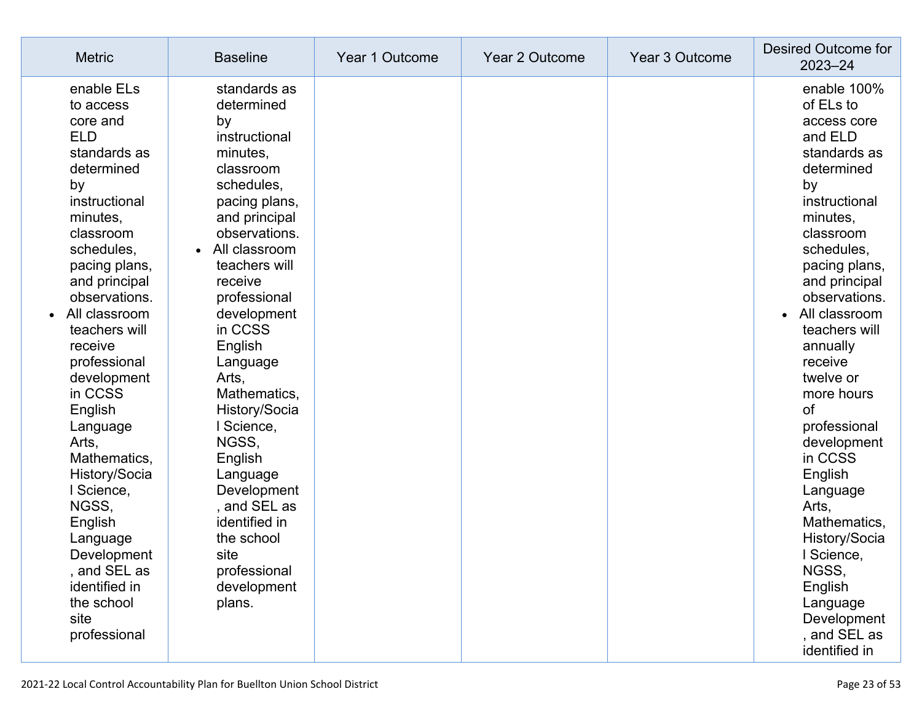| <b>Metric</b>                                                                                                                                                                                                                                                                                                                                                                                                                                                                                | <b>Baseline</b>                                                                                                                                                                                                                                                                                                                                                                                                                                                  | Year 1 Outcome | <b>Year 2 Outcome</b> | Year 3 Outcome | Desired Outcome for<br>$2023 - 24$                                                                                                                                                                                                                                                                                                                                                                                                                                                                                    |
|----------------------------------------------------------------------------------------------------------------------------------------------------------------------------------------------------------------------------------------------------------------------------------------------------------------------------------------------------------------------------------------------------------------------------------------------------------------------------------------------|------------------------------------------------------------------------------------------------------------------------------------------------------------------------------------------------------------------------------------------------------------------------------------------------------------------------------------------------------------------------------------------------------------------------------------------------------------------|----------------|-----------------------|----------------|-----------------------------------------------------------------------------------------------------------------------------------------------------------------------------------------------------------------------------------------------------------------------------------------------------------------------------------------------------------------------------------------------------------------------------------------------------------------------------------------------------------------------|
| enable ELs<br>to access<br>core and<br><b>ELD</b><br>standards as<br>determined<br>by<br>instructional<br>minutes,<br>classroom<br>schedules,<br>pacing plans,<br>and principal<br>observations.<br>All classroom<br>teachers will<br>receive<br>professional<br>development<br>in CCSS<br>English<br>Language<br>Arts,<br>Mathematics,<br>History/Socia<br>I Science,<br>NGSS,<br>English<br>Language<br>Development<br>, and SEL as<br>identified in<br>the school<br>site<br>professional | standards as<br>determined<br>by<br>instructional<br>minutes,<br>classroom<br>schedules,<br>pacing plans,<br>and principal<br>observations.<br>All classroom<br>teachers will<br>receive<br>professional<br>development<br>in CCSS<br>English<br>Language<br>Arts,<br>Mathematics,<br>History/Socia<br>l Science,<br>NGSS,<br>English<br>Language<br>Development<br>, and SEL as<br>identified in<br>the school<br>site<br>professional<br>development<br>plans. |                |                       |                | enable 100%<br>of ELs to<br>access core<br>and ELD<br>standards as<br>determined<br>by<br>instructional<br>minutes,<br>classroom<br>schedules,<br>pacing plans,<br>and principal<br>observations.<br>All classroom<br>$\bullet$<br>teachers will<br>annually<br>receive<br>twelve or<br>more hours<br><b>of</b><br>professional<br>development<br>in CCSS<br>English<br>Language<br>Arts,<br>Mathematics,<br>History/Socia<br>Science<br>NGSS,<br>English<br>Language<br>Development<br>, and SEL as<br>identified in |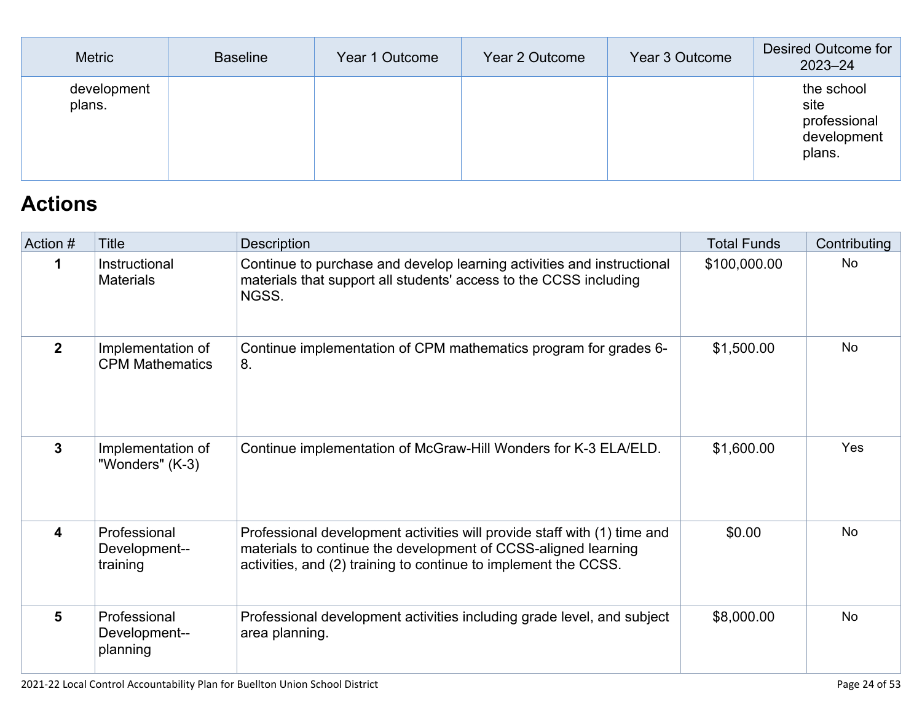| <b>Metric</b>         | <b>Baseline</b> | Year 1 Outcome | Year 2 Outcome | Year 3 Outcome | Desired Outcome for<br>$2023 - 24$                          |
|-----------------------|-----------------|----------------|----------------|----------------|-------------------------------------------------------------|
| development<br>plans. |                 |                |                |                | the school<br>site<br>professional<br>development<br>plans. |

# **[Actions](http://www.doc-tracking.com/screenshots/21LCAP/Instructions/21LCAPInstructions.htm#actions)**

| Action #                | Title                                       | <b>Description</b>                                                                                                                                                                                            | <b>Total Funds</b> | Contributing   |
|-------------------------|---------------------------------------------|---------------------------------------------------------------------------------------------------------------------------------------------------------------------------------------------------------------|--------------------|----------------|
| 1                       | Instructional<br><b>Materials</b>           | Continue to purchase and develop learning activities and instructional<br>materials that support all students' access to the CCSS including<br>NGSS.                                                          | \$100,000.00       | N <sub>o</sub> |
| $\mathbf{2}$            | Implementation of<br><b>CPM Mathematics</b> | Continue implementation of CPM mathematics program for grades 6-<br>8.                                                                                                                                        | \$1,500.00         | <b>No</b>      |
| 3                       | Implementation of<br>"Wonders" (K-3)        | Continue implementation of McGraw-Hill Wonders for K-3 ELA/ELD.                                                                                                                                               | \$1,600.00         | Yes            |
| $\overline{\mathbf{4}}$ | Professional<br>Development--<br>training   | Professional development activities will provide staff with (1) time and<br>materials to continue the development of CCSS-aligned learning<br>activities, and (2) training to continue to implement the CCSS. | \$0.00             | <b>No</b>      |
| 5                       | Professional<br>Development--<br>planning   | Professional development activities including grade level, and subject<br>area planning.                                                                                                                      | \$8,000.00         | No.            |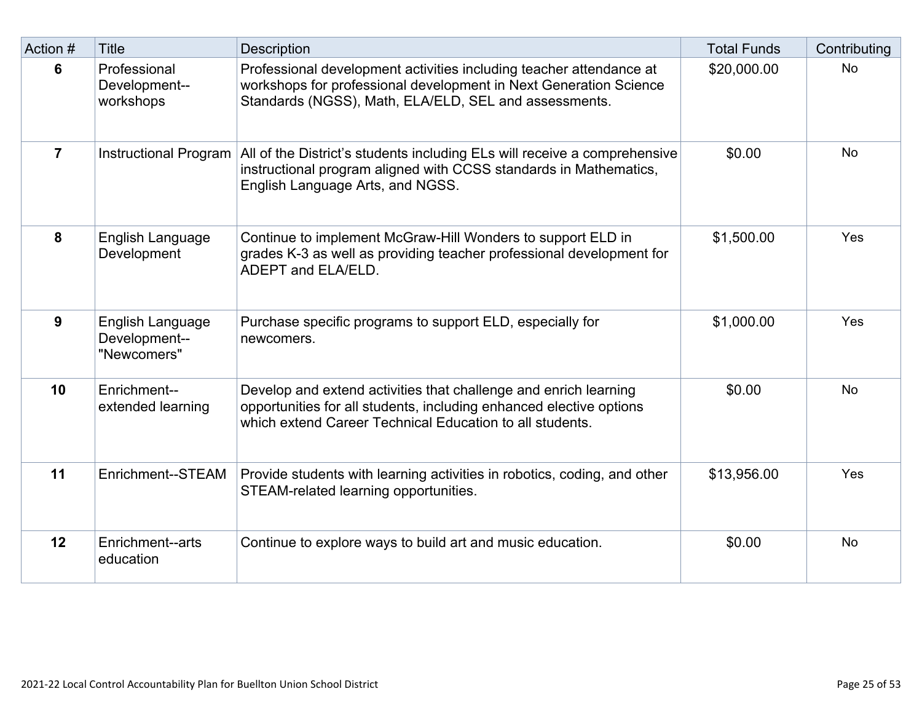| Action #       | <b>Title</b>                                     | <b>Description</b>                                                                                                                                                                                  | <b>Total Funds</b> | Contributing |
|----------------|--------------------------------------------------|-----------------------------------------------------------------------------------------------------------------------------------------------------------------------------------------------------|--------------------|--------------|
| 6              | Professional<br>Development--<br>workshops       | Professional development activities including teacher attendance at<br>workshops for professional development in Next Generation Science<br>Standards (NGSS), Math, ELA/ELD, SEL and assessments.   | \$20,000.00        | <b>No</b>    |
| $\overline{7}$ | <b>Instructional Program</b>                     | All of the District's students including ELs will receive a comprehensive<br>instructional program aligned with CCSS standards in Mathematics,<br>English Language Arts, and NGSS.                  | \$0.00             | <b>No</b>    |
| 8              | English Language<br>Development                  | Continue to implement McGraw-Hill Wonders to support ELD in<br>grades K-3 as well as providing teacher professional development for<br>ADEPT and ELA/ELD.                                           | \$1,500.00         | Yes          |
| 9              | English Language<br>Development--<br>"Newcomers" | Purchase specific programs to support ELD, especially for<br>newcomers.                                                                                                                             | \$1,000.00         | Yes          |
| 10             | Enrichment--<br>extended learning                | Develop and extend activities that challenge and enrich learning<br>opportunities for all students, including enhanced elective options<br>which extend Career Technical Education to all students. | \$0.00             | <b>No</b>    |
| 11             | Enrichment--STEAM                                | Provide students with learning activities in robotics, coding, and other<br>STEAM-related learning opportunities.                                                                                   | \$13,956.00        | Yes          |
| 12             | Enrichment--arts<br>education                    | Continue to explore ways to build art and music education.                                                                                                                                          | \$0.00             | <b>No</b>    |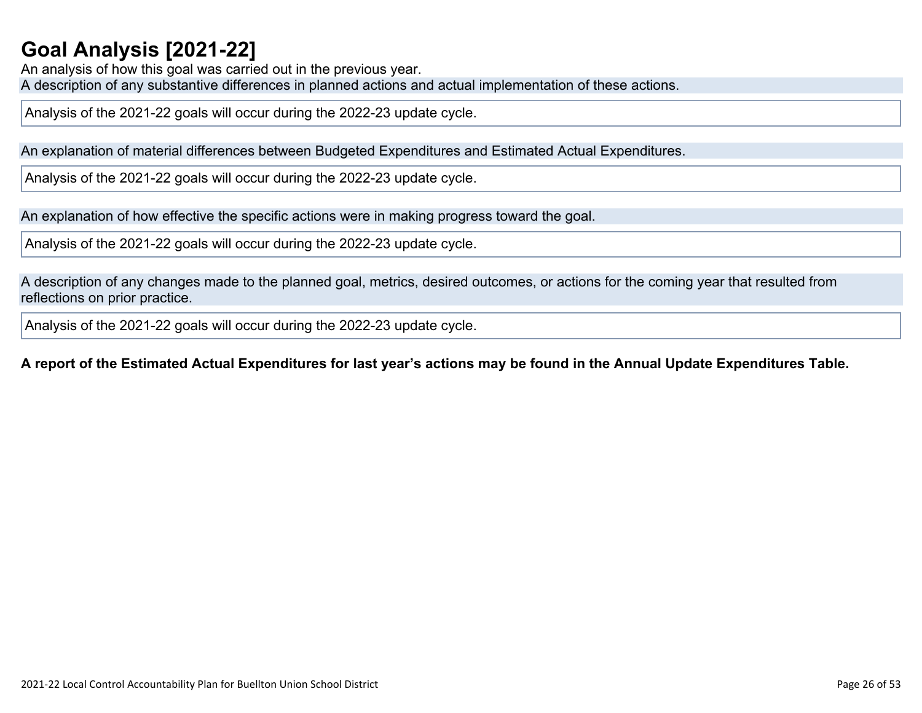## **Goal Analysis [\[2021-22\]](http://www.doc-tracking.com/screenshots/21LCAP/Instructions/21LCAPInstructions.htm#GoalAnalysis)**

An analysis of how this goal was carried out in the previous year. A description of any substantive differences in planned actions and actual implementation of these actions.

Analysis of the 2021-22 goals will occur during the 2022-23 update cycle.

An explanation of material differences between Budgeted Expenditures and Estimated Actual Expenditures.

Analysis of the 2021-22 goals will occur during the 2022-23 update cycle.

An explanation of how effective the specific actions were in making progress toward the goal.

Analysis of the 2021-22 goals will occur during the 2022-23 update cycle.

A description of any changes made to the planned goal, metrics, desired outcomes, or actions for the coming year that resulted from reflections on prior practice.

Analysis of the 2021-22 goals will occur during the 2022-23 update cycle.

### A report of the Estimated Actual Expenditures for last year's actions may be found in the Annual Update Expenditures Table.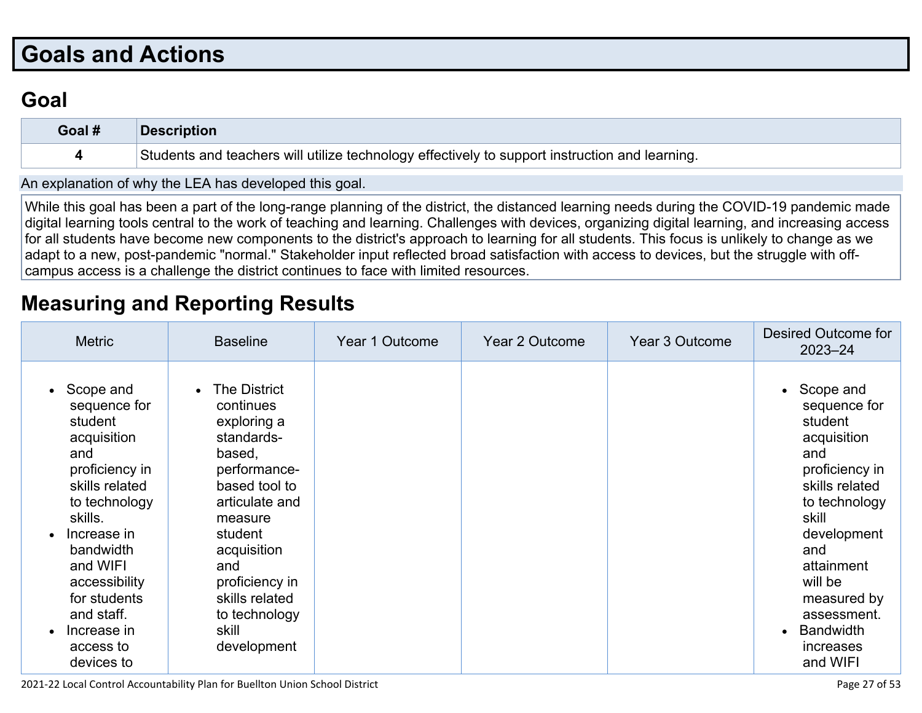# **Goals and [Actions](http://www.doc-tracking.com/screenshots/21LCAP/Instructions/21LCAPInstructions.htm#GoalsandActions)**

# **[Goal](http://www.doc-tracking.com/screenshots/21LCAP/Instructions/21LCAPInstructions.htm#goalDescription)**

| Goal # | <b>Description</b>                                                                             |
|--------|------------------------------------------------------------------------------------------------|
|        | Students and teachers will utilize technology effectively to support instruction and learning. |
|        |                                                                                                |

An [explanation](http://www.doc-tracking.com/screenshots/21LCAP/Instructions/21LCAPInstructions.htm#ExplanationofWhytheLEADevelopedGoals) of why the LEA has developed this goal.

While this goal has been a part of the long-range planning of the district, the distanced learning needs during the COVID-19 pandemic made digital learning tools central to the work of teaching and learning. Challenges with devices, organizing digital learning, and increasing access for all students have become new components to the district's approach to learning for all students. This focus is unlikely to change as we adapt to a new, post-pandemic "normal." Stakeholder input reflected broad satisfaction with access to devices, but the struggle with offcampus access is a challenge the district continues to face with limited resources.

## **[Measuring](http://www.doc-tracking.com/screenshots/21LCAP/Instructions/21LCAPInstructions.htm#MeasuringandReportingResults) and Reporting Results**

| <b>Metric</b>                                                                                                                                                                                                                                               | <b>Baseline</b>                                                                                                                                                                                                                                           | Year 1 Outcome | Year 2 Outcome | Year 3 Outcome | Desired Outcome for<br>$2023 - 24$                                                                                                                                                                                                                   |
|-------------------------------------------------------------------------------------------------------------------------------------------------------------------------------------------------------------------------------------------------------------|-----------------------------------------------------------------------------------------------------------------------------------------------------------------------------------------------------------------------------------------------------------|----------------|----------------|----------------|------------------------------------------------------------------------------------------------------------------------------------------------------------------------------------------------------------------------------------------------------|
| Scope and<br>sequence for<br>student<br>acquisition<br>and<br>proficiency in<br>skills related<br>to technology<br>skills.<br>Increase in<br>bandwidth<br>and WIFI<br>accessibility<br>for students<br>and staff.<br>Increase in<br>access to<br>devices to | The District<br>$\bullet$<br>continues<br>exploring a<br>standards-<br>based,<br>performance-<br>based tool to<br>articulate and<br>measure<br>student<br>acquisition<br>and<br>proficiency in<br>skills related<br>to technology<br>skill<br>development |                |                |                | • Scope and<br>sequence for<br>student<br>acquisition<br>and<br>proficiency in<br>skills related<br>to technology<br>skill<br>development<br>and<br>attainment<br>will be<br>measured by<br>assessment.<br><b>Bandwidth</b><br>increases<br>and WIFI |

2021-22 Local Control Accountability Plan for Buellton Union School District Page 27 of 53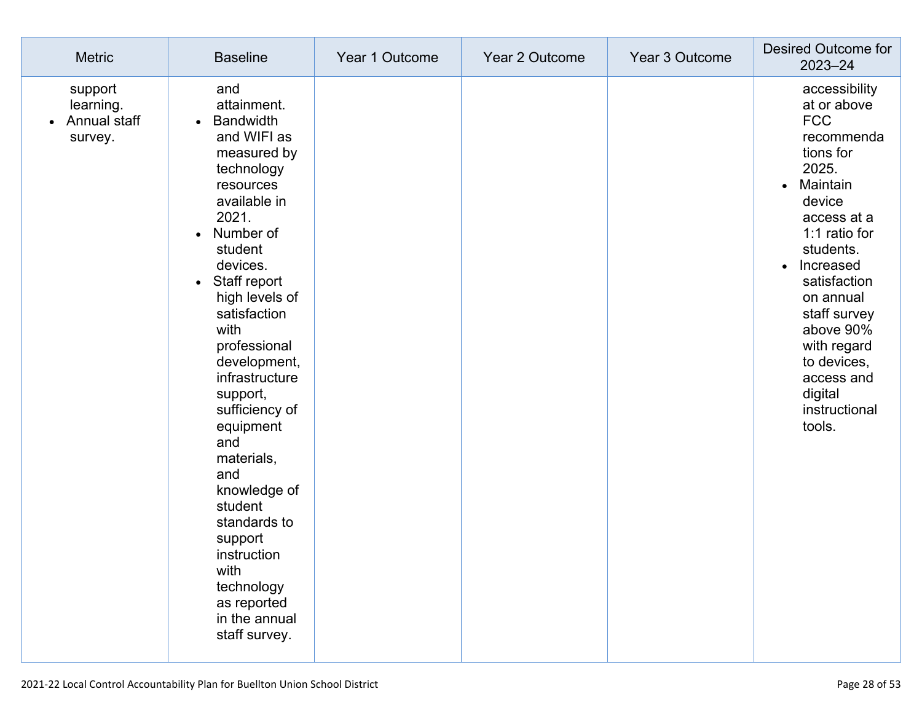| <b>Metric</b>                                   | <b>Baseline</b>                                                                                                                                                                                                                                                                                                                                                                                                                                                                                                                    | Year 1 Outcome | Year 2 Outcome | Year 3 Outcome | Desired Outcome for<br>2023-24                                                                                                                                                                                                                                                                                                       |
|-------------------------------------------------|------------------------------------------------------------------------------------------------------------------------------------------------------------------------------------------------------------------------------------------------------------------------------------------------------------------------------------------------------------------------------------------------------------------------------------------------------------------------------------------------------------------------------------|----------------|----------------|----------------|--------------------------------------------------------------------------------------------------------------------------------------------------------------------------------------------------------------------------------------------------------------------------------------------------------------------------------------|
| support<br>learning.<br>Annual staff<br>survey. | and<br>attainment.<br><b>Bandwidth</b><br>$\bullet$<br>and WIFI as<br>measured by<br>technology<br>resources<br>available in<br>2021.<br>Number of<br>$\bullet$<br>student<br>devices.<br>Staff report<br>$\bullet$<br>high levels of<br>satisfaction<br>with<br>professional<br>development,<br>infrastructure<br>support,<br>sufficiency of<br>equipment<br>and<br>materials,<br>and<br>knowledge of<br>student<br>standards to<br>support<br>instruction<br>with<br>technology<br>as reported<br>in the annual<br>staff survey. |                |                |                | accessibility<br>at or above<br><b>FCC</b><br>recommenda<br>tions for<br>2025.<br>Maintain<br>$\bullet$<br>device<br>access at a<br>1:1 ratio for<br>students.<br>Increased<br>$\bullet$<br>satisfaction<br>on annual<br>staff survey<br>above 90%<br>with regard<br>to devices,<br>access and<br>digital<br>instructional<br>tools. |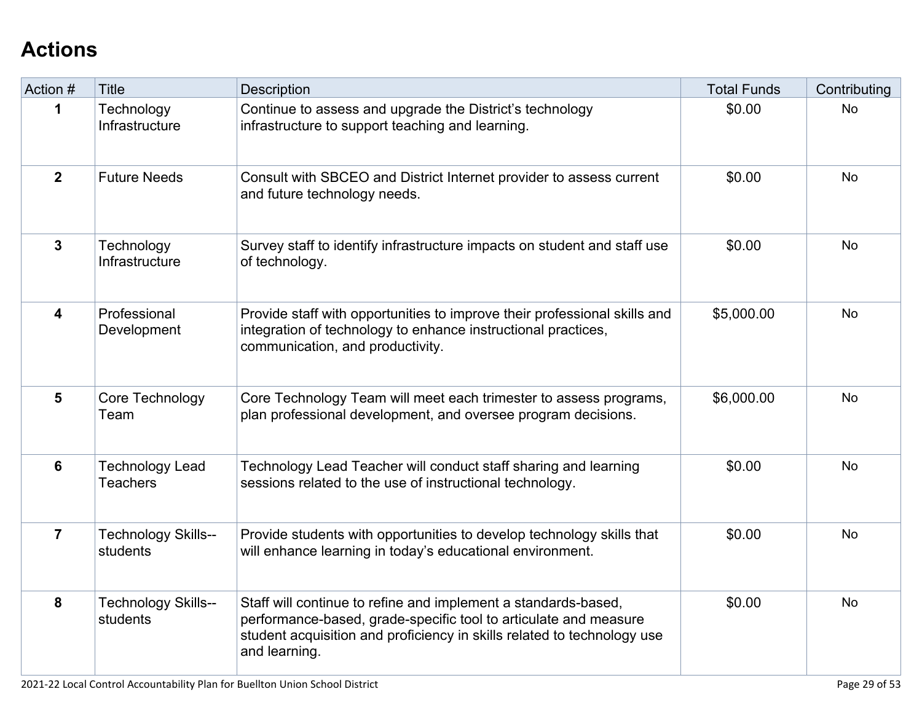# **[Actions](http://www.doc-tracking.com/screenshots/21LCAP/Instructions/21LCAPInstructions.htm#actions)**

| Action #       | <b>Title</b>                              | Description                                                                                                                                                                                                                    | <b>Total Funds</b> | Contributing |
|----------------|-------------------------------------------|--------------------------------------------------------------------------------------------------------------------------------------------------------------------------------------------------------------------------------|--------------------|--------------|
| 1              | Technology<br>Infrastructure              | Continue to assess and upgrade the District's technology<br>infrastructure to support teaching and learning.                                                                                                                   | \$0.00             | <b>No</b>    |
| 2 <sup>1</sup> | <b>Future Needs</b>                       | Consult with SBCEO and District Internet provider to assess current<br>and future technology needs.                                                                                                                            | \$0.00             | <b>No</b>    |
| $\overline{3}$ | Technology<br>Infrastructure              | Survey staff to identify infrastructure impacts on student and staff use<br>of technology.                                                                                                                                     | \$0.00             | <b>No</b>    |
| 4              | Professional<br>Development               | Provide staff with opportunities to improve their professional skills and<br>integration of technology to enhance instructional practices,<br>communication, and productivity.                                                 | \$5,000.00         | <b>No</b>    |
| $5\phantom{1}$ | Core Technology<br>Team                   | Core Technology Team will meet each trimester to assess programs,<br>plan professional development, and oversee program decisions.                                                                                             | \$6,000.00         | <b>No</b>    |
| $6\phantom{a}$ | <b>Technology Lead</b><br><b>Teachers</b> | Technology Lead Teacher will conduct staff sharing and learning<br>sessions related to the use of instructional technology.                                                                                                    | \$0.00             | <b>No</b>    |
| $\overline{7}$ | <b>Technology Skills--</b><br>students    | Provide students with opportunities to develop technology skills that<br>will enhance learning in today's educational environment.                                                                                             | \$0.00             | <b>No</b>    |
| 8              | <b>Technology Skills--</b><br>students    | Staff will continue to refine and implement a standards-based,<br>performance-based, grade-specific tool to articulate and measure<br>student acquisition and proficiency in skills related to technology use<br>and learning. | \$0.00             | <b>No</b>    |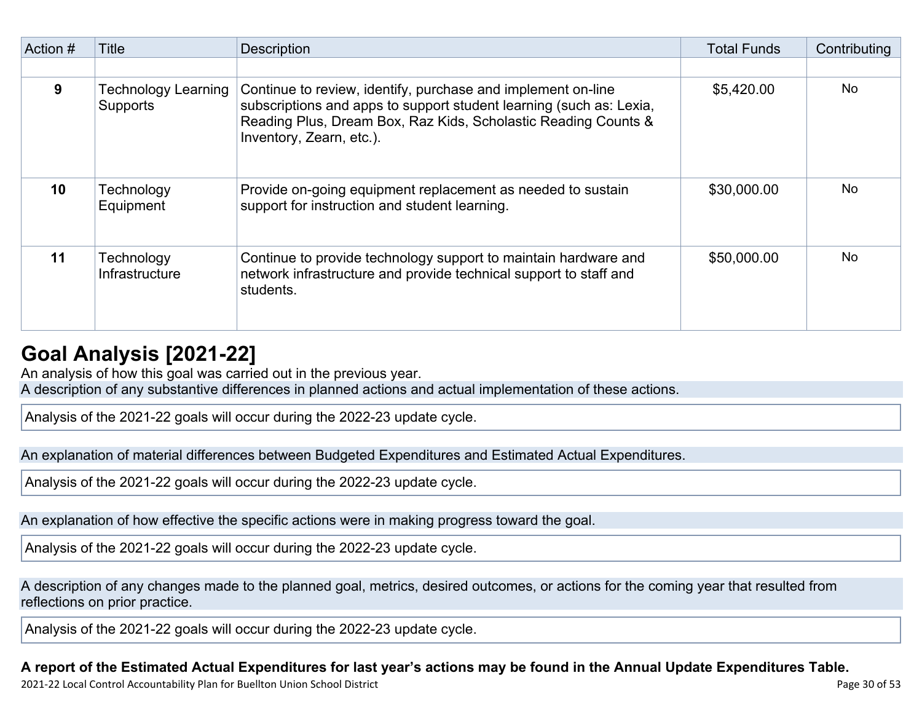| Action # | Title                                  | <b>Description</b>                                                                                                                                                                                                                | <b>Total Funds</b> | Contributing |
|----------|----------------------------------------|-----------------------------------------------------------------------------------------------------------------------------------------------------------------------------------------------------------------------------------|--------------------|--------------|
|          |                                        |                                                                                                                                                                                                                                   |                    |              |
| 9        | <b>Technology Learning</b><br>Supports | Continue to review, identify, purchase and implement on-line<br>subscriptions and apps to support student learning (such as: Lexia,<br>Reading Plus, Dream Box, Raz Kids, Scholastic Reading Counts &<br>Inventory, Zearn, etc.). | \$5,420.00         | <b>No</b>    |
| 10       | Technology<br>Equipment                | Provide on-going equipment replacement as needed to sustain<br>support for instruction and student learning.                                                                                                                      | \$30,000.00        | No.          |
| 11       | Technology<br><b>Infrastructure</b>    | Continue to provide technology support to maintain hardware and<br>network infrastructure and provide technical support to staff and<br>students.                                                                                 | \$50,000.00        | No.          |

## **Goal Analysis [\[2021-22\]](http://www.doc-tracking.com/screenshots/21LCAP/Instructions/21LCAPInstructions.htm#GoalAnalysis)**

An analysis of how this goal was carried out in the previous year.

A description of any substantive differences in planned actions and actual implementation of these actions.

Analysis of the 2021-22 goals will occur during the 2022-23 update cycle.

An explanation of material differences between Budgeted Expenditures and Estimated Actual Expenditures.

Analysis of the 2021-22 goals will occur during the 2022-23 update cycle.

An explanation of how effective the specific actions were in making progress toward the goal.

Analysis of the 2021-22 goals will occur during the 2022-23 update cycle.

A description of any changes made to the planned goal, metrics, desired outcomes, or actions for the coming year that resulted from reflections on prior practice.

Analysis of the 2021-22 goals will occur during the 2022-23 update cycle.

## A report of the Estimated Actual Expenditures for last year's actions may be found in the Annual Update Expenditures Table.

2021-22 Local Control Accountability Plan for Buellton Union School District **Page 30** of 53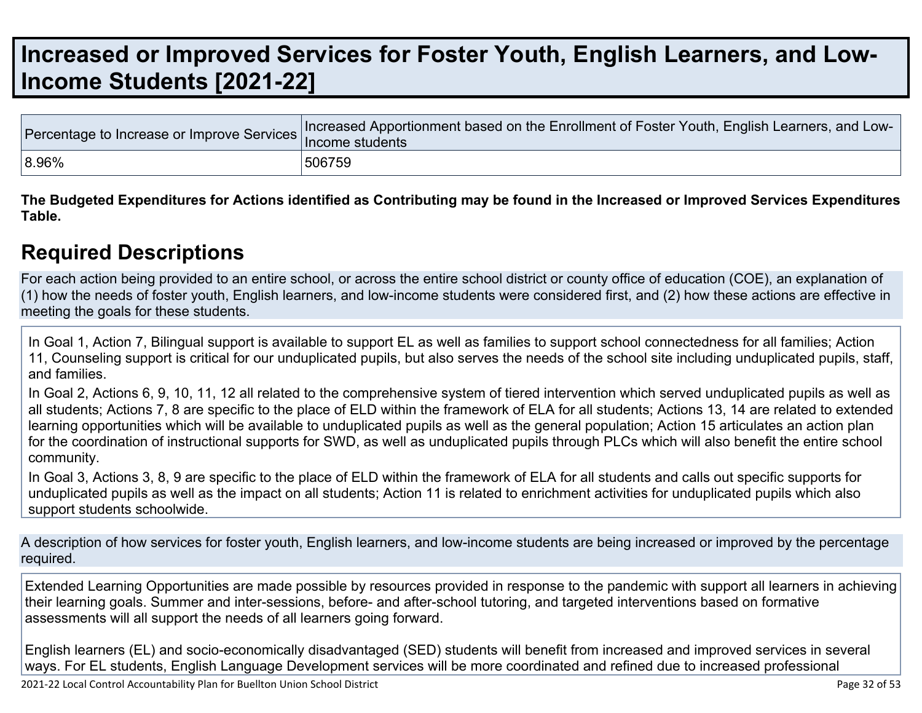# **[Increased](http://www.doc-tracking.com/screenshots/21LCAP/Instructions/21LCAPInstructions.htm#IncreasedImprovedServices) or Improved Services for Foster Youth, English Learners, and Low-Income Students [\[2021-22\]](http://www.doc-tracking.com/screenshots/21LCAP/Instructions/21LCAPInstructions.htm#IncreasedImprovedServices)**

|           | Tercentage to Increase or Improve Services Increased Apportionment based on the Enrollment of Foster Youth, English Learners, and Low |
|-----------|---------------------------------------------------------------------------------------------------------------------------------------|
| $ 8.96\%$ | 506759                                                                                                                                |

The Budgeted Expenditures for Actions identified as Contributing may be found in the Increased or Improved Services Expenditures **Table.**

## **Required [Descriptions](http://www.doc-tracking.com/screenshots/21LCAP/Instructions/21LCAPInstructions.htm#RequiredDescriptions)**

For each action being provided to an entire school, or across the entire school district or county office of education (COE), an explanation of (1) how the needs of foster youth, English learners, and low-income students were considered first, and (2) how these actions are effective in meeting the goals for these students.

In Goal 1, Action 7, Bilingual support is available to support EL as well as families to support school connectedness for all families; Action 11, Counseling support is critical for our unduplicated pupils, but also serves the needs of the school site including unduplicated pupils, staff, and families.

In Goal 2, Actions 6, 9, 10, 11, 12 all related to the comprehensive system of tiered intervention which served unduplicated pupils as well as all students; Actions 7, 8 are specific to the place of ELD within the framework of ELA for all students; Actions 13, 14 are related to extended learning opportunities which will be available to unduplicated pupils as well as the general population; Action 15 articulates an action plan for the coordination of instructional supports for SWD, as well as unduplicated pupils through PLCs which will also benefit the entire school community.

In Goal 3, Actions 3, 8, 9 are specific to the place of ELD within the framework of ELA for all students and calls out specific supports for unduplicated pupils as well as the impact on all students; Action 11 is related to enrichment activities for unduplicated pupils which also support students schoolwide.

A description of how services for foster youth, English learners, and low-income students are being increased or improved by the percentage required.

Extended Learning Opportunities are made possible by resources provided in response to the pandemic with support all learners in achieving their learning goals. Summer and inter-sessions, before- and after-school tutoring, and targeted interventions based on formative assessments will all support the needs of all learners going forward.

English learners (EL) and socio-economically disadvantaged (SED) students will benefit from increased and improved services in several ways. For EL students, English Language Development services will be more coordinated and refined due to increased professional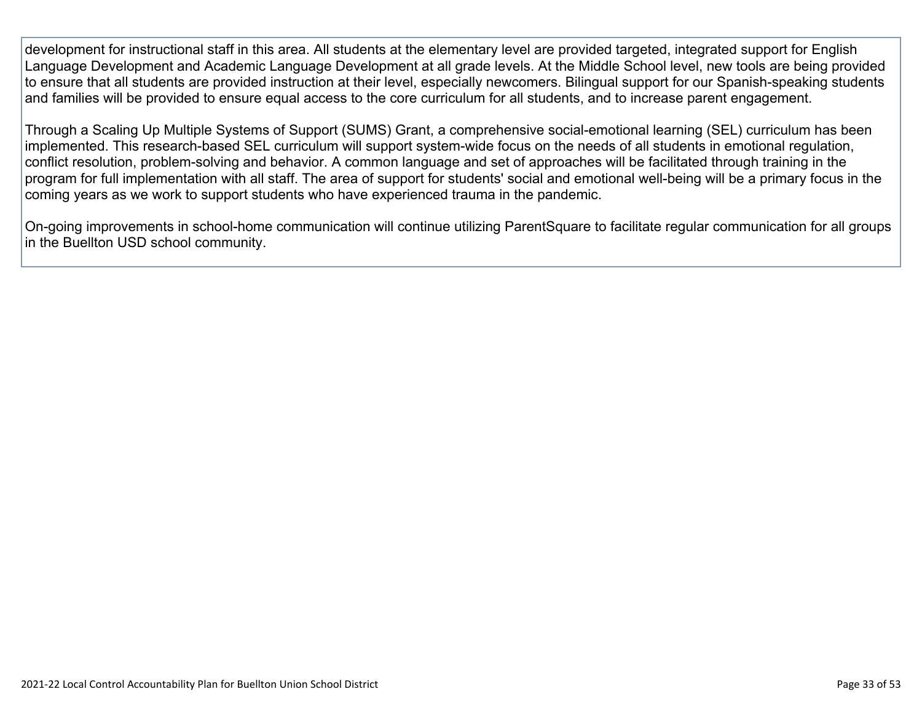development for instructional staff in this area. All students at the elementary level are provided targeted, integrated support for English Language Development and Academic Language Development at all grade levels. At the Middle School level, new tools are being provided to ensure that all students are provided instruction at their level, especially newcomers. Bilingual support for our Spanish-speaking students and families will be provided to ensure equal access to the core curriculum for all students, and to increase parent engagement.

Through a Scaling Up Multiple Systems of Support (SUMS) Grant, a comprehensive social-emotional learning (SEL) curriculum has been implemented. This research-based SEL curriculum will support system-wide focus on the needs of all students in emotional regulation, conflict resolution, problem-solving and behavior. A common language and set of approaches will be facilitated through training in the program for full implementation with all staff. The area of support for students' social and emotional well-being will be a primary focus in the coming years as we work to support students who have experienced trauma in the pandemic.

On-going improvements in school-home communication will continue utilizing ParentSquare to facilitate regular communication for all groups in the Buellton USD school community.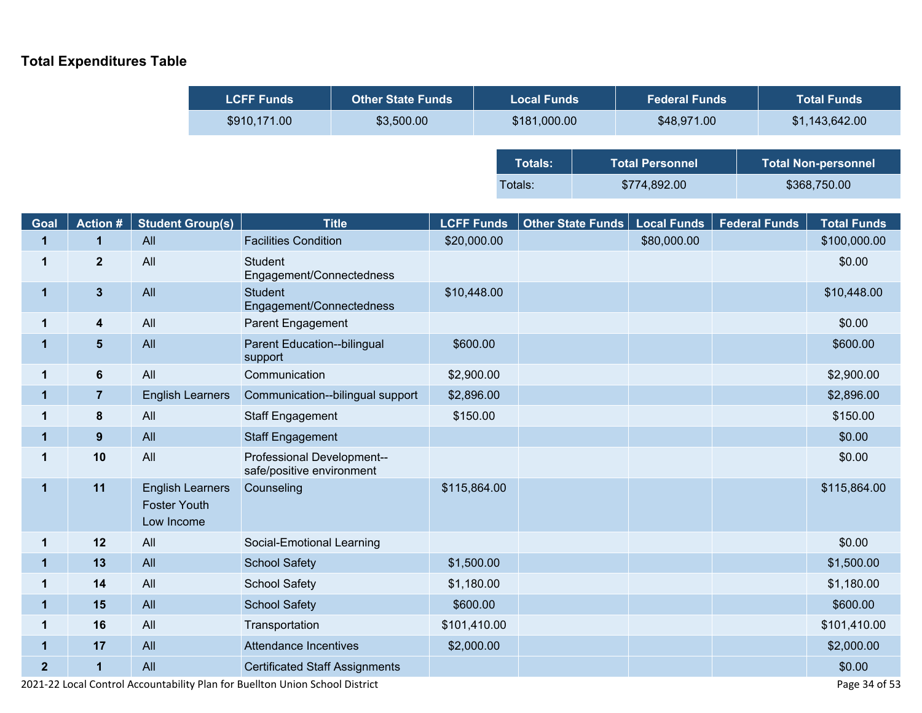## **Total Expenditures Table**

Ī

| <b>LCFF Funds</b> | <b>Other State Funds</b> | <b>Local Funds</b> | <b>Federal Funds</b>   | <b>Total Funds</b>         |
|-------------------|--------------------------|--------------------|------------------------|----------------------------|
| \$910,171.00      | \$3,500.00               | \$181,000.00       | \$48,971.00            | \$1,143,642.00             |
|                   |                          |                    |                        |                            |
|                   |                          | <b>Totals:</b>     | <b>Total Personnel</b> | <b>Total Non-personnel</b> |
|                   |                          | Totals:            | \$774,892.00           | \$368,750.00               |

| Goal           | <b>Action #</b>  | <b>Student Group(s)</b>                                      | <b>Title</b>                                            | <b>LCFF Funds</b> | Other State Funds | <b>Local Funds</b> | <b>Federal Funds</b> | <b>Total Funds</b> |
|----------------|------------------|--------------------------------------------------------------|---------------------------------------------------------|-------------------|-------------------|--------------------|----------------------|--------------------|
| 1              | $\mathbf 1$      | All                                                          | <b>Facilities Condition</b>                             | \$20,000.00       |                   | \$80,000.00        |                      | \$100,000.00       |
| 1              | $\overline{2}$   | All                                                          | <b>Student</b><br>Engagement/Connectedness              |                   |                   |                    |                      | \$0.00             |
| 1              | $\mathbf{3}$     | All                                                          | <b>Student</b><br>Engagement/Connectedness              | \$10,448.00       |                   |                    |                      | \$10,448.00        |
| 1              | $\boldsymbol{4}$ | All                                                          | Parent Engagement                                       |                   |                   |                    |                      | \$0.00             |
| 1              | $5\phantom{.0}$  | All                                                          | Parent Education--bilingual<br>support                  | \$600.00          |                   |                    |                      | \$600.00           |
| 1              | $\bf 6$          | All                                                          | Communication                                           | \$2,900.00        |                   |                    |                      | \$2,900.00         |
| $\mathbf 1$    | $\overline{7}$   | <b>English Learners</b>                                      | Communication--bilingual support                        | \$2,896.00        |                   |                    |                      | \$2,896.00         |
| 1              | 8                | All                                                          | <b>Staff Engagement</b>                                 | \$150.00          |                   |                    |                      | \$150.00           |
| 1              | 9                | All                                                          | <b>Staff Engagement</b>                                 |                   |                   |                    |                      | \$0.00             |
| 1              | 10               | All                                                          | Professional Development--<br>safe/positive environment |                   |                   |                    |                      | \$0.00             |
| 1              | 11               | <b>English Learners</b><br><b>Foster Youth</b><br>Low Income | Counseling                                              | \$115,864.00      |                   |                    |                      | \$115,864.00       |
| 1              | 12               | All                                                          | Social-Emotional Learning                               |                   |                   |                    |                      | \$0.00             |
| $\mathbf 1$    | 13               | All                                                          | <b>School Safety</b>                                    | \$1,500.00        |                   |                    |                      | \$1,500.00         |
| 1              | 14               | All                                                          | <b>School Safety</b>                                    | \$1,180.00        |                   |                    |                      | \$1,180.00         |
| 1              | 15               | All                                                          | <b>School Safety</b>                                    | \$600.00          |                   |                    |                      | \$600.00           |
| 1              | 16               | All                                                          | Transportation                                          | \$101,410.00      |                   |                    |                      | \$101,410.00       |
| $\mathbf 1$    | 17               | All                                                          | Attendance Incentives                                   | \$2,000.00        |                   |                    |                      | \$2,000.00         |
| $\overline{2}$ | $\mathbf{1}$     | All                                                          | <b>Certificated Staff Assignments</b>                   |                   |                   |                    |                      | \$0.00             |

2021-22 Local Control Accountability Plan for Buellton Union School District Page 34 of 53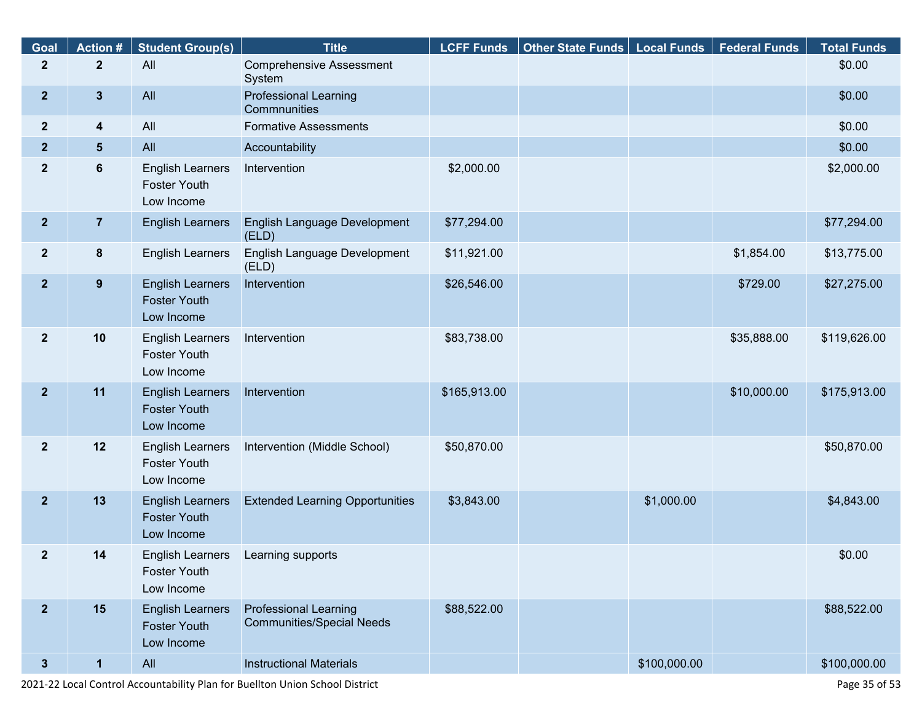| Goal             | <b>Action#</b>          | <b>Student Group(s)</b>                                      | <b>Title</b>                                                     | <b>LCFF Funds</b> | Other State Funds   Local Funds |              | <b>Federal Funds</b> | <b>Total Funds</b> |
|------------------|-------------------------|--------------------------------------------------------------|------------------------------------------------------------------|-------------------|---------------------------------|--------------|----------------------|--------------------|
| $\mathbf{2}$     | $\mathbf{2}$            | All                                                          | <b>Comprehensive Assessment</b><br>System                        |                   |                                 |              |                      | \$0.00             |
| $\boldsymbol{2}$ | $\mathbf{3}$            | All                                                          | <b>Professional Learning</b><br>Commnunities                     |                   |                                 |              |                      | \$0.00             |
| $\boldsymbol{2}$ | $\overline{\mathbf{4}}$ | All                                                          | <b>Formative Assessments</b>                                     |                   |                                 |              |                      | \$0.00             |
| $\boldsymbol{2}$ | $\sqrt{5}$              | All                                                          | Accountability                                                   |                   |                                 |              |                      | \$0.00             |
| $\boldsymbol{2}$ | $6\phantom{a}$          | <b>English Learners</b><br><b>Foster Youth</b><br>Low Income | Intervention                                                     | \$2,000.00        |                                 |              |                      | \$2,000.00         |
| $\boldsymbol{2}$ | $\overline{7}$          | <b>English Learners</b>                                      | English Language Development<br>(ELD)                            | \$77,294.00       |                                 |              |                      | \$77,294.00        |
| $\overline{2}$   | $\pmb{8}$               | <b>English Learners</b>                                      | English Language Development<br>(ELD)                            | \$11,921.00       |                                 |              | \$1,854.00           | \$13,775.00        |
| $\overline{2}$   | 9                       | <b>English Learners</b><br><b>Foster Youth</b><br>Low Income | Intervention                                                     | \$26,546.00       |                                 |              | \$729.00             | \$27,275.00        |
| $\mathbf{2}$     | 10                      | <b>English Learners</b><br><b>Foster Youth</b><br>Low Income | Intervention                                                     | \$83,738.00       |                                 |              | \$35,888.00          | \$119,626.00       |
| 2 <sup>2</sup>   | 11                      | <b>English Learners</b><br><b>Foster Youth</b><br>Low Income | Intervention                                                     | \$165,913.00      |                                 |              | \$10,000.00          | \$175,913.00       |
| $\overline{2}$   | 12                      | <b>English Learners</b><br><b>Foster Youth</b><br>Low Income | Intervention (Middle School)                                     | \$50,870.00       |                                 |              |                      | \$50,870.00        |
| $\boldsymbol{2}$ | 13                      | <b>English Learners</b><br><b>Foster Youth</b><br>Low Income | <b>Extended Learning Opportunities</b>                           | \$3,843.00        |                                 | \$1,000.00   |                      | \$4,843.00         |
| $\mathbf{2}$     | 14                      | <b>English Learners</b><br><b>Foster Youth</b><br>Low Income | Learning supports                                                |                   |                                 |              |                      | \$0.00             |
| 2 <sup>2</sup>   | 15                      | <b>English Learners</b><br><b>Foster Youth</b><br>Low Income | <b>Professional Learning</b><br><b>Communities/Special Needs</b> | \$88,522.00       |                                 |              |                      | \$88,522.00        |
| $\mathbf{3}$     | $\mathbf{1}$            | All                                                          | <b>Instructional Materials</b>                                   |                   |                                 | \$100,000.00 |                      | \$100,000.00       |

2021-22 Local Control Accountability Plan for Buellton Union School District Page 35 of 53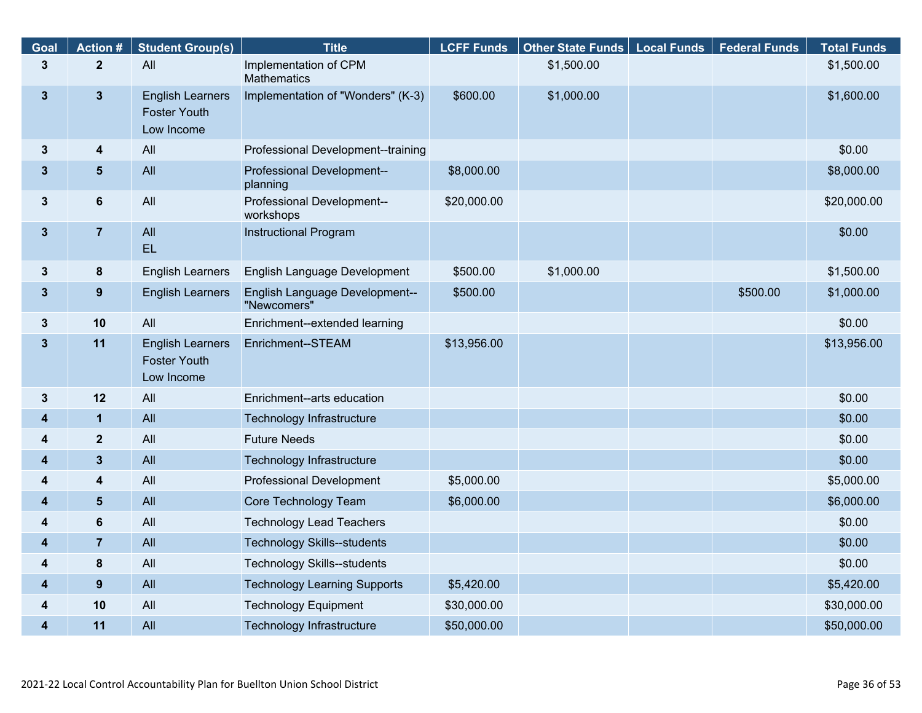| Goal         | <b>Action #</b>  | <b>Student Group(s)</b>                                      | <b>Title</b>                                  | <b>LCFF Funds</b> | <b>Other State Funds</b> | <b>Local Funds</b> | <b>Federal Funds</b> | <b>Total Funds</b> |
|--------------|------------------|--------------------------------------------------------------|-----------------------------------------------|-------------------|--------------------------|--------------------|----------------------|--------------------|
| $\mathbf{3}$ | $\overline{2}$   | All                                                          | Implementation of CPM<br><b>Mathematics</b>   |                   | \$1,500.00               |                    |                      | \$1,500.00         |
| $\mathbf{3}$ | $\mathbf{3}$     | <b>English Learners</b><br><b>Foster Youth</b><br>Low Income | Implementation of "Wonders" (K-3)             | \$600.00          | \$1,000.00               |                    |                      | \$1,600.00         |
| $\mathbf{3}$ | 4                | All                                                          | Professional Development--training            |                   |                          |                    |                      | \$0.00             |
| $\mathbf{3}$ | $5\phantom{.}$   | All                                                          | Professional Development--<br>planning        | \$8,000.00        |                          |                    |                      | \$8,000.00         |
| $\mathbf{3}$ | 6                | All                                                          | Professional Development--<br>workshops       | \$20,000.00       |                          |                    |                      | \$20,000.00        |
| $\mathbf{3}$ | $\overline{7}$   | All<br>EL                                                    | <b>Instructional Program</b>                  |                   |                          |                    |                      | \$0.00             |
| 3            | 8                | <b>English Learners</b>                                      | English Language Development                  | \$500.00          | \$1,000.00               |                    |                      | \$1,500.00         |
| $\mathbf{3}$ | $\boldsymbol{9}$ | <b>English Learners</b>                                      | English Language Development--<br>"Newcomers" | \$500.00          |                          |                    | \$500.00             | \$1,000.00         |
| $\mathbf{3}$ | 10               | All                                                          | Enrichment--extended learning                 |                   |                          |                    |                      | \$0.00             |
| $\mathbf{3}$ | 11               | <b>English Learners</b><br><b>Foster Youth</b><br>Low Income | Enrichment--STEAM                             | \$13,956.00       |                          |                    |                      | \$13,956.00        |
| $\mathbf{3}$ | 12               | All                                                          | Enrichment--arts education                    |                   |                          |                    |                      | \$0.00             |
| 4            | $\mathbf{1}$     | All                                                          | Technology Infrastructure                     |                   |                          |                    |                      | \$0.00             |
| 4            | $\mathbf{2}$     | All                                                          | <b>Future Needs</b>                           |                   |                          |                    |                      | \$0.00             |
| 4            | $\mathbf{3}$     | All                                                          | Technology Infrastructure                     |                   |                          |                    |                      | \$0.00             |
| 4            | 4                | All                                                          | Professional Development                      | \$5,000.00        |                          |                    |                      | \$5,000.00         |
| 4            | $5\phantom{1}$   | All                                                          | Core Technology Team                          | \$6,000.00        |                          |                    |                      | \$6,000.00         |
| 4            | 6                | All                                                          | <b>Technology Lead Teachers</b>               |                   |                          |                    |                      | \$0.00             |
| 4            | $\overline{7}$   | All                                                          | <b>Technology Skills--students</b>            |                   |                          |                    |                      | \$0.00             |
| 4            | 8                | All                                                          | <b>Technology Skills--students</b>            |                   |                          |                    |                      | \$0.00             |
| 4            | 9                | All                                                          | <b>Technology Learning Supports</b>           | \$5,420.00        |                          |                    |                      | \$5,420.00         |
| 4            | 10               | All                                                          | <b>Technology Equipment</b>                   | \$30,000.00       |                          |                    |                      | \$30,000.00        |
| 4            | 11               | All                                                          | Technology Infrastructure                     | \$50,000.00       |                          |                    |                      | \$50,000.00        |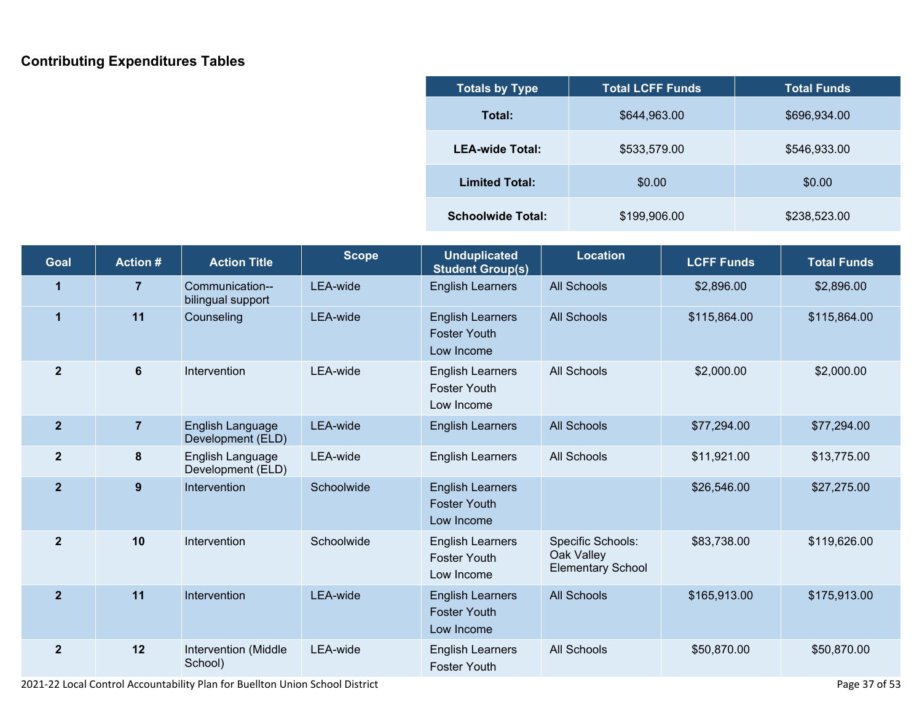## **Contributing Expenditures Tables**

| <b>Totals by Type</b>    | <b>Total LCFF Funds</b> | <b>Total Funds</b> |  |
|--------------------------|-------------------------|--------------------|--|
| Total:                   | \$644,963.00            | \$696,934.00       |  |
| <b>LEA-wide Total:</b>   | \$533,579.00            | \$546,933.00       |  |
| <b>Limited Total:</b>    | \$0.00                  | \$0.00             |  |
| <b>Schoolwide Total:</b> | \$199,906.00            | \$238,523.00       |  |

| Goal           | <b>Action#</b> | <b>Action Title</b>                   | <b>Scope</b> | <b>Unduplicated</b><br><b>Student Group(s)</b>               | <b>Location</b>                                             | <b>LCFF Funds</b> | <b>Total Funds</b> |
|----------------|----------------|---------------------------------------|--------------|--------------------------------------------------------------|-------------------------------------------------------------|-------------------|--------------------|
| 1              | $\overline{7}$ | Communication--<br>bilingual support  | LEA-wide     | <b>English Learners</b>                                      | <b>All Schools</b>                                          | \$2,896.00        | \$2,896.00         |
| $\mathbf 1$    | 11             | Counseling                            | LEA-wide     | <b>English Learners</b><br><b>Foster Youth</b><br>Low Income | <b>All Schools</b>                                          | \$115,864.00      | \$115,864.00       |
| $\mathbf{2}$   | 6              | Intervention                          | LEA-wide     | <b>English Learners</b><br><b>Foster Youth</b><br>Low Income | <b>All Schools</b>                                          | \$2,000.00        | \$2,000.00         |
| $\overline{2}$ | $\overline{7}$ | English Language<br>Development (ELD) | LEA-wide     | <b>English Learners</b>                                      | <b>All Schools</b>                                          | \$77,294.00       | \$77,294.00        |
| $\mathbf{2}$   | 8              | English Language<br>Development (ELD) | LEA-wide     | <b>English Learners</b>                                      | All Schools                                                 | \$11,921.00       | \$13,775.00        |
| $\overline{2}$ | 9              | Intervention                          | Schoolwide   | <b>English Learners</b><br><b>Foster Youth</b><br>Low Income |                                                             | \$26,546.00       | \$27,275.00        |
| $\overline{2}$ | 10             | Intervention                          | Schoolwide   | <b>English Learners</b><br><b>Foster Youth</b><br>Low Income | Specific Schools:<br>Oak Valley<br><b>Elementary School</b> | \$83,738.00       | \$119,626.00       |
| $\overline{2}$ | 11             | Intervention                          | LEA-wide     | <b>English Learners</b><br><b>Foster Youth</b><br>Low Income | <b>All Schools</b>                                          | \$165,913.00      | \$175,913.00       |
| $\overline{2}$ | 12             | Intervention (Middle<br>School)       | LEA-wide     | <b>English Learners</b><br><b>Foster Youth</b>               | All Schools                                                 | \$50,870.00       | \$50,870.00        |

 $\overline{\phantom{a}}$ 

2021-22 Local Control Accountability Plan for Buellton Union School District Page 37 of 53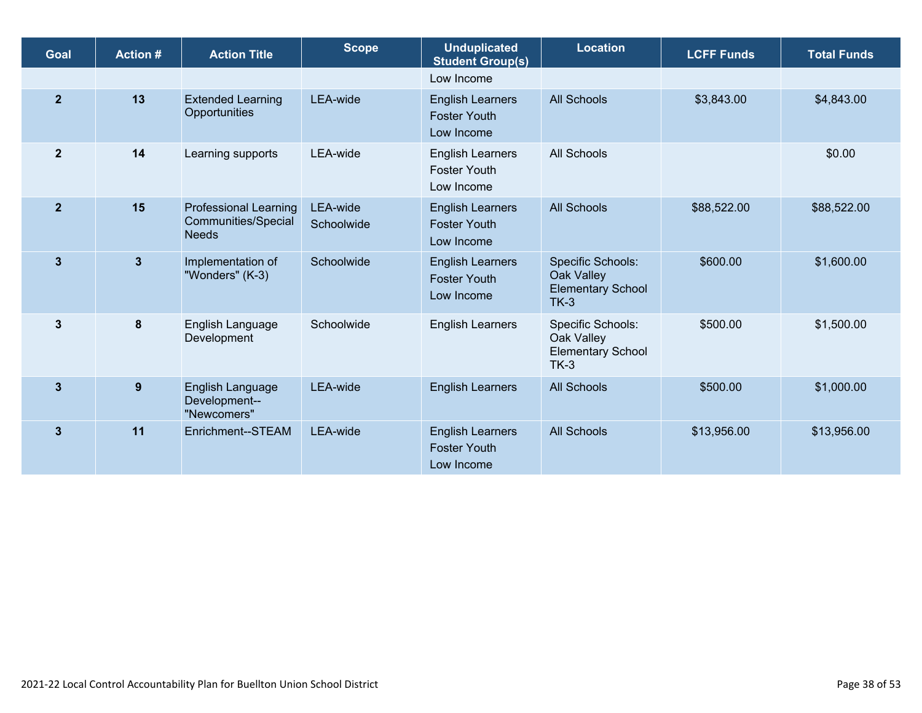| Goal           | <b>Action#</b> | <b>Action Title</b>                                                 | <b>Scope</b>           | <b>Unduplicated</b><br><b>Student Group(s)</b>               | <b>Location</b>                                                              | <b>LCFF Funds</b> | <b>Total Funds</b> |
|----------------|----------------|---------------------------------------------------------------------|------------------------|--------------------------------------------------------------|------------------------------------------------------------------------------|-------------------|--------------------|
|                |                |                                                                     |                        | Low Income                                                   |                                                                              |                   |                    |
| $\overline{2}$ | 13             | <b>Extended Learning</b><br>Opportunities                           | LEA-wide               | <b>English Learners</b><br><b>Foster Youth</b><br>Low Income | <b>All Schools</b>                                                           | \$3,843.00        | \$4,843.00         |
| $\mathbf{2}$   | 14             | Learning supports                                                   | LEA-wide               | <b>English Learners</b><br><b>Foster Youth</b><br>Low Income | <b>All Schools</b>                                                           |                   | \$0.00             |
| $\overline{2}$ | 15             | <b>Professional Learning</b><br>Communities/Special<br><b>Needs</b> | LEA-wide<br>Schoolwide | <b>English Learners</b><br><b>Foster Youth</b><br>Low Income | <b>All Schools</b>                                                           | \$88,522.00       | \$88,522.00        |
| $\mathbf{3}$   | $\mathbf{3}$   | Implementation of<br>"Wonders" (K-3)                                | Schoolwide             | <b>English Learners</b><br><b>Foster Youth</b><br>Low Income | <b>Specific Schools:</b><br>Oak Valley<br><b>Elementary School</b><br>$TK-3$ | \$600.00          | \$1,600.00         |
| $\mathbf{3}$   | 8              | English Language<br>Development                                     | Schoolwide             | <b>English Learners</b>                                      | Specific Schools:<br>Oak Valley<br><b>Elementary School</b><br>$TK-3$        | \$500.00          | \$1,500.00         |
| $\mathbf{3}$   | 9              | English Language<br>Development--<br>"Newcomers"                    | LEA-wide               | <b>English Learners</b>                                      | <b>All Schools</b>                                                           | \$500.00          | \$1,000.00         |
| 3              | 11             | Enrichment--STEAM                                                   | LEA-wide               | <b>English Learners</b><br><b>Foster Youth</b><br>Low Income | <b>All Schools</b>                                                           | \$13,956.00       | \$13,956.00        |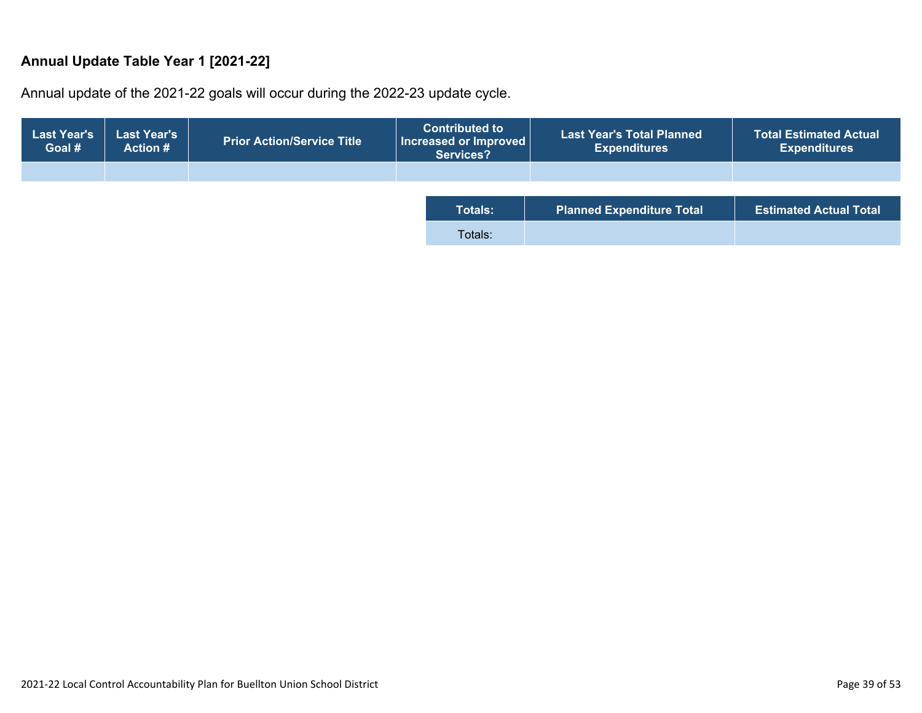### **Annual Update Table Year 1 [2021-22]**

Annual update of the 2021-22 goals will occur during the 2022-23 update cycle.

| <b>Last Year's</b><br>Goal # | <b>Last Year's</b><br><b>Action #</b> | <b>Prior Action/Service Title</b> | <b>Contributed to</b><br>$\mid$ Increased or Improved $\mid$<br>Services? | <b>Last Year's Total Planned</b><br><b>Expenditures</b> | <b>Total Estimated Actual</b><br><b>Expenditures</b> |
|------------------------------|---------------------------------------|-----------------------------------|---------------------------------------------------------------------------|---------------------------------------------------------|------------------------------------------------------|
|                              |                                       |                                   |                                                                           |                                                         |                                                      |
|                              |                                       |                                   | <b>Totals:</b>                                                            | <b>Planned Expenditure Total</b>                        | <b>Estimated Actual Total</b>                        |
|                              |                                       |                                   | Totals:                                                                   |                                                         |                                                      |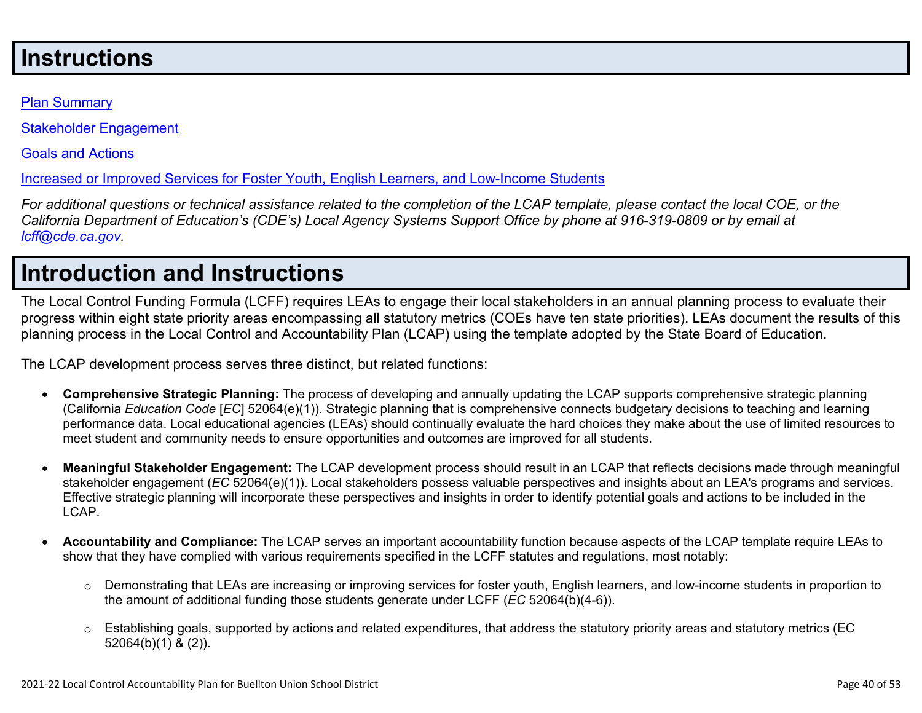# **Instructions**

#### Plan [Summary](http://www.doc-tracking.com/screenshots/21LCAP/Instructions/21LCAPInstructions.htm#plansummary)

Stakeholder [Engagement](http://www.doc-tracking.com/screenshots/21LCAP/Instructions/21LCAPInstructions.htm#stakeholderengagement)

Goals and [Actions](http://www.doc-tracking.com/screenshots/21LCAP/Instructions/21LCAPInstructions.htm#goalsandactions)

Increased or Improved Services for Foster Youth, English Learners, and [Low-Income](http://www.doc-tracking.com/screenshots/21LCAP/Instructions/21LCAPInstructions.htm#increasedimprovedservices) Students

For additional questions or technical assistance related to the completion of the LCAP template, please contact the local COE, or the California Department of Education's (CDE's) Local Agency Systems Support Office by phone at 916-319-0809 or by email at *[lcff@cde.ca.gov.](mailto:lcff@cde.ca.gov)*

# **Introduction and Instructions**

The Local Control Funding Formula (LCFF) requires LEAs to engage their local stakeholders in an annual planning process to evaluate their progress within eight state priority areas encompassing all statutory metrics (COEs have ten state priorities). LEAs document the results of this planning process in the Local Control and Accountability Plan (LCAP) using the template adopted by the State Board of Education.

The LCAP development process serves three distinct, but related functions:

- **Comprehensive Strategic Planning:** The process of developing and annually updating the LCAP supports comprehensive strategic planning (California *Education Code* [*EC*] 52064(e)(1)). Strategic planning that is comprehensive connects budgetary decisions to teaching and learning performance data. Local educational agencies (LEAs) should continually evaluate the hard choices they make about the use of limited resources to meet student and community needs to ensure opportunities and outcomes are improved for all students.
- **Meaningful Stakeholder Engagement:** The LCAP development process should result in an LCAP that reflects decisions made through meaningful stakeholder engagement (*EC* 52064(e)(1)). Local stakeholders possess valuable perspectives and insights about an LEA's programs and services. Effective strategic planning will incorporate these perspectives and insights in order to identify potential goals and actions to be included in the LCAP.
- **Accountability and Compliance:** The LCAP serves an important accountability function because aspects of the LCAP template require LEAs to show that they have complied with various requirements specified in the LCFF statutes and regulations, most notably:
	- $\circ$  Demonstrating that LEAs are increasing or improving services for foster youth, English learners, and low-income students in proportion to the amount of additional funding those students generate under LCFF (*EC* 52064(b)(4-6)).
	- $\circ$  Establishing goals, supported by actions and related expenditures, that address the statutory priority areas and statutory metrics (EC 52064(b)(1) & (2)).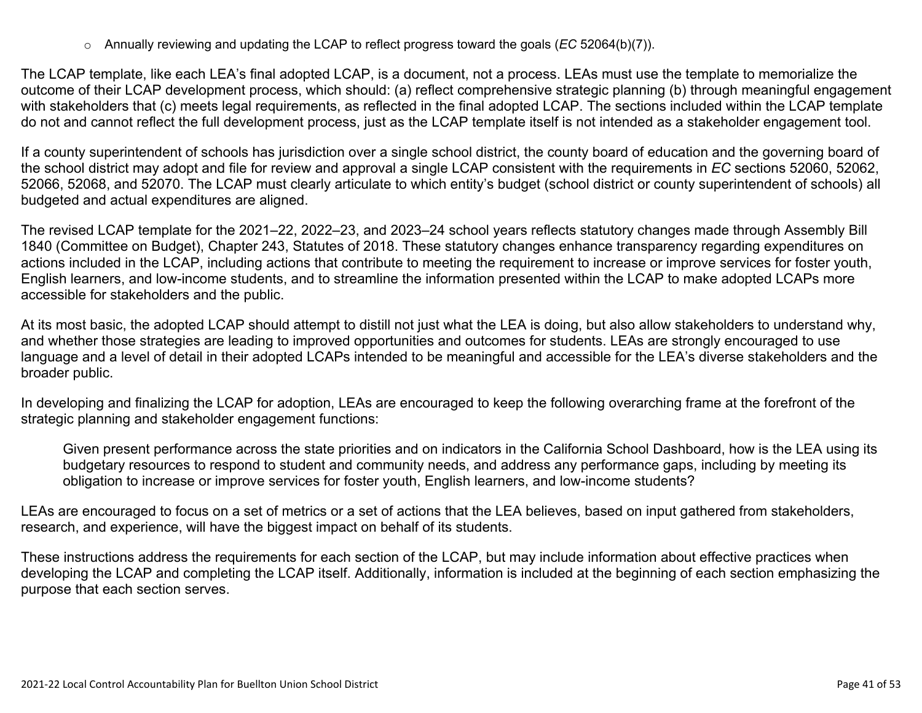o Annually reviewing and updating the LCAP to reflect progress toward the goals (*EC* 52064(b)(7)).

The LCAP template, like each LEA's final adopted LCAP, is a document, not a process. LEAs must use the template to memorialize the outcome of their LCAP development process, which should: (a) reflect comprehensive strategic planning (b) through meaningful engagement with stakeholders that (c) meets legal requirements, as reflected in the final adopted LCAP. The sections included within the LCAP template do not and cannot reflect the full development process, just as the LCAP template itself is not intended as a stakeholder engagement tool.

If a county superintendent of schools has jurisdiction over a single school district, the county board of education and the governing board of the school district may adopt and file for review and approval a single LCAP consistent with the requirements in *EC* sections 52060, 52062, 52066, 52068, and 52070. The LCAP must clearly articulate to which entity's budget (school district or county superintendent of schools) all budgeted and actual expenditures are aligned.

The revised LCAP template for the 2021–22, 2022–23, and 2023–24 school years reflects statutory changes made through Assembly Bill 1840 (Committee on Budget), Chapter 243, Statutes of 2018. These statutory changes enhance transparency regarding expenditures on actions included in the LCAP, including actions that contribute to meeting the requirement to increase or improve services for foster youth, English learners, and low-income students, and to streamline the information presented within the LCAP to make adopted LCAPs more accessible for stakeholders and the public.

At its most basic, the adopted LCAP should attempt to distill not just what the LEA is doing, but also allow stakeholders to understand why, and whether those strategies are leading to improved opportunities and outcomes for students. LEAs are strongly encouraged to use language and a level of detail in their adopted LCAPs intended to be meaningful and accessible for the LEA's diverse stakeholders and the broader public.

In developing and finalizing the LCAP for adoption, LEAs are encouraged to keep the following overarching frame at the forefront of the strategic planning and stakeholder engagement functions:

Given present performance across the state priorities and on indicators in the California School Dashboard, how is the LEA using its budgetary resources to respond to student and community needs, and address any performance gaps, including by meeting its obligation to increase or improve services for foster youth, English learners, and low-income students?

LEAs are encouraged to focus on a set of metrics or a set of actions that the LEA believes, based on input gathered from stakeholders, research, and experience, will have the biggest impact on behalf of its students.

These instructions address the requirements for each section of the LCAP, but may include information about effective practices when developing the LCAP and completing the LCAP itself. Additionally, information is included at the beginning of each section emphasizing the purpose that each section serves.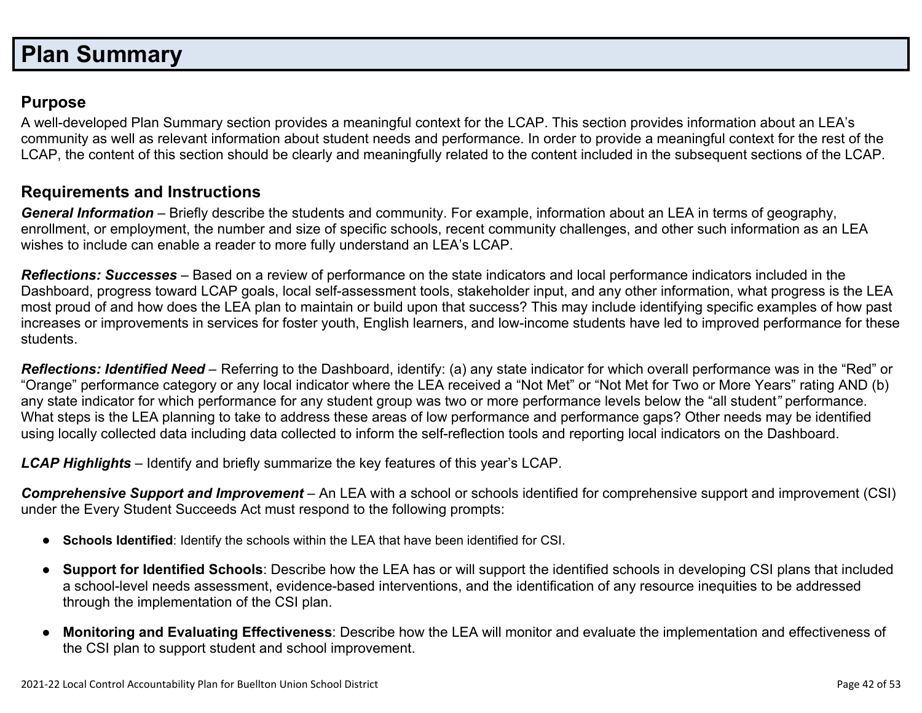# **Plan Summary**

### **Purpose**

A well-developed Plan Summary section provides a meaningful context for the LCAP. This section provides information about an LEA's community as well as relevant information about student needs and performance. In order to provide a meaningful context for the rest of the LCAP, the content of this section should be clearly and meaningfully related to the content included in the subsequent sections of the LCAP.

### **Requirements and Instructions**

*General Information* – Briefly describe the students and community. For example, information about an LEA in terms of geography, enrollment, or employment, the number and size of specific schools, recent community challenges, and other such information as an LEA wishes to include can enable a reader to more fully understand an LEA's LCAP.

*Reflections: Successes* – Based on a review of performance on the state indicators and local performance indicators included in the Dashboard, progress toward LCAP goals, local self-assessment tools, stakeholder input, and any other information, what progress is the LEA most proud of and how does the LEA plan to maintain or build upon that success? This may include identifying specific examples of how past increases or improvements in services for foster youth, English learners, and low-income students have led to improved performance for these students.

*Reflections: Identified Need* – Referring to the Dashboard, identify: (a) any state indicator for which overall performance was in the "Red" or "Orange" performance category or any local indicator where the LEA received a "Not Met" or "Not Met for Two or More Years" rating AND (b) any state indicator for which performance for any student group was two or more performance levels below the "all student*"* performance. What steps is the LEA planning to take to address these areas of low performance and performance gaps? Other needs may be identified using locally collected data including data collected to inform the self-reflection tools and reporting local indicators on the Dashboard.

*LCAP Highlights* – Identify and briefly summarize the key features of this year's LCAP.

*Comprehensive Support and Improvement* – An LEA with a school or schools identified for comprehensive support and improvement (CSI) under the Every Student Succeeds Act must respond to the following prompts:

- **Schools Identified**: Identify the schools within the LEA that have been identified for CSI.
- **Support for Identified Schools**: Describe how the LEA has or will support the identified schools in developing CSI plans that included a school-level needs assessment, evidence-based interventions, and the identification of any resource inequities to be addressed through the implementation of the CSI plan.
- **Monitoring and Evaluating Effectiveness**: Describe how the LEA will monitor and evaluate the implementation and effectiveness of the CSI plan to support student and school improvement.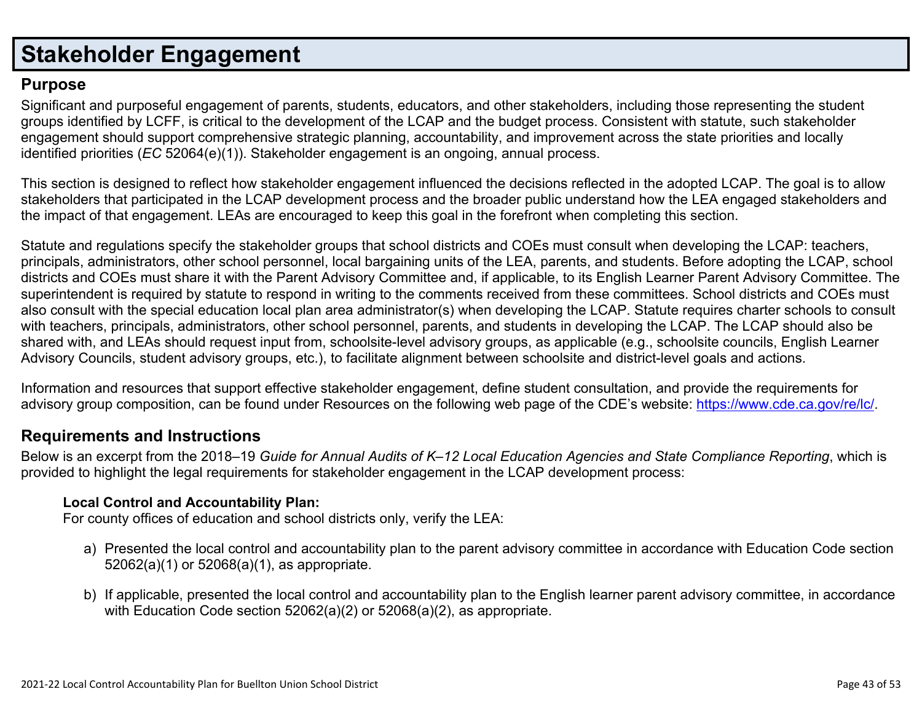# **Stakeholder Engagement**

### **Purpose**

Significant and purposeful engagement of parents, students, educators, and other stakeholders, including those representing the student groups identified by LCFF, is critical to the development of the LCAP and the budget process. Consistent with statute, such stakeholder engagement should support comprehensive strategic planning, accountability, and improvement across the state priorities and locally identified priorities (*EC* 52064(e)(1)). Stakeholder engagement is an ongoing, annual process.

This section is designed to reflect how stakeholder engagement influenced the decisions reflected in the adopted LCAP. The goal is to allow stakeholders that participated in the LCAP development process and the broader public understand how the LEA engaged stakeholders and the impact of that engagement. LEAs are encouraged to keep this goal in the forefront when completing this section.

Statute and regulations specify the stakeholder groups that school districts and COEs must consult when developing the LCAP: teachers, principals, administrators, other school personnel, local bargaining units of the LEA, parents, and students. Before adopting the LCAP, school districts and COEs must share it with the Parent Advisory Committee and, if applicable, to its English Learner Parent Advisory Committee. The superintendent is required by statute to respond in writing to the comments received from these committees. School districts and COEs must also consult with the special education local plan area administrator(s) when developing the LCAP. Statute requires charter schools to consult with teachers, principals, administrators, other school personnel, parents, and students in developing the LCAP. The LCAP should also be shared with, and LEAs should request input from, schoolsite-level advisory groups, as applicable (e.g., schoolsite councils, English Learner Advisory Councils, student advisory groups, etc.), to facilitate alignment between schoolsite and district-level goals and actions.

Information and resources that support effective stakeholder engagement, define student consultation, and provide the requirements for advisory group composition, can be found under Resources on the following web page of the CDE's website: <https://www.cde.ca.gov/re/lc/>.

### **Requirements and Instructions**

Below is an excerpt from the 2018–19 Guide for Annual Audits of K–12 Local Education Agencies and State Compliance Reporting, which is provided to highlight the legal requirements for stakeholder engagement in the LCAP development process:

### **Local Control and Accountability Plan:**

For county offices of education and school districts only, verify the LEA:

- a) Presented the local control and accountability plan to the parent advisory committee in accordance with Education Code section 52062(a)(1) or 52068(a)(1), as appropriate.
- b) If applicable, presented the local control and accountability plan to the English learner parent advisory committee, in accordance with Education Code section 52062(a)(2) or 52068(a)(2), as appropriate.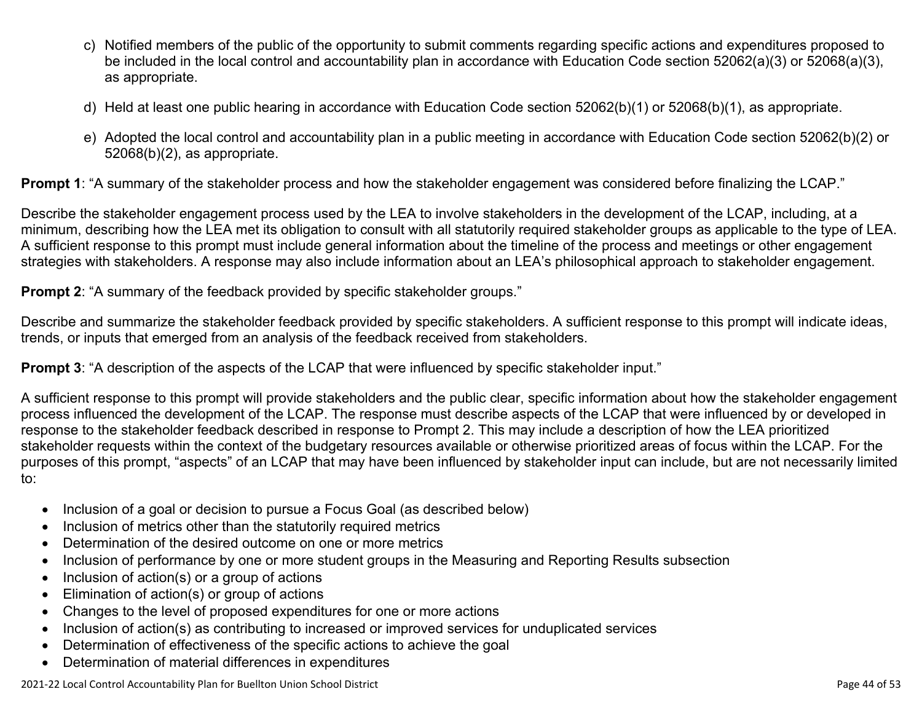- c) Notified members of the public of the opportunity to submit comments regarding specific actions and expenditures proposed to be included in the local control and accountability plan in accordance with Education Code section 52062(a)(3) or 52068(a)(3), as appropriate.
- d) Held at least one public hearing in accordance with Education Code section 52062(b)(1) or 52068(b)(1), as appropriate.
- e) Adopted the local control and accountability plan in a public meeting in accordance with Education Code section 52062(b)(2) or 52068(b)(2), as appropriate.

**Prompt 1**: "A summary of the stakeholder process and how the stakeholder engagement was considered before finalizing the LCAP."

Describe the stakeholder engagement process used by the LEA to involve stakeholders in the development of the LCAP, including, at a minimum, describing how the LEA met its obligation to consult with all statutorily required stakeholder groups as applicable to the type of LEA. A sufficient response to this prompt must include general information about the timeline of the process and meetings or other engagement strategies with stakeholders. A response may also include information about an LEA's philosophical approach to stakeholder engagement.

**Prompt 2:** "A summary of the feedback provided by specific stakeholder groups."

Describe and summarize the stakeholder feedback provided by specific stakeholders. A sufficient response to this prompt will indicate ideas, trends, or inputs that emerged from an analysis of the feedback received from stakeholders.

**Prompt 3:** "A description of the aspects of the LCAP that were influenced by specific stakeholder input."

A sufficient response to this prompt will provide stakeholders and the public clear, specific information about how the stakeholder engagement process influenced the development of the LCAP. The response must describe aspects of the LCAP that were influenced by or developed in response to the stakeholder feedback described in response to Prompt 2. This may include a description of how the LEA prioritized stakeholder requests within the context of the budgetary resources available or otherwise prioritized areas of focus within the LCAP. For the purposes of this prompt, "aspects" of an LCAP that may have been influenced by stakeholder input can include, but are not necessarily limited to:

- Inclusion of a goal or decision to pursue a Focus Goal (as described below)
- Inclusion of metrics other than the statutorily required metrics
- Determination of the desired outcome on one or more metrics
- Inclusion of performance by one or more student groups in the Measuring and Reporting Results subsection
- $\bullet$  Inclusion of action(s) or a group of actions
- Elimination of action(s) or group of actions
- Changes to the level of proposed expenditures for one or more actions
- Inclusion of action(s) as contributing to increased or improved services for unduplicated services
- Determination of effectiveness of the specific actions to achieve the goal
- Determination of material differences in expenditures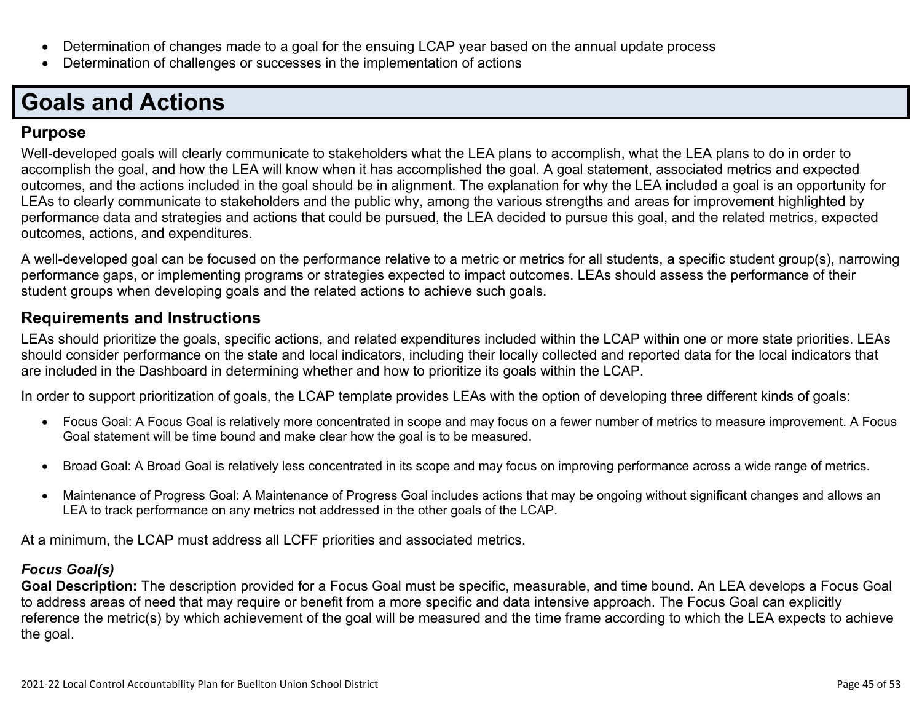- Determination of changes made to a goal for the ensuing LCAP year based on the annual update process
- Determination of challenges or successes in the implementation of actions

# **Goals and Actions**

### **Purpose**

Well-developed goals will clearly communicate to stakeholders what the LEA plans to accomplish, what the LEA plans to do in order to accomplish the goal, and how the LEA will know when it has accomplished the goal. A goal statement, associated metrics and expected outcomes, and the actions included in the goal should be in alignment. The explanation for why the LEA included a goal is an opportunity for LEAs to clearly communicate to stakeholders and the public why, among the various strengths and areas for improvement highlighted by performance data and strategies and actions that could be pursued, the LEA decided to pursue this goal, and the related metrics, expected outcomes, actions, and expenditures.

A well-developed goal can be focused on the performance relative to a metric or metrics for all students, a specific student group(s), narrowing performance gaps, or implementing programs or strategies expected to impact outcomes. LEAs should assess the performance of their student groups when developing goals and the related actions to achieve such goals.

### **Requirements and Instructions**

LEAs should prioritize the goals, specific actions, and related expenditures included within the LCAP within one or more state priorities. LEAs should consider performance on the state and local indicators, including their locally collected and reported data for the local indicators that are included in the Dashboard in determining whether and how to prioritize its goals within the LCAP.

In order to support prioritization of goals, the LCAP template provides LEAs with the option of developing three different kinds of goals:

- Focus Goal: A Focus Goal is relatively more concentrated in scope and may focus on a fewer number of metrics to measure improvement. A Focus Goal statement will be time bound and make clear how the goal is to be measured.
- Broad Goal: A Broad Goal is relatively less concentrated in its scope and may focus on improving performance across a wide range of metrics.
- Maintenance of Progress Goal: A Maintenance of Progress Goal includes actions that may be ongoing without significant changes and allows an LEA to track performance on any metrics not addressed in the other goals of the LCAP.

At a minimum, the LCAP must address all LCFF priorities and associated metrics.

### *Focus Goal(s)*

**Goal Description:** The description provided for a Focus Goal must be specific, measurable, and time bound. An LEA develops a Focus Goal to address areas of need that may require or benefit from a more specific and data intensive approach. The Focus Goal can explicitly reference the metric(s) by which achievement of the goal will be measured and the time frame according to which the LEA expects to achieve the goal.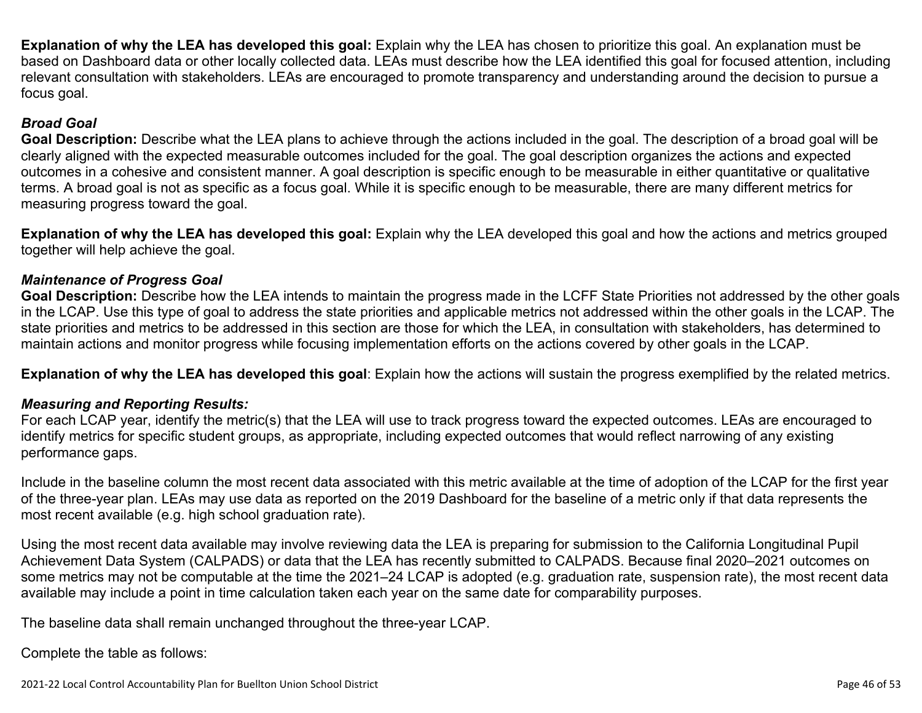**Explanation of why the LEA has developed this goal:** Explain why the LEA has chosen to prioritize this goal. An explanation must be based on Dashboard data or other locally collected data. LEAs must describe how the LEA identified this goal for focused attention, including relevant consultation with stakeholders. LEAs are encouraged to promote transparency and understanding around the decision to pursue a focus goal.

#### *Broad Goal*

**Goal Description:** Describe what the LEA plans to achieve through the actions included in the goal. The description of a broad goal will be clearly aligned with the expected measurable outcomes included for the goal. The goal description organizes the actions and expected outcomes in a cohesive and consistent manner. A goal description is specific enough to be measurable in either quantitative or qualitative terms. A broad goal is not as specific as a focus goal. While it is specific enough to be measurable, there are many different metrics for measuring progress toward the goal.

**Explanation of why the LEA has developed this goal:** Explain why the LEA developed this goal and how the actions and metrics grouped together will help achieve the goal.

### *Maintenance of Progress Goal*

**Goal Description:** Describe how the LEA intends to maintain the progress made in the LCFF State Priorities not addressed by the other goals in the LCAP. Use this type of goal to address the state priorities and applicable metrics not addressed within the other goals in the LCAP. The state priorities and metrics to be addressed in this section are those for which the LEA, in consultation with stakeholders, has determined to maintain actions and monitor progress while focusing implementation efforts on the actions covered by other goals in the LCAP.

**Explanation of why the LEA has developed this goal**: Explain how the actions will sustain the progress exemplified by the related metrics.

### *Measuring and Reporting Results:*

For each LCAP year, identify the metric(s) that the LEA will use to track progress toward the expected outcomes. LEAs are encouraged to identify metrics for specific student groups, as appropriate, including expected outcomes that would reflect narrowing of any existing performance gaps.

Include in the baseline column the most recent data associated with this metric available at the time of adoption of the LCAP for the first year of the three-year plan. LEAs may use data as reported on the 2019 Dashboard for the baseline of a metric only if that data represents the most recent available (e.g. high school graduation rate).

Using the most recent data available may involve reviewing data the LEA is preparing for submission to the California Longitudinal Pupil Achievement Data System (CALPADS) or data that the LEA has recently submitted to CALPADS. Because final 2020–2021 outcomes on some metrics may not be computable at the time the 2021–24 LCAP is adopted (e.g. graduation rate, suspension rate), the most recent data available may include a point in time calculation taken each year on the same date for comparability purposes.

The baseline data shall remain unchanged throughout the three-year LCAP.

Complete the table as follows: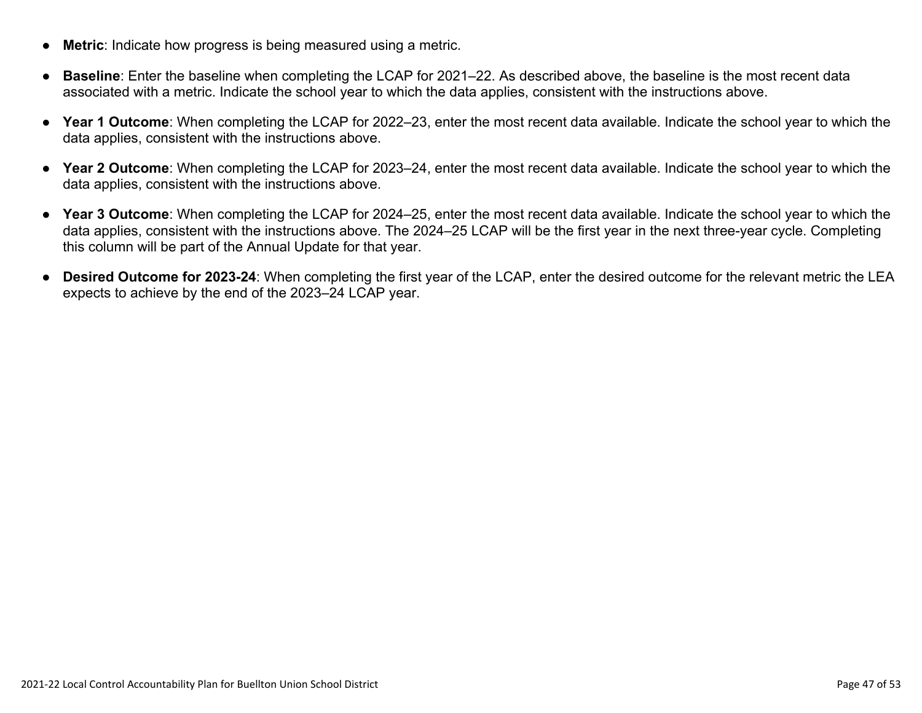- **Metric**: Indicate how progress is being measured using a metric.
- **Baseline**: Enter the baseline when completing the LCAP for 2021–22. As described above, the baseline is the most recent data associated with a metric. Indicate the school year to which the data applies, consistent with the instructions above.
- **Year 1 Outcome**: When completing the LCAP for 2022–23, enter the most recent data available. Indicate the school year to which the data applies, consistent with the instructions above.
- **Year 2 Outcome**: When completing the LCAP for 2023–24, enter the most recent data available. Indicate the school year to which the data applies, consistent with the instructions above.
- **Year 3 Outcome**: When completing the LCAP for 2024–25, enter the most recent data available. Indicate the school year to which the data applies, consistent with the instructions above. The 2024–25 LCAP will be the first year in the next three-year cycle. Completing this column will be part of the Annual Update for that year.
- **Desired Outcome for 2023-24**: When completing the first year of the LCAP, enter the desired outcome for the relevant metric the LEA expects to achieve by the end of the 2023–24 LCAP year.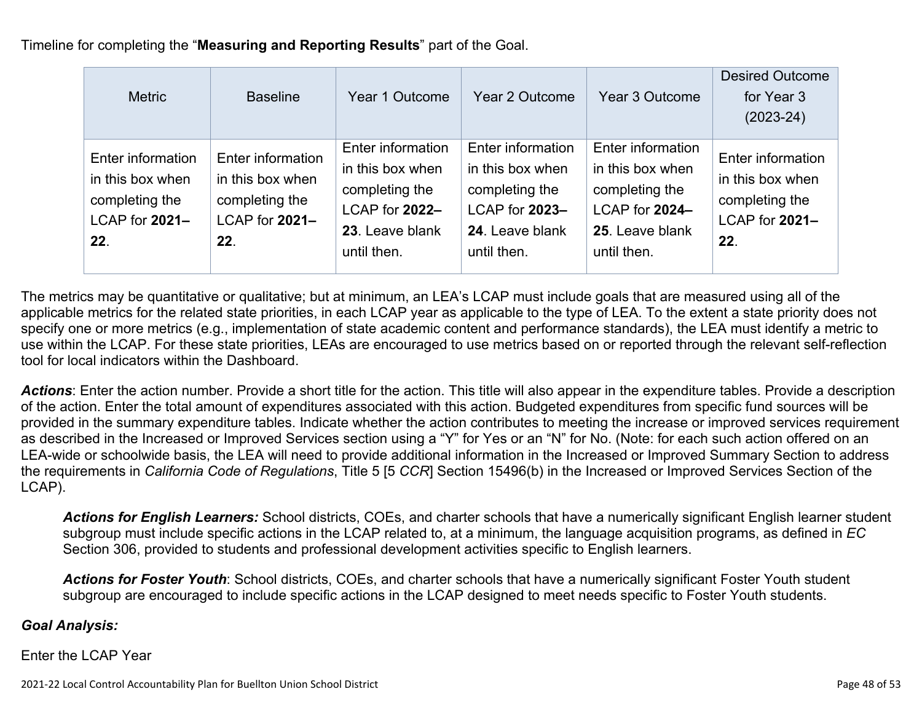Timeline for completing the "**Measuring and Reporting Results**" part of the Goal.

| <b>Metric</b>                                                                    | <b>Baseline</b>                                                                  | Year 1 Outcome                                                                                              | Year 2 Outcome                                                                                              | Year 3 Outcome                                                                                              | <b>Desired Outcome</b><br>for Year 3<br>$(2023-24)$                              |
|----------------------------------------------------------------------------------|----------------------------------------------------------------------------------|-------------------------------------------------------------------------------------------------------------|-------------------------------------------------------------------------------------------------------------|-------------------------------------------------------------------------------------------------------------|----------------------------------------------------------------------------------|
| Enter information<br>in this box when<br>completing the<br>LCAP for 2021-<br>22. | Enter information<br>in this box when<br>completing the<br>LCAP for 2021-<br>22. | Enter information<br>in this box when<br>completing the<br>LCAP for 2022-<br>23. Leave blank<br>until then. | Enter information<br>in this box when<br>completing the<br>LCAP for 2023-<br>24. Leave blank<br>until then. | Enter information<br>in this box when<br>completing the<br>LCAP for 2024-<br>25. Leave blank<br>until then. | Enter information<br>in this box when<br>completing the<br>LCAP for 2021-<br>22. |

The metrics may be quantitative or qualitative; but at minimum, an LEA's LCAP must include goals that are measured using all of the applicable metrics for the related state priorities, in each LCAP year as applicable to the type of LEA. To the extent a state priority does not specify one or more metrics (e.g., implementation of state academic content and performance standards), the LEA must identify a metric to use within the LCAP. For these state priorities, LEAs are encouraged to use metrics based on or reported through the relevant self-reflection tool for local indicators within the Dashboard.

*Actions*: Enter the action number. Provide a short title for the action. This title will also appear in the expenditure tables. Provide a description of the action. Enter the total amount of expenditures associated with this action. Budgeted expenditures from specific fund sources will be provided in the summary expenditure tables. Indicate whether the action contributes to meeting the increase or improved services requirement as described in the Increased or Improved Services section using a "Y" for Yes or an "N" for No. (Note: for each such action offered on an LEA-wide or schoolwide basis, the LEA will need to provide additional information in the Increased or Improved Summary Section to address the requirements in *California Code of Regulations*, Title 5 [5 *CCR*] Section 15496(b) in the Increased or Improved Services Section of the LCAP).

*Actions for English Learners:* School districts, COEs, and charter schools that have a numerically significant English learner student subgroup must include specific actions in the LCAP related to, at a minimum, the language acquisition programs, as defined in *EC* Section 306, provided to students and professional development activities specific to English learners.

*Actions for Foster Youth*: School districts, COEs, and charter schools that have a numerically significant Foster Youth student subgroup are encouraged to include specific actions in the LCAP designed to meet needs specific to Foster Youth students.

### *Goal Analysis:*

Enter the LCAP Year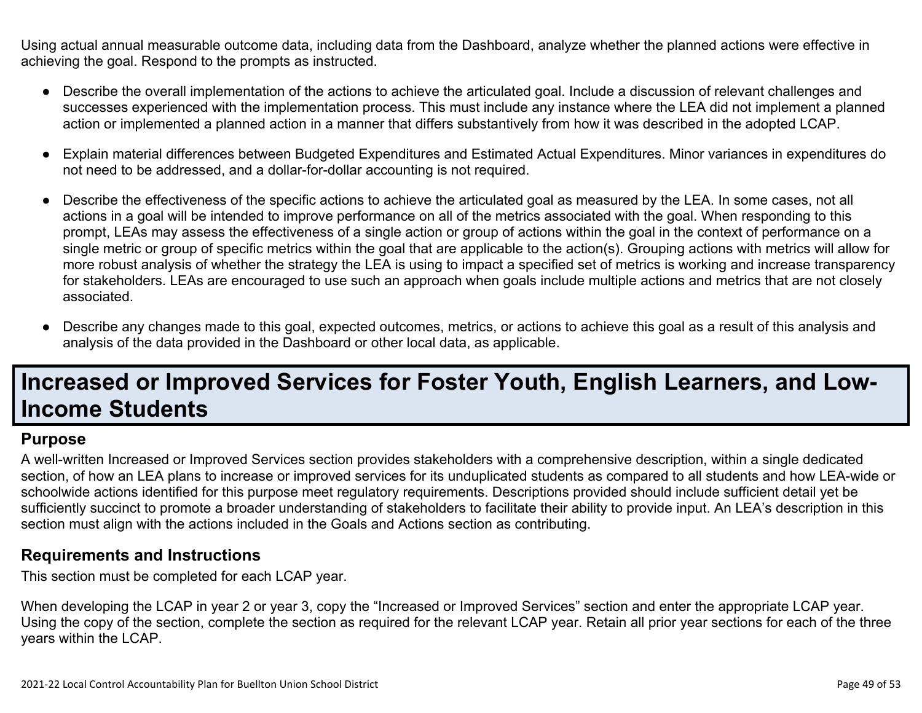Using actual annual measurable outcome data, including data from the Dashboard, analyze whether the planned actions were effective in achieving the goal. Respond to the prompts as instructed.

- Describe the overall implementation of the actions to achieve the articulated goal. Include a discussion of relevant challenges and successes experienced with the implementation process. This must include any instance where the LEA did not implement a planned action or implemented a planned action in a manner that differs substantively from how it was described in the adopted LCAP.
- Explain material differences between Budgeted Expenditures and Estimated Actual Expenditures. Minor variances in expenditures do not need to be addressed, and a dollar-for-dollar accounting is not required.
- Describe the effectiveness of the specific actions to achieve the articulated goal as measured by the LEA. In some cases, not all actions in a goal will be intended to improve performance on all of the metrics associated with the goal. When responding to this prompt, LEAs may assess the effectiveness of a single action or group of actions within the goal in the context of performance on a single metric or group of specific metrics within the goal that are applicable to the action(s). Grouping actions with metrics will allow for more robust analysis of whether the strategy the LEA is using to impact a specified set of metrics is working and increase transparency for stakeholders. LEAs are encouraged to use such an approach when goals include multiple actions and metrics that are not closely associated.
- Describe any changes made to this goal, expected outcomes, metrics, or actions to achieve this goal as a result of this analysis and analysis of the data provided in the Dashboard or other local data, as applicable.

# **Increased or Improved Services for Foster Youth, English Learners, and Low-Income Students**

#### **Purpose**

A well-written Increased or Improved Services section provides stakeholders with a comprehensive description, within a single dedicated section, of how an LEA plans to increase or improved services for its unduplicated students as compared to all students and how LEA-wide or schoolwide actions identified for this purpose meet regulatory requirements. Descriptions provided should include sufficient detail yet be sufficiently succinct to promote a broader understanding of stakeholders to facilitate their ability to provide input. An LEA's description in this section must align with the actions included in the Goals and Actions section as contributing.

#### **Requirements and Instructions**

This section must be completed for each LCAP year.

When developing the LCAP in year 2 or year 3, copy the "Increased or Improved Services" section and enter the appropriate LCAP year. Using the copy of the section, complete the section as required for the relevant LCAP year. Retain all prior year sections for each of the three years within the LCAP.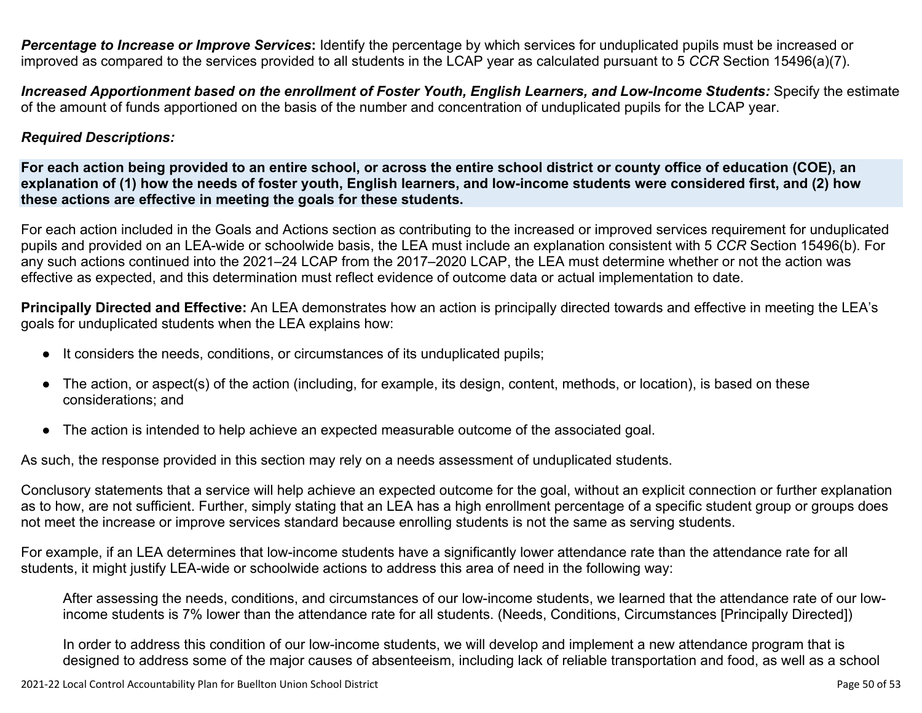*Percentage to Increase or Improve Services***:** Identify the percentage by which services for unduplicated pupils must be increased or improved as compared to the services provided to all students in the LCAP year as calculated pursuant to 5 *CCR* Section 15496(a)(7).

Increased Apportionment based on the enrollment of Foster Youth, English Learners, and Low-Income Students: Specify the estimate of the amount of funds apportioned on the basis of the number and concentration of unduplicated pupils for the LCAP year.

#### *Required Descriptions:*

For each action being provided to an entire school, or across the entire school district or county office of education (COE), an explanation of (1) how the needs of foster youth, English learners, and low-income students were considered first, and (2) how **these actions are effective in meeting the goals for these students.**

For each action included in the Goals and Actions section as contributing to the increased or improved services requirement for unduplicated pupils and provided on an LEA-wide or schoolwide basis, the LEA must include an explanation consistent with 5 *CCR* Section 15496(b). For any such actions continued into the 2021–24 LCAP from the 2017–2020 LCAP, the LEA must determine whether or not the action was effective as expected, and this determination must reflect evidence of outcome data or actual implementation to date.

**Principally Directed and Effective:** An LEA demonstrates how an action is principally directed towards and effective in meeting the LEA's goals for unduplicated students when the LEA explains how:

- It considers the needs, conditions, or circumstances of its unduplicated pupils;
- The action, or aspect(s) of the action (including, for example, its design, content, methods, or location), is based on these considerations; and
- The action is intended to help achieve an expected measurable outcome of the associated goal.

As such, the response provided in this section may rely on a needs assessment of unduplicated students.

Conclusory statements that a service will help achieve an expected outcome for the goal, without an explicit connection or further explanation as to how, are not sufficient. Further, simply stating that an LEA has a high enrollment percentage of a specific student group or groups does not meet the increase or improve services standard because enrolling students is not the same as serving students.

For example, if an LEA determines that low-income students have a significantly lower attendance rate than the attendance rate for all students, it might justify LEA-wide or schoolwide actions to address this area of need in the following way:

After assessing the needs, conditions, and circumstances of our low-income students, we learned that the attendance rate of our lowincome students is 7% lower than the attendance rate for all students. (Needs, Conditions, Circumstances [Principally Directed])

In order to address this condition of our low-income students, we will develop and implement a new attendance program that is designed to address some of the major causes of absenteeism, including lack of reliable transportation and food, as well as a school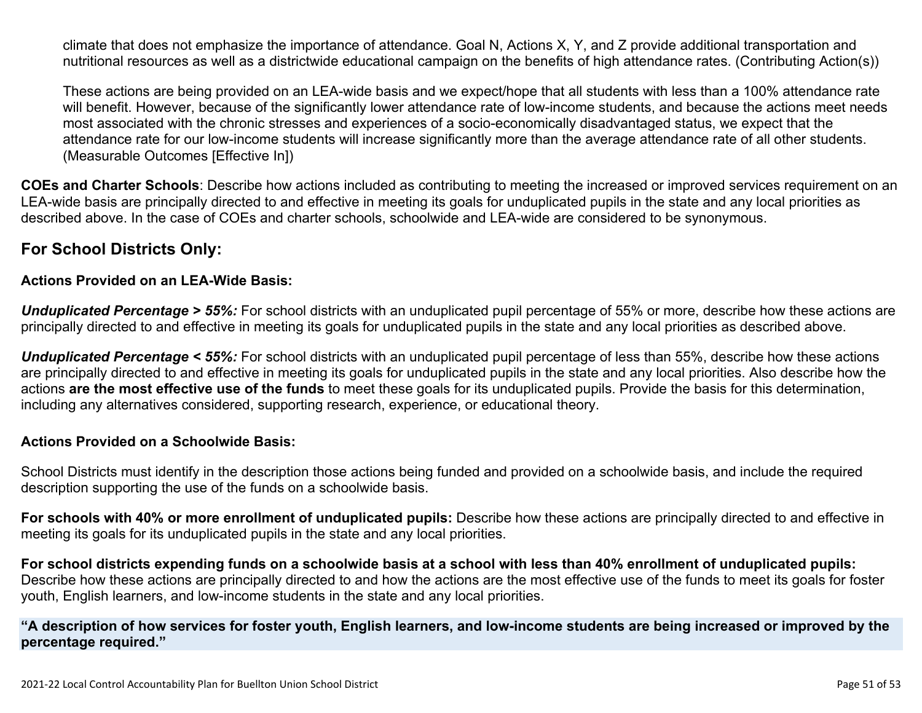climate that does not emphasize the importance of attendance. Goal N, Actions X, Y, and Z provide additional transportation and nutritional resources as well as a districtwide educational campaign on the benefits of high attendance rates. (Contributing Action(s))

These actions are being provided on an LEA-wide basis and we expect/hope that all students with less than a 100% attendance rate will benefit. However, because of the significantly lower attendance rate of low-income students, and because the actions meet needs most associated with the chronic stresses and experiences of a socio-economically disadvantaged status, we expect that the attendance rate for our low-income students will increase significantly more than the average attendance rate of all other students. (Measurable Outcomes [Effective In])

**COEs and Charter Schools**: Describe how actions included as contributing to meeting the increased or improved services requirement on an LEA-wide basis are principally directed to and effective in meeting its goals for unduplicated pupils in the state and any local priorities as described above. In the case of COEs and charter schools, schoolwide and LEA-wide are considered to be synonymous.

### **For School Districts Only:**

#### **Actions Provided on an LEA-Wide Basis:**

*Unduplicated Percentage > 55%:* For school districts with an unduplicated pupil percentage of 55% or more, describe how these actions are principally directed to and effective in meeting its goals for unduplicated pupils in the state and any local priorities as described above.

*Unduplicated Percentage < 55%:* For school districts with an unduplicated pupil percentage of less than 55%, describe how these actions are principally directed to and effective in meeting its goals for unduplicated pupils in the state and any local priorities. Also describe how the actions **are the most effective use of the funds** to meet these goals for its unduplicated pupils. Provide the basis for this determination, including any alternatives considered, supporting research, experience, or educational theory.

#### **Actions Provided on a Schoolwide Basis:**

School Districts must identify in the description those actions being funded and provided on a schoolwide basis, and include the required description supporting the use of the funds on a schoolwide basis.

**For schools with 40% or more enrollment of unduplicated pupils:** Describe how these actions are principally directed to and effective in meeting its goals for its unduplicated pupils in the state and any local priorities.

For school districts expending funds on a schoolwide basis at a school with less than 40% enrollment of unduplicated pupils: Describe how these actions are principally directed to and how the actions are the most effective use of the funds to meet its goals for foster youth, English learners, and low-income students in the state and any local priorities.

#### "A description of how services for foster youth, English learners, and low-income students are being increased or improved by the **percentage required."**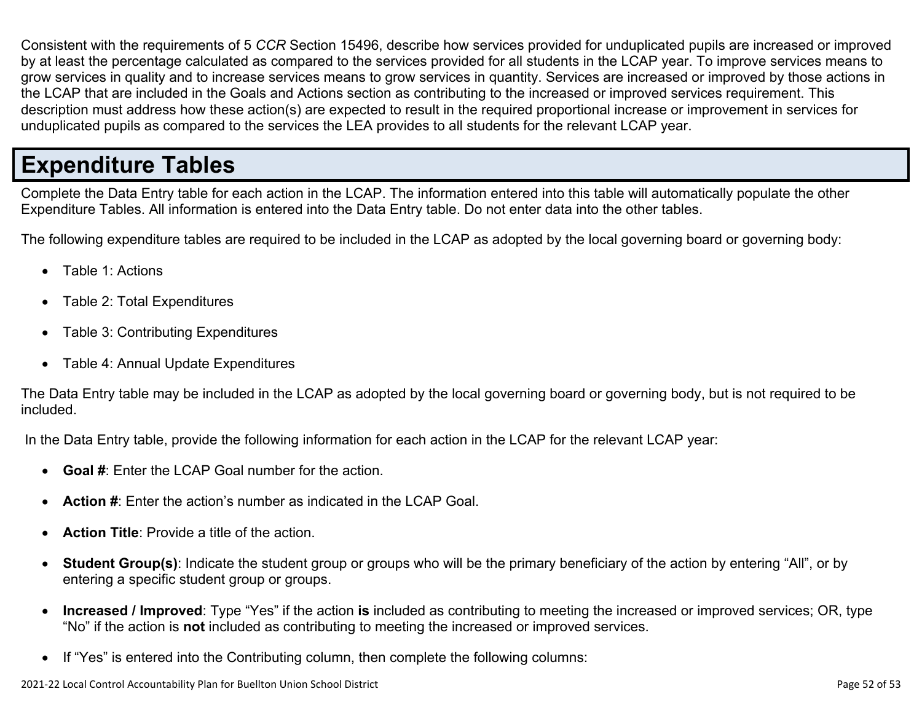Consistent with the requirements of 5 *CCR* Section 15496, describe how services provided for unduplicated pupils are increased or improved by at least the percentage calculated as compared to the services provided for all students in the LCAP year. To improve services means to grow services in quality and to increase services means to grow services in quantity. Services are increased or improved by those actions in the LCAP that are included in the Goals and Actions section as contributing to the increased or improved services requirement. This description must address how these action(s) are expected to result in the required proportional increase or improvement in services for unduplicated pupils as compared to the services the LEA provides to all students for the relevant LCAP year.

# **Expenditure Tables**

Complete the Data Entry table for each action in the LCAP. The information entered into this table will automatically populate the other Expenditure Tables. All information is entered into the Data Entry table. Do not enter data into the other tables.

The following expenditure tables are required to be included in the LCAP as adopted by the local governing board or governing body:

- Table 1: Actions
- Table 2: Total Expenditures
- Table 3: Contributing Expenditures
- Table 4: Annual Update Expenditures

The Data Entry table may be included in the LCAP as adopted by the local governing board or governing body, but is not required to be included.

In the Data Entry table, provide the following information for each action in the LCAP for the relevant LCAP year:

- **Goal #**: Enter the LCAP Goal number for the action.
- **Action #**: Enter the action's number as indicated in the LCAP Goal.
- **Action Title**: Provide a title of the action.
- **Student Group(s)**: Indicate the student group or groups who will be the primary beneficiary of the action by entering "All", or by entering a specific student group or groups.
- **Increased / Improved**: Type "Yes" if the action **is** included as contributing to meeting the increased or improved services; OR, type "No" if the action is **not** included as contributing to meeting the increased or improved services.
- If "Yes" is entered into the Contributing column, then complete the following columns: